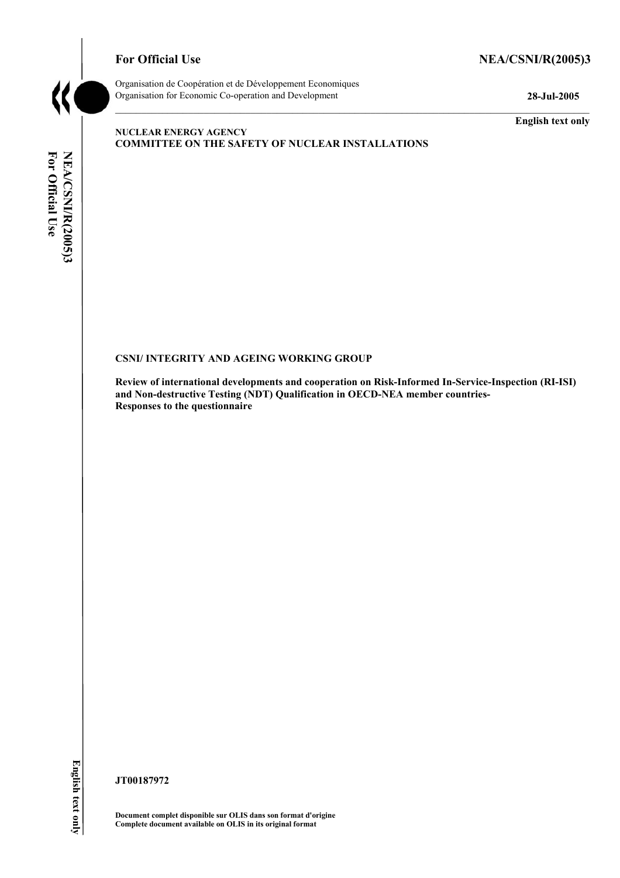# For Official Use NEA/CSNI/R(2005)3



Organisation de Coopération et de Développement Economiques Organisation for Economic Co-operation and Development **28-Jul-2005** 

**English text only** 

# **NUCLEAR ENERGY AGENCY COMMITTEE ON THE SAFETY OF NUCLEAR INSTALLATIONS**

# For Official Use NEA/CSNI/R(2005)3 **For Official Use NEA/CSNI/R(2005)3 English text only**

# **CSNI/ INTEGRITY AND AGEING WORKING GROUP**

**Review of international developments and cooperation on Risk-Informed In-Service-Inspection (RI-ISI) and Non-destructive Testing (NDT) Qualification in OECD-NEA member countries-Responses to the questionnaire** 

**JT00187972** 

**Document complet disponible sur OLIS dans son format d'origine Complete document available on OLIS in its original format**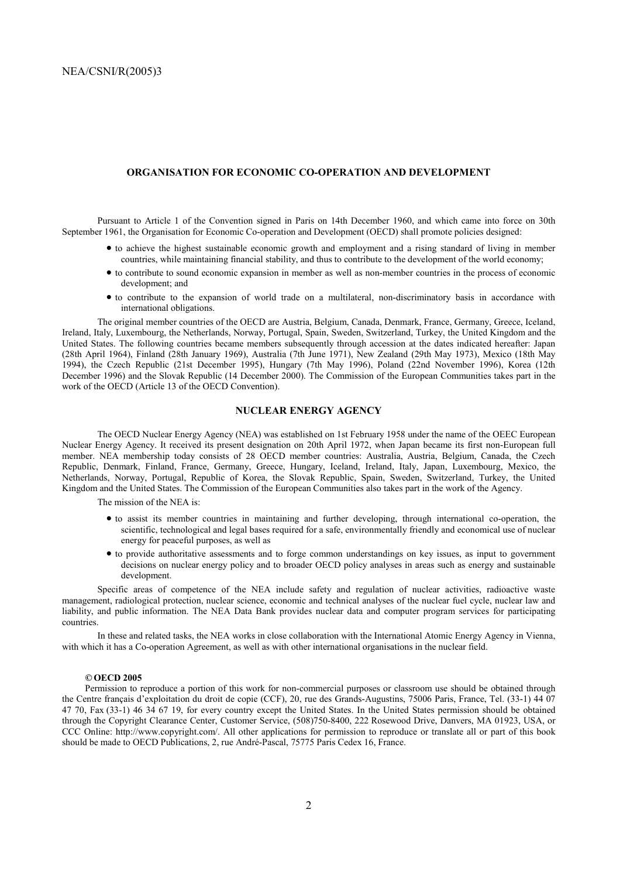#### **ORGANISATION FOR ECONOMIC CO-OPERATION AND DEVELOPMENT**

 Pursuant to Article 1 of the Convention signed in Paris on 14th December 1960, and which came into force on 30th September 1961, the Organisation for Economic Co-operation and Development (OECD) shall promote policies designed:

- to achieve the highest sustainable economic growth and employment and a rising standard of living in member countries, while maintaining financial stability, and thus to contribute to the development of the world economy;
- to contribute to sound economic expansion in member as well as non-member countries in the process of economic development; and
- to contribute to the expansion of world trade on a multilateral, non-discriminatory basis in accordance with international obligations.

 The original member countries of the OECD are Austria, Belgium, Canada, Denmark, France, Germany, Greece, Iceland, Ireland, Italy, Luxembourg, the Netherlands, Norway, Portugal, Spain, Sweden, Switzerland, Turkey, the United Kingdom and the United States. The following countries became members subsequently through accession at the dates indicated hereafter: Japan (28th April 1964), Finland (28th January 1969), Australia (7th June 1971), New Zealand (29th May 1973), Mexico (18th May 1994), the Czech Republic (21st December 1995), Hungary (7th May 1996), Poland (22nd November 1996), Korea (12th December 1996) and the Slovak Republic (14 December 2000). The Commission of the European Communities takes part in the work of the OECD (Article 13 of the OECD Convention).

#### **NUCLEAR ENERGY AGENCY**

 The OECD Nuclear Energy Agency (NEA) was established on 1st February 1958 under the name of the OEEC European Nuclear Energy Agency. It received its present designation on 20th April 1972, when Japan became its first non-European full member. NEA membership today consists of 28 OECD member countries: Australia, Austria, Belgium, Canada, the Czech Republic, Denmark, Finland, France, Germany, Greece, Hungary, Iceland, Ireland, Italy, Japan, Luxembourg, Mexico, the Netherlands, Norway, Portugal, Republic of Korea, the Slovak Republic, Spain, Sweden, Switzerland, Turkey, the United Kingdom and the United States. The Commission of the European Communities also takes part in the work of the Agency.

The mission of the NEA is:

- to assist its member countries in maintaining and further developing, through international co-operation, the scientific, technological and legal bases required for a safe, environmentally friendly and economical use of nuclear energy for peaceful purposes, as well as
- to provide authoritative assessments and to forge common understandings on key issues, as input to government decisions on nuclear energy policy and to broader OECD policy analyses in areas such as energy and sustainable development.

 Specific areas of competence of the NEA include safety and regulation of nuclear activities, radioactive waste management, radiological protection, nuclear science, economic and technical analyses of the nuclear fuel cycle, nuclear law and liability, and public information. The NEA Data Bank provides nuclear data and computer program services for participating countries.

In these and related tasks, the NEA works in close collaboration with the International Atomic Energy Agency in Vienna with which it has a Co-operation Agreement, as well as with other international organisations in the nuclear field.

#### *©* **OECD 2005**

Permission to reproduce a portion of this work for non-commercial purposes or classroom use should be obtained through the Centre français d'exploitation du droit de copie (CCF), 20, rue des Grands-Augustins, 75006 Paris, France, Tel. (33-1) 44 07 47 70, Fax (33-1) 46 34 67 19, for every country except the United States. In the United States permission should be obtained through the Copyright Clearance Center, Customer Service, (508)750-8400, 222 Rosewood Drive, Danvers, MA 01923, USA, or CCC Online: http://www.copyright.com/. All other applications for permission to reproduce or translate all or part of this book should be made to OECD Publications, 2, rue André-Pascal, 75775 Paris Cedex 16, France.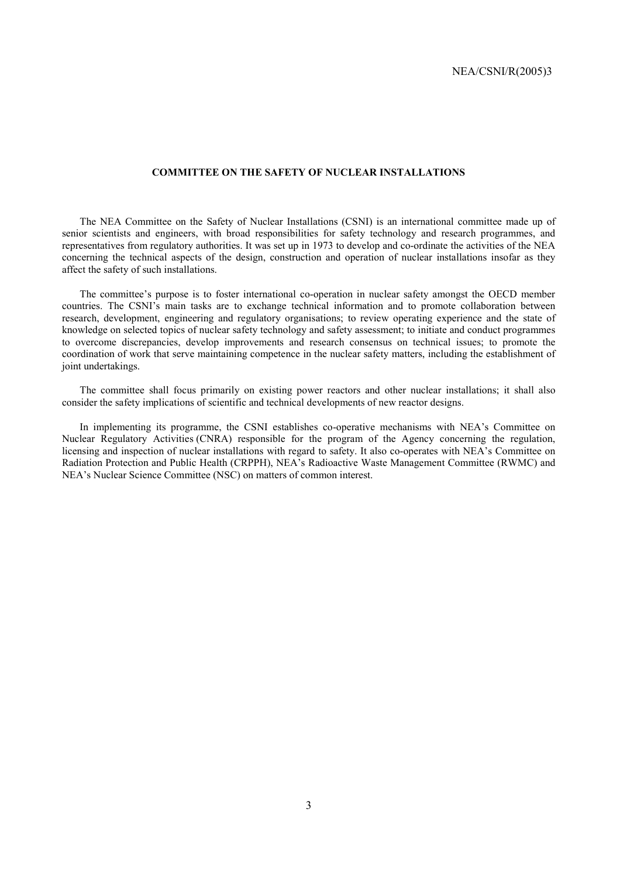#### **COMMITTEE ON THE SAFETY OF NUCLEAR INSTALLATIONS**

 The NEA Committee on the Safety of Nuclear Installations (CSNI) is an international committee made up of senior scientists and engineers, with broad responsibilities for safety technology and research programmes, and representatives from regulatory authorities. It was set up in 1973 to develop and co-ordinate the activities of the NEA concerning the technical aspects of the design, construction and operation of nuclear installations insofar as they affect the safety of such installations.

 The committee's purpose is to foster international co-operation in nuclear safety amongst the OECD member countries. The CSNI's main tasks are to exchange technical information and to promote collaboration between research, development, engineering and regulatory organisations; to review operating experience and the state of knowledge on selected topics of nuclear safety technology and safety assessment; to initiate and conduct programmes to overcome discrepancies, develop improvements and research consensus on technical issues; to promote the coordination of work that serve maintaining competence in the nuclear safety matters, including the establishment of joint undertakings.

 The committee shall focus primarily on existing power reactors and other nuclear installations; it shall also consider the safety implications of scientific and technical developments of new reactor designs.

 In implementing its programme, the CSNI establishes co-operative mechanisms with NEA's Committee on Nuclear Regulatory Activities (CNRA) responsible for the program of the Agency concerning the regulation, licensing and inspection of nuclear installations with regard to safety. It also co-operates with NEA's Committee on Radiation Protection and Public Health (CRPPH), NEA's Radioactive Waste Management Committee (RWMC) and NEA's Nuclear Science Committee (NSC) on matters of common interest.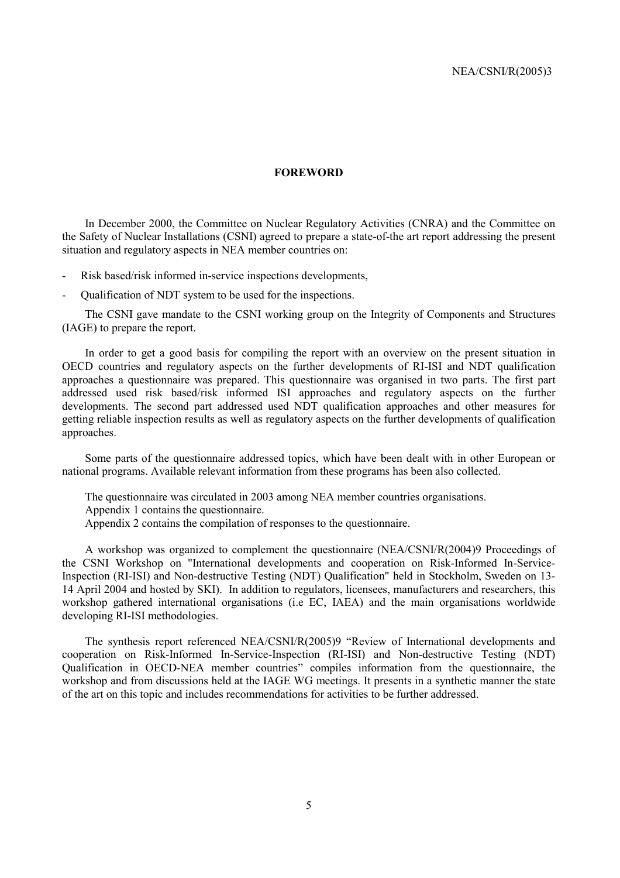#### **FOREWORD**

In December 2000, the Committee on Nuclear Regulatory Activities (CNRA) and the Committee on the Safety of Nuclear Installations (CSNI) agreed to prepare a state-of-the art report addressing the present situation and regulatory aspects in NEA member countries on:

- Risk based/risk informed in-service inspections developments,
- Qualification of NDT system to be used for the inspections.

The CSNI gave mandate to the CSNI working group on the Integrity of Components and Structures (IAGE) to prepare the report.

In order to get a good basis for compiling the report with an overview on the present situation in OECD countries and regulatory aspects on the further developments of RI-ISI and NDT qualification approaches a questionnaire was prepared. This questionnaire was organised in two parts. The first part addressed used risk based/risk informed ISI approaches and regulatory aspects on the further developments. The second part addressed used NDT qualification approaches and other measures for getting reliable inspection results as well as regulatory aspects on the further developments of qualification approaches.

Some parts of the questionnaire addressed topics, which have been dealt with in other European or national programs. Available relevant information from these programs has been also collected.

The questionnaire was circulated in 2003 among NEA member countries organisations. Appendix 1 contains the questionnaire. Appendix 2 contains the compilation of responses to the questionnaire.

A workshop was organized to complement the questionnaire (NEA/CSNI/R(2004)9 Proceedings of the CSNI Workshop on "International developments and cooperation on Risk-Informed In-Service-Inspection (RI-ISI) and Non-destructive Testing (NDT) Qualification" held in Stockholm, Sweden on 13- 14 April 2004 and hosted by SKI). In addition to regulators, licensees, manufacturers and researchers, this workshop gathered international organisations (i.e EC, IAEA) and the main organisations worldwide developing RI-ISI methodologies.

The synthesis report referenced NEA/CSNI/R(2005)9 "Review of International developments and cooperation on Risk-Informed In-Service-Inspection (RI-ISI) and Non-destructive Testing (NDT) Qualification in OECD-NEA member countries" compiles information from the questionnaire, the workshop and from discussions held at the IAGE WG meetings. It presents in a synthetic manner the state of the art on this topic and includes recommendations for activities to be further addressed.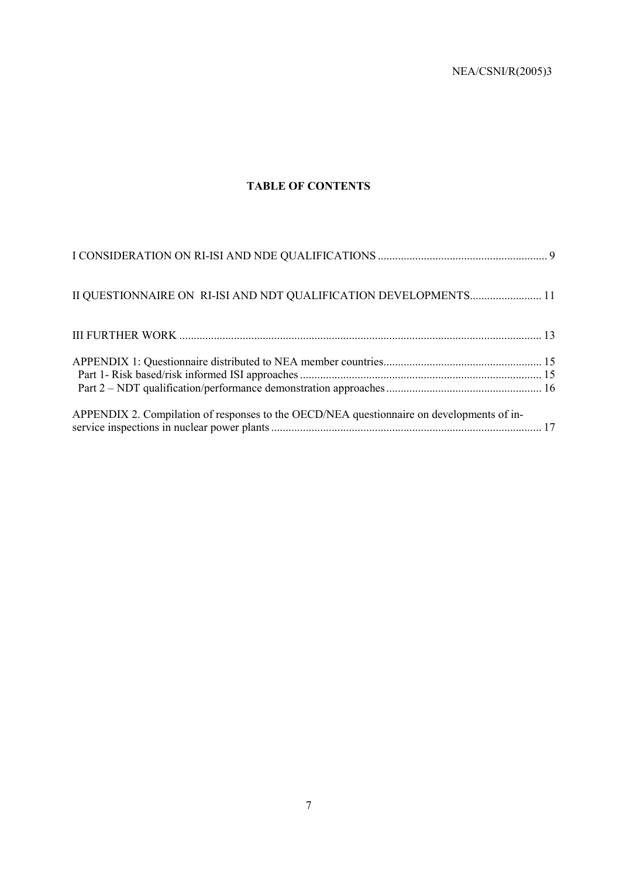# **TABLE OF CONTENTS**

| II QUESTIONNAIRE ON RI-ISI AND NDT QUALIFICATION DEVELOPMENTS 11                          |  |
|-------------------------------------------------------------------------------------------|--|
|                                                                                           |  |
|                                                                                           |  |
| APPENDIX 2. Compilation of responses to the OECD/NEA questionnaire on developments of in- |  |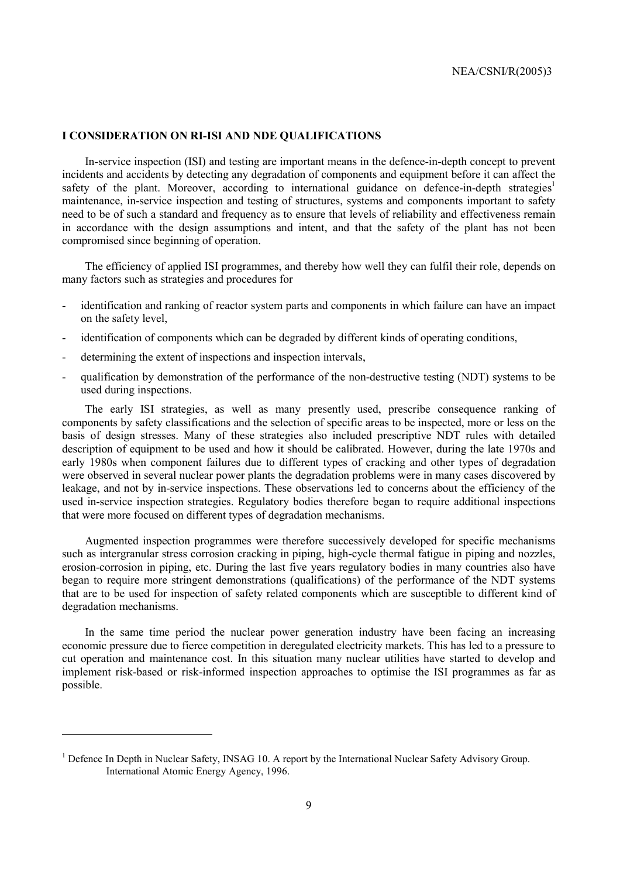# **I CONSIDERATION ON RI-ISI AND NDE QUALIFICATIONS**

In-service inspection (ISI) and testing are important means in the defence-in-depth concept to prevent incidents and accidents by detecting any degradation of components and equipment before it can affect the safety of the plant. Moreover, according to international guidance on defence-in-depth strategies<sup>1</sup> maintenance, in-service inspection and testing of structures, systems and components important to safety need to be of such a standard and frequency as to ensure that levels of reliability and effectiveness remain in accordance with the design assumptions and intent, and that the safety of the plant has not been compromised since beginning of operation.

The efficiency of applied ISI programmes, and thereby how well they can fulfil their role, depends on many factors such as strategies and procedures for

- identification and ranking of reactor system parts and components in which failure can have an impact on the safety level,
- identification of components which can be degraded by different kinds of operating conditions,
- determining the extent of inspections and inspection intervals,

 $\overline{a}$ 

- qualification by demonstration of the performance of the non-destructive testing (NDT) systems to be used during inspections.

The early ISI strategies, as well as many presently used, prescribe consequence ranking of components by safety classifications and the selection of specific areas to be inspected, more or less on the basis of design stresses. Many of these strategies also included prescriptive NDT rules with detailed description of equipment to be used and how it should be calibrated. However, during the late 1970s and early 1980s when component failures due to different types of cracking and other types of degradation were observed in several nuclear power plants the degradation problems were in many cases discovered by leakage, and not by in-service inspections. These observations led to concerns about the efficiency of the used in-service inspection strategies. Regulatory bodies therefore began to require additional inspections that were more focused on different types of degradation mechanisms.

Augmented inspection programmes were therefore successively developed for specific mechanisms such as intergranular stress corrosion cracking in piping, high-cycle thermal fatigue in piping and nozzles, erosion-corrosion in piping, etc. During the last five years regulatory bodies in many countries also have began to require more stringent demonstrations (qualifications) of the performance of the NDT systems that are to be used for inspection of safety related components which are susceptible to different kind of degradation mechanisms.

In the same time period the nuclear power generation industry have been facing an increasing economic pressure due to fierce competition in deregulated electricity markets. This has led to a pressure to cut operation and maintenance cost. In this situation many nuclear utilities have started to develop and implement risk-based or risk-informed inspection approaches to optimise the ISI programmes as far as possible.

<sup>&</sup>lt;sup>1</sup> Defence In Depth in Nuclear Safety, INSAG 10. A report by the International Nuclear Safety Advisory Group. International Atomic Energy Agency, 1996.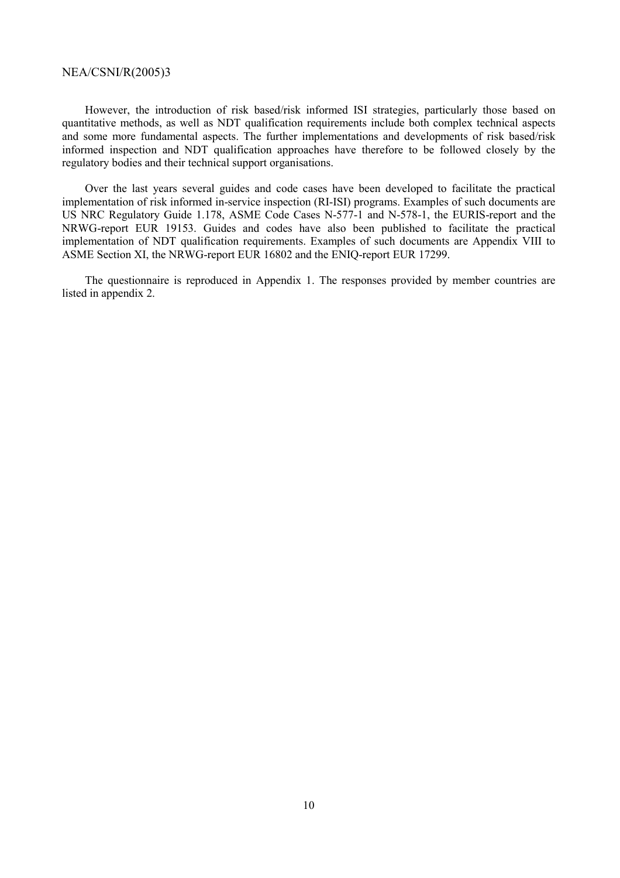However, the introduction of risk based/risk informed ISI strategies, particularly those based on quantitative methods, as well as NDT qualification requirements include both complex technical aspects and some more fundamental aspects. The further implementations and developments of risk based/risk informed inspection and NDT qualification approaches have therefore to be followed closely by the regulatory bodies and their technical support organisations.

Over the last years several guides and code cases have been developed to facilitate the practical implementation of risk informed in-service inspection (RI-ISI) programs. Examples of such documents are US NRC Regulatory Guide 1.178, ASME Code Cases N-577-1 and N-578-1, the EURIS-report and the NRWG-report EUR 19153. Guides and codes have also been published to facilitate the practical implementation of NDT qualification requirements. Examples of such documents are Appendix VIII to ASME Section XI, the NRWG-report EUR 16802 and the ENIQ-report EUR 17299.

The questionnaire is reproduced in Appendix 1. The responses provided by member countries are listed in appendix 2.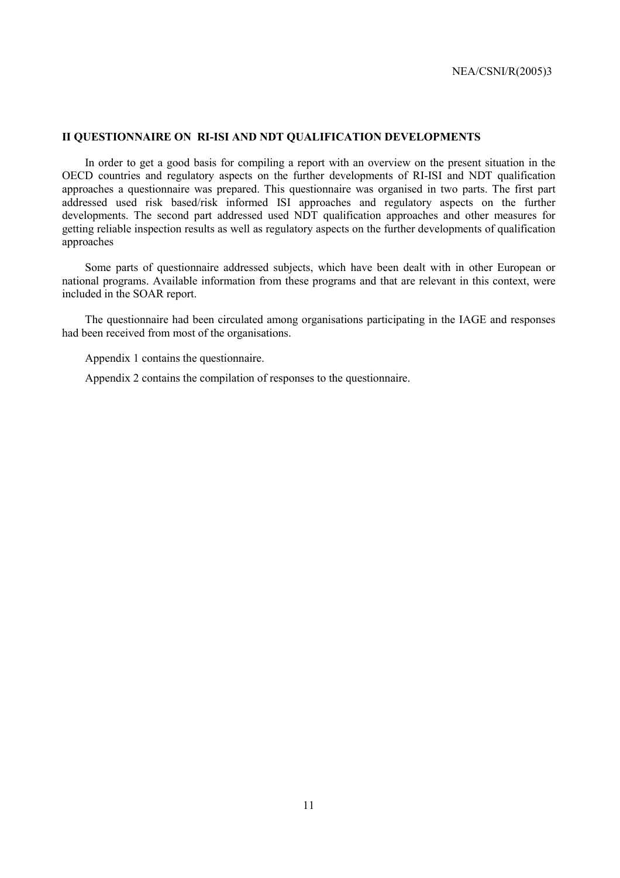# **II QUESTIONNAIRE ON RI-ISI AND NDT QUALIFICATION DEVELOPMENTS**

In order to get a good basis for compiling a report with an overview on the present situation in the OECD countries and regulatory aspects on the further developments of RI-ISI and NDT qualification approaches a questionnaire was prepared. This questionnaire was organised in two parts. The first part addressed used risk based/risk informed ISI approaches and regulatory aspects on the further developments. The second part addressed used NDT qualification approaches and other measures for getting reliable inspection results as well as regulatory aspects on the further developments of qualification approaches

Some parts of questionnaire addressed subjects, which have been dealt with in other European or national programs. Available information from these programs and that are relevant in this context, were included in the SOAR report.

The questionnaire had been circulated among organisations participating in the IAGE and responses had been received from most of the organisations.

Appendix 1 contains the questionnaire.

Appendix 2 contains the compilation of responses to the questionnaire.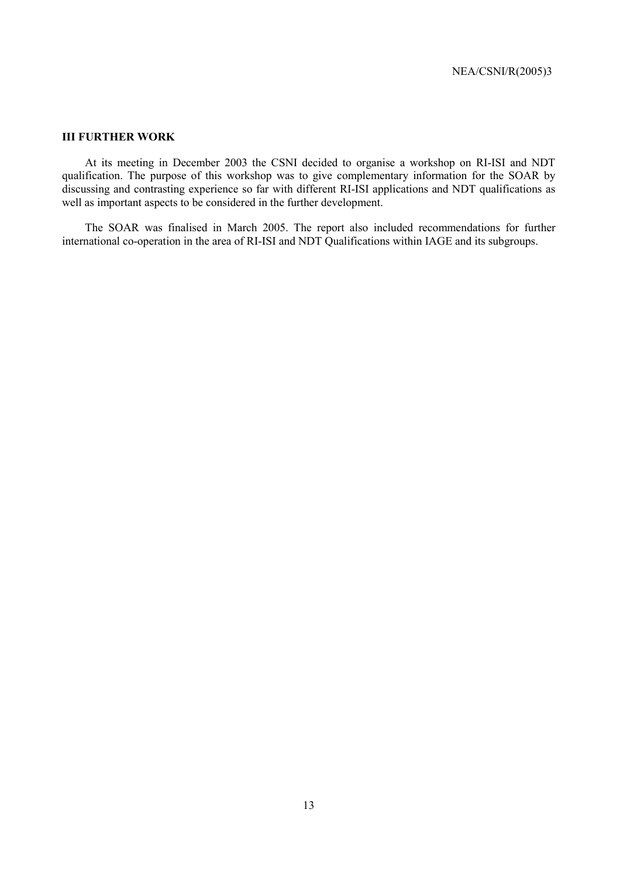# **III FURTHER WORK**

At its meeting in December 2003 the CSNI decided to organise a workshop on RI-ISI and NDT qualification. The purpose of this workshop was to give complementary information for the SOAR by discussing and contrasting experience so far with different RI-ISI applications and NDT qualifications as well as important aspects to be considered in the further development.

The SOAR was finalised in March 2005. The report also included recommendations for further international co-operation in the area of RI-ISI and NDT Qualifications within IAGE and its subgroups.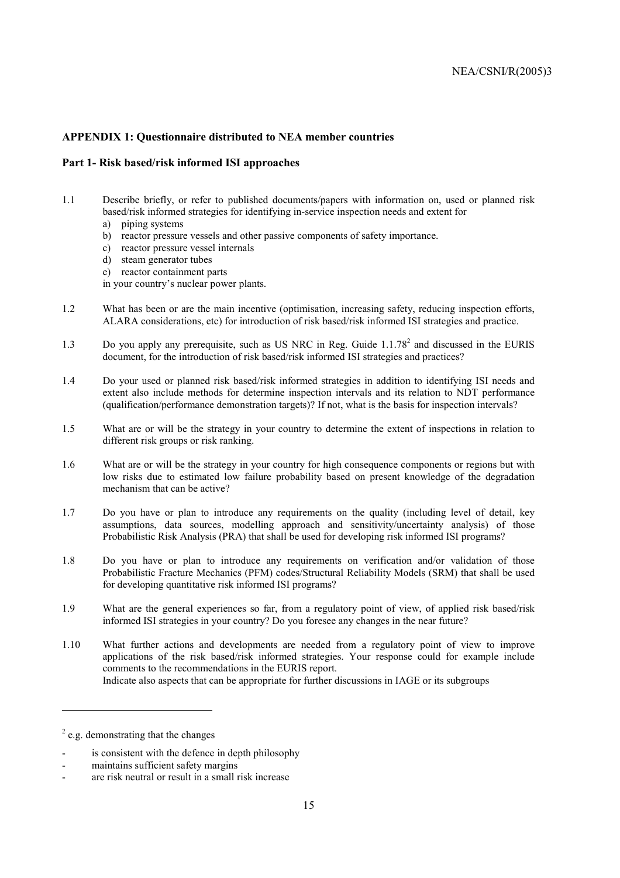# **APPENDIX 1: Questionnaire distributed to NEA member countries**

### **Part 1- Risk based/risk informed ISI approaches**

- 1.1 Describe briefly, or refer to published documents/papers with information on, used or planned risk based/risk informed strategies for identifying in-service inspection needs and extent for
	- a) piping systems
	- b) reactor pressure vessels and other passive components of safety importance.
	- c) reactor pressure vessel internals
	- d) steam generator tubes
	- e) reactor containment parts

in your country's nuclear power plants.

- 1.2 What has been or are the main incentive (optimisation, increasing safety, reducing inspection efforts, ALARA considerations, etc) for introduction of risk based/risk informed ISI strategies and practice.
- 1.3 Do you apply any prerequisite, such as US NRC in Reg. Guide 1.1.78<sup>2</sup> and discussed in the EURIS document, for the introduction of risk based/risk informed ISI strategies and practices?
- 1.4 Do your used or planned risk based/risk informed strategies in addition to identifying ISI needs and extent also include methods for determine inspection intervals and its relation to NDT performance (qualification/performance demonstration targets)? If not, what is the basis for inspection intervals?
- 1.5 What are or will be the strategy in your country to determine the extent of inspections in relation to different risk groups or risk ranking.
- 1.6 What are or will be the strategy in your country for high consequence components or regions but with low risks due to estimated low failure probability based on present knowledge of the degradation mechanism that can be active?
- 1.7 Do you have or plan to introduce any requirements on the quality (including level of detail, key assumptions, data sources, modelling approach and sensitivity/uncertainty analysis) of those Probabilistic Risk Analysis (PRA) that shall be used for developing risk informed ISI programs?
- 1.8 Do you have or plan to introduce any requirements on verification and/or validation of those Probabilistic Fracture Mechanics (PFM) codes/Structural Reliability Models (SRM) that shall be used for developing quantitative risk informed ISI programs?
- 1.9 What are the general experiences so far, from a regulatory point of view, of applied risk based/risk informed ISI strategies in your country? Do you foresee any changes in the near future?
- 1.10 What further actions and developments are needed from a regulatory point of view to improve applications of the risk based/risk informed strategies. Your response could for example include comments to the recommendations in the EURIS report. Indicate also aspects that can be appropriate for further discussions in IAGE or its subgroups

 $\overline{a}$ 

 $2$  e.g. demonstrating that the changes

is consistent with the defence in depth philosophy

maintains sufficient safety margins

are risk neutral or result in a small risk increase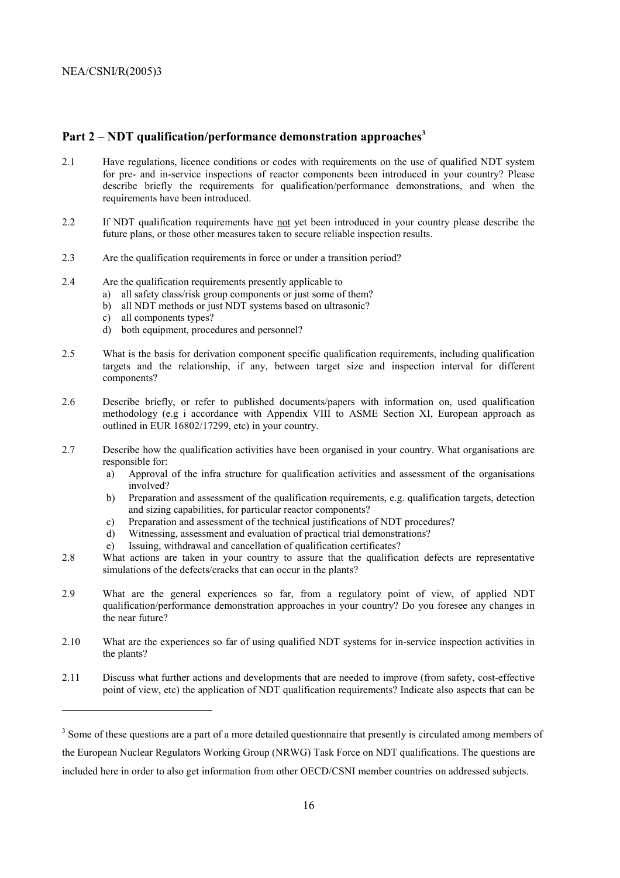# Part 2 – NDT qualification/performance demonstration approaches<sup>3</sup>

- 2.1 Have regulations, licence conditions or codes with requirements on the use of qualified NDT system for pre- and in-service inspections of reactor components been introduced in your country? Please describe briefly the requirements for qualification/performance demonstrations, and when the requirements have been introduced.
- 2.2 If NDT qualification requirements have not yet been introduced in your country please describe the future plans, or those other measures taken to secure reliable inspection results.
- 2.3 Are the qualification requirements in force or under a transition period?
- 2.4 Are the qualification requirements presently applicable to
	- a) all safety class/risk group components or just some of them?
	- b) all NDT methods or just NDT systems based on ultrasonic?
	- c) all components types?

 $\overline{a}$ 

- d) both equipment, procedures and personnel?
- 2.5 What is the basis for derivation component specific qualification requirements, including qualification targets and the relationship, if any, between target size and inspection interval for different components?
- 2.6 Describe briefly, or refer to published documents/papers with information on, used qualification methodology (e.g i accordance with Appendix VIII to ASME Section XI, European approach as outlined in EUR 16802/17299, etc) in your country.
- 2.7 Describe how the qualification activities have been organised in your country. What organisations are responsible for:
	- a) Approval of the infra structure for qualification activities and assessment of the organisations involved?
	- b) Preparation and assessment of the qualification requirements, e.g. qualification targets, detection and sizing capabilities, for particular reactor components?
	- c) Preparation and assessment of the technical justifications of NDT procedures?
	- d) Witnessing, assessment and evaluation of practical trial demonstrations?
	- e) Issuing, withdrawal and cancellation of qualification certificates?
- 2.8 What actions are taken in your country to assure that the qualification defects are representative simulations of the defects/cracks that can occur in the plants?
- 2.9 What are the general experiences so far, from a regulatory point of view, of applied NDT qualification/performance demonstration approaches in your country? Do you foresee any changes in the near future?
- 2.10 What are the experiences so far of using qualified NDT systems for in-service inspection activities in the plants?
- 2.11 Discuss what further actions and developments that are needed to improve (from safety, cost-effective point of view, etc) the application of NDT qualification requirements? Indicate also aspects that can be

<sup>&</sup>lt;sup>3</sup> Some of these questions are a part of a more detailed questionnaire that presently is circulated among members of the European Nuclear Regulators Working Group (NRWG) Task Force on NDT qualifications. The questions are included here in order to also get information from other OECD/CSNI member countries on addressed subjects.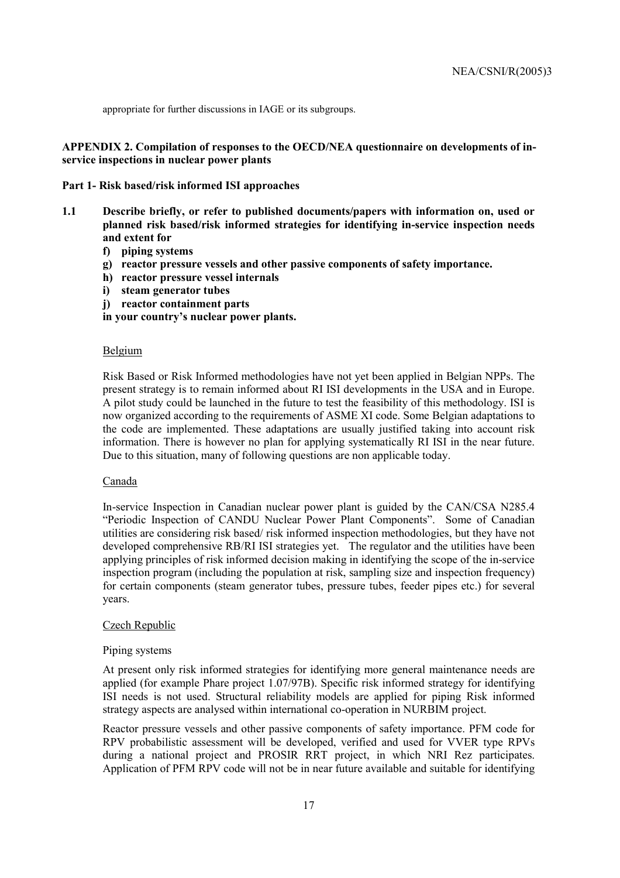appropriate for further discussions in IAGE or its subgroups.

# **APPENDIX 2. Compilation of responses to the OECD/NEA questionnaire on developments of inservice inspections in nuclear power plants**

#### **Part 1- Risk based/risk informed ISI approaches**

- **1.1 Describe briefly, or refer to published documents/papers with information on, used or planned risk based/risk informed strategies for identifying in-service inspection needs and extent for** 
	- **f) piping systems**
	- **g) reactor pressure vessels and other passive components of safety importance.**
	- **h) reactor pressure vessel internals**
	- **i) steam generator tubes**
	- **j) reactor containment parts**

**in your country's nuclear power plants.** 

#### Belgium

Risk Based or Risk Informed methodologies have not yet been applied in Belgian NPPs. The present strategy is to remain informed about RI ISI developments in the USA and in Europe. A pilot study could be launched in the future to test the feasibility of this methodology. ISI is now organized according to the requirements of ASME XI code. Some Belgian adaptations to the code are implemented. These adaptations are usually justified taking into account risk information. There is however no plan for applying systematically RI ISI in the near future. Due to this situation, many of following questions are non applicable today.

#### Canada

In-service Inspection in Canadian nuclear power plant is guided by the CAN/CSA N285.4 "Periodic Inspection of CANDU Nuclear Power Plant Components". Some of Canadian utilities are considering risk based/ risk informed inspection methodologies, but they have not developed comprehensive RB/RI ISI strategies yet. The regulator and the utilities have been applying principles of risk informed decision making in identifying the scope of the in-service inspection program (including the population at risk, sampling size and inspection frequency) for certain components (steam generator tubes, pressure tubes, feeder pipes etc.) for several years.

# Czech Republic

#### Piping systems

At present only risk informed strategies for identifying more general maintenance needs are applied (for example Phare project 1.07/97B). Specific risk informed strategy for identifying ISI needs is not used. Structural reliability models are applied for piping Risk informed strategy aspects are analysed within international co-operation in NURBIM project.

Reactor pressure vessels and other passive components of safety importance. PFM code for RPV probabilistic assessment will be developed, verified and used for VVER type RPVs during a national project and PROSIR RRT project, in which NRI Rez participates. Application of PFM RPV code will not be in near future available and suitable for identifying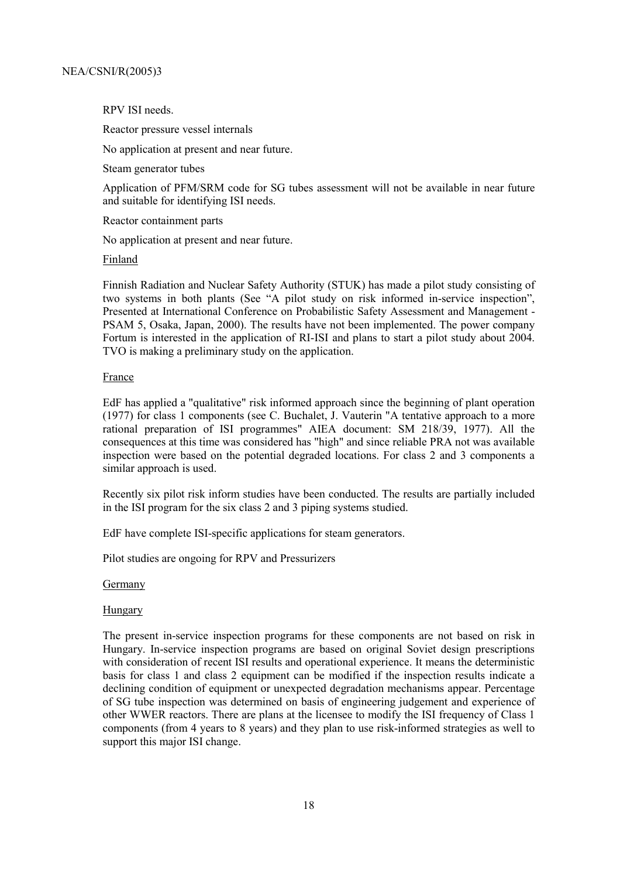# RPV ISI needs.

Reactor pressure vessel internals

No application at present and near future.

Steam generator tubes

Application of PFM/SRM code for SG tubes assessment will not be available in near future and suitable for identifying ISI needs.

Reactor containment parts

No application at present and near future.

# Finland

Finnish Radiation and Nuclear Safety Authority (STUK) has made a pilot study consisting of two systems in both plants (See "A pilot study on risk informed in-service inspection", Presented at International Conference on Probabilistic Safety Assessment and Management - PSAM 5, Osaka, Japan, 2000). The results have not been implemented. The power company Fortum is interested in the application of RI-ISI and plans to start a pilot study about 2004. TVO is making a preliminary study on the application.

# France

EdF has applied a "qualitative" risk informed approach since the beginning of plant operation (1977) for class 1 components (see C. Buchalet, J. Vauterin "A tentative approach to a more rational preparation of ISI programmes" AIEA document: SM 218/39, 1977). All the consequences at this time was considered has "high" and since reliable PRA not was available inspection were based on the potential degraded locations. For class 2 and 3 components a similar approach is used.

Recently six pilot risk inform studies have been conducted. The results are partially included in the ISI program for the six class 2 and 3 piping systems studied.

EdF have complete ISI-specific applications for steam generators.

Pilot studies are ongoing for RPV and Pressurizers

# Germany

# Hungary

The present in-service inspection programs for these components are not based on risk in Hungary. In-service inspection programs are based on original Soviet design prescriptions with consideration of recent ISI results and operational experience. It means the deterministic basis for class 1 and class 2 equipment can be modified if the inspection results indicate a declining condition of equipment or unexpected degradation mechanisms appear. Percentage of SG tube inspection was determined on basis of engineering judgement and experience of other WWER reactors. There are plans at the licensee to modify the ISI frequency of Class 1 components (from 4 years to 8 years) and they plan to use risk-informed strategies as well to support this major ISI change.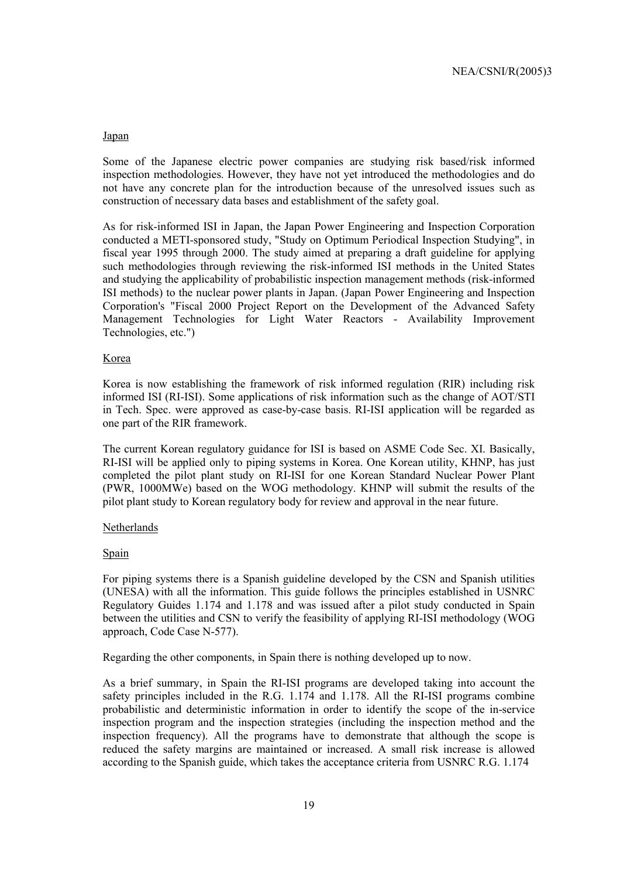# Japan

Some of the Japanese electric power companies are studying risk based/risk informed inspection methodologies. However, they have not yet introduced the methodologies and do not have any concrete plan for the introduction because of the unresolved issues such as construction of necessary data bases and establishment of the safety goal.

As for risk-informed ISI in Japan, the Japan Power Engineering and Inspection Corporation conducted a METI-sponsored study, "Study on Optimum Periodical Inspection Studying", in fiscal year 1995 through 2000. The study aimed at preparing a draft guideline for applying such methodologies through reviewing the risk-informed ISI methods in the United States and studying the applicability of probabilistic inspection management methods (risk-informed ISI methods) to the nuclear power plants in Japan. (Japan Power Engineering and Inspection Corporation's "Fiscal 2000 Project Report on the Development of the Advanced Safety Management Technologies for Light Water Reactors - Availability Improvement Technologies, etc.")

# Korea

Korea is now establishing the framework of risk informed regulation (RIR) including risk informed ISI (RI-ISI). Some applications of risk information such as the change of AOT/STI in Tech. Spec. were approved as case-by-case basis. RI-ISI application will be regarded as one part of the RIR framework.

The current Korean regulatory guidance for ISI is based on ASME Code Sec. XI. Basically, RI-ISI will be applied only to piping systems in Korea. One Korean utility, KHNP, has just completed the pilot plant study on RI-ISI for one Korean Standard Nuclear Power Plant (PWR, 1000MWe) based on the WOG methodology. KHNP will submit the results of the pilot plant study to Korean regulatory body for review and approval in the near future.

# Netherlands

# Spain

For piping systems there is a Spanish guideline developed by the CSN and Spanish utilities (UNESA) with all the information. This guide follows the principles established in USNRC Regulatory Guides 1.174 and 1.178 and was issued after a pilot study conducted in Spain between the utilities and CSN to verify the feasibility of applying RI-ISI methodology (WOG approach, Code Case N-577).

Regarding the other components, in Spain there is nothing developed up to now.

As a brief summary, in Spain the RI-ISI programs are developed taking into account the safety principles included in the R.G. 1.174 and 1.178. All the RI-ISI programs combine probabilistic and deterministic information in order to identify the scope of the in-service inspection program and the inspection strategies (including the inspection method and the inspection frequency). All the programs have to demonstrate that although the scope is reduced the safety margins are maintained or increased. A small risk increase is allowed according to the Spanish guide, which takes the acceptance criteria from USNRC R.G. 1.174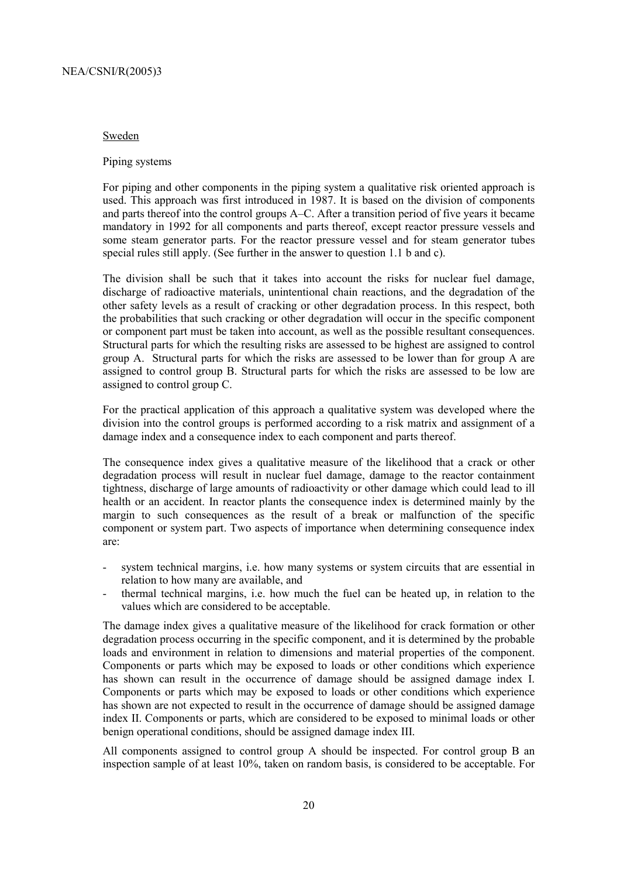# Sweden

Piping systems

For piping and other components in the piping system a qualitative risk oriented approach is used. This approach was first introduced in 1987. It is based on the division of components and parts thereof into the control groups A–C. After a transition period of five years it became mandatory in 1992 for all components and parts thereof, except reactor pressure vessels and some steam generator parts. For the reactor pressure vessel and for steam generator tubes special rules still apply. (See further in the answer to question 1.1 b and c).

The division shall be such that it takes into account the risks for nuclear fuel damage, discharge of radioactive materials, unintentional chain reactions, and the degradation of the other safety levels as a result of cracking or other degradation process. In this respect, both the probabilities that such cracking or other degradation will occur in the specific component or component part must be taken into account, as well as the possible resultant consequences. Structural parts for which the resulting risks are assessed to be highest are assigned to control group A. Structural parts for which the risks are assessed to be lower than for group A are assigned to control group B. Structural parts for which the risks are assessed to be low are assigned to control group C.

For the practical application of this approach a qualitative system was developed where the division into the control groups is performed according to a risk matrix and assignment of a damage index and a consequence index to each component and parts thereof.

The consequence index gives a qualitative measure of the likelihood that a crack or other degradation process will result in nuclear fuel damage, damage to the reactor containment tightness, discharge of large amounts of radioactivity or other damage which could lead to ill health or an accident. In reactor plants the consequence index is determined mainly by the margin to such consequences as the result of a break or malfunction of the specific component or system part. Two aspects of importance when determining consequence index are:

- system technical margins, i.e. how many systems or system circuits that are essential in relation to how many are available, and
- thermal technical margins, i.e. how much the fuel can be heated up, in relation to the values which are considered to be acceptable.

The damage index gives a qualitative measure of the likelihood for crack formation or other degradation process occurring in the specific component, and it is determined by the probable loads and environment in relation to dimensions and material properties of the component. Components or parts which may be exposed to loads or other conditions which experience has shown can result in the occurrence of damage should be assigned damage index I. Components or parts which may be exposed to loads or other conditions which experience has shown are not expected to result in the occurrence of damage should be assigned damage index II. Components or parts, which are considered to be exposed to minimal loads or other benign operational conditions, should be assigned damage index III.

All components assigned to control group A should be inspected. For control group B an inspection sample of at least 10%, taken on random basis, is considered to be acceptable. For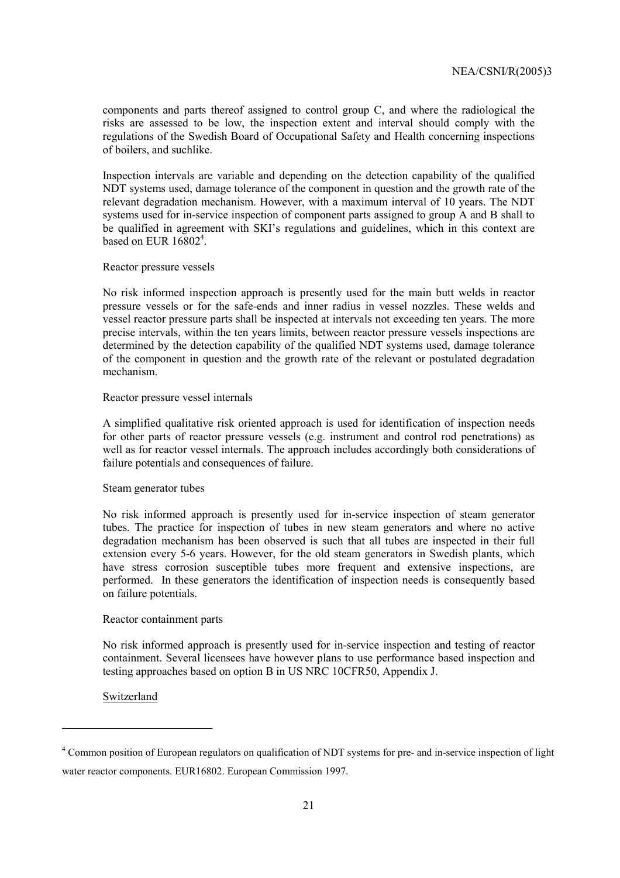components and parts thereof assigned to control group C, and where the radiological the risks are assessed to be low, the inspection extent and interval should comply with the regulations of the Swedish Board of Occupational Safety and Health concerning inspections of boilers, and suchlike.

Inspection intervals are variable and depending on the detection capability of the qualified NDT systems used, damage tolerance of the component in question and the growth rate of the relevant degradation mechanism. However, with a maximum interval of 10 years. The NDT systems used for in-service inspection of component parts assigned to group A and B shall to be qualified in agreement with SKI's regulations and guidelines, which in this context are based on EUR  $16802^4$ .

#### Reactor pressure vessels

No risk informed inspection approach is presently used for the main butt welds in reactor pressure vessels or for the safe-ends and inner radius in vessel nozzles. These welds and vessel reactor pressure parts shall be inspected at intervals not exceeding ten years. The more precise intervals, within the ten years limits, between reactor pressure vessels inspections are determined by the detection capability of the qualified NDT systems used, damage tolerance of the component in question and the growth rate of the relevant or postulated degradation mechanism.

#### Reactor pressure vessel internals

A simplified qualitative risk oriented approach is used for identification of inspection needs for other parts of reactor pressure vessels (e.g. instrument and control rod penetrations) as well as for reactor vessel internals. The approach includes accordingly both considerations of failure potentials and consequences of failure.

# Steam generator tubes

No risk informed approach is presently used for in-service inspection of steam generator tubes. The practice for inspection of tubes in new steam generators and where no active degradation mechanism has been observed is such that all tubes are inspected in their full extension every 5-6 years. However, for the old steam generators in Swedish plants, which have stress corrosion susceptible tubes more frequent and extensive inspections, are performed. In these generators the identification of inspection needs is consequently based on failure potentials.

#### Reactor containment parts

No risk informed approach is presently used for in-service inspection and testing of reactor containment. Several licensees have however plans to use performance based inspection and testing approaches based on option B in US NRC 10CFR50, Appendix J.

#### Switzerland

 $\overline{a}$ 

<sup>&</sup>lt;sup>4</sup> Common position of European regulators on qualification of NDT systems for pre- and in-service inspection of light water reactor components. EUR16802. European Commission 1997.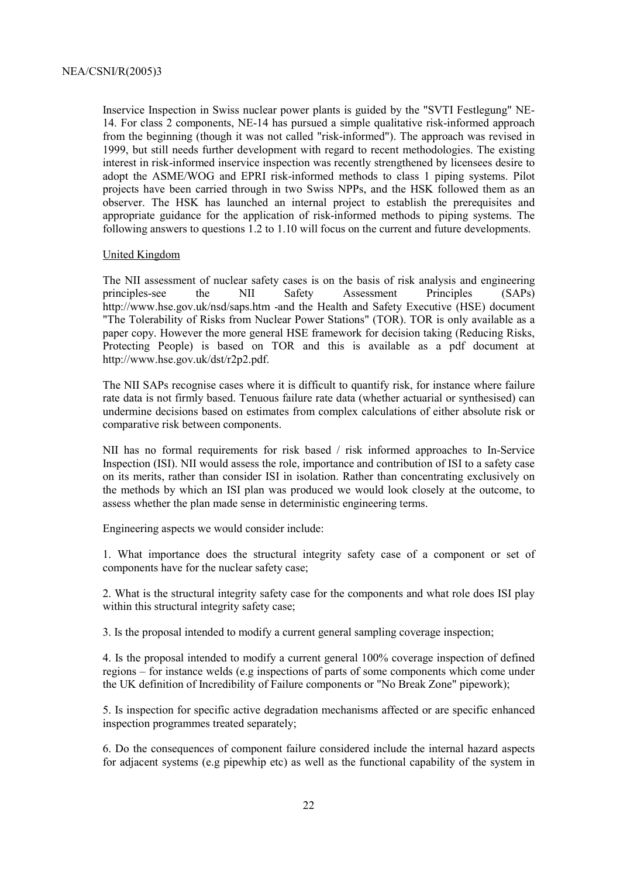Inservice Inspection in Swiss nuclear power plants is guided by the "SVTI Festlegung" NE-14. For class 2 components, NE-14 has pursued a simple qualitative risk-informed approach from the beginning (though it was not called "risk-informed"). The approach was revised in 1999, but still needs further development with regard to recent methodologies. The existing interest in risk-informed inservice inspection was recently strengthened by licensees desire to adopt the ASME/WOG and EPRI risk-informed methods to class 1 piping systems. Pilot projects have been carried through in two Swiss NPPs, and the HSK followed them as an observer. The HSK has launched an internal project to establish the prerequisites and appropriate guidance for the application of risk-informed methods to piping systems. The following answers to questions 1.2 to 1.10 will focus on the current and future developments.

# United Kingdom

The NII assessment of nuclear safety cases is on the basis of risk analysis and engineering principles-see the NII Safety Assessment Principles (SAPs) http://www.hse.gov.uk/nsd/saps.htm -and the Health and Safety Executive (HSE) document "The Tolerability of Risks from Nuclear Power Stations" (TOR). TOR is only available as a paper copy. However the more general HSE framework for decision taking (Reducing Risks, Protecting People) is based on TOR and this is available as a pdf document at http://www.hse.gov.uk/dst/r2p2.pdf.

The NII SAPs recognise cases where it is difficult to quantify risk, for instance where failure rate data is not firmly based. Tenuous failure rate data (whether actuarial or synthesised) can undermine decisions based on estimates from complex calculations of either absolute risk or comparative risk between components.

NII has no formal requirements for risk based / risk informed approaches to In-Service Inspection (ISI). NII would assess the role, importance and contribution of ISI to a safety case on its merits, rather than consider ISI in isolation. Rather than concentrating exclusively on the methods by which an ISI plan was produced we would look closely at the outcome, to assess whether the plan made sense in deterministic engineering terms.

Engineering aspects we would consider include:

1. What importance does the structural integrity safety case of a component or set of components have for the nuclear safety case;

2. What is the structural integrity safety case for the components and what role does ISI play within this structural integrity safety case;

3. Is the proposal intended to modify a current general sampling coverage inspection;

4. Is the proposal intended to modify a current general 100% coverage inspection of defined regions – for instance welds (e.g inspections of parts of some components which come under the UK definition of Incredibility of Failure components or "No Break Zone" pipework);

5. Is inspection for specific active degradation mechanisms affected or are specific enhanced inspection programmes treated separately;

6. Do the consequences of component failure considered include the internal hazard aspects for adjacent systems (e.g pipewhip etc) as well as the functional capability of the system in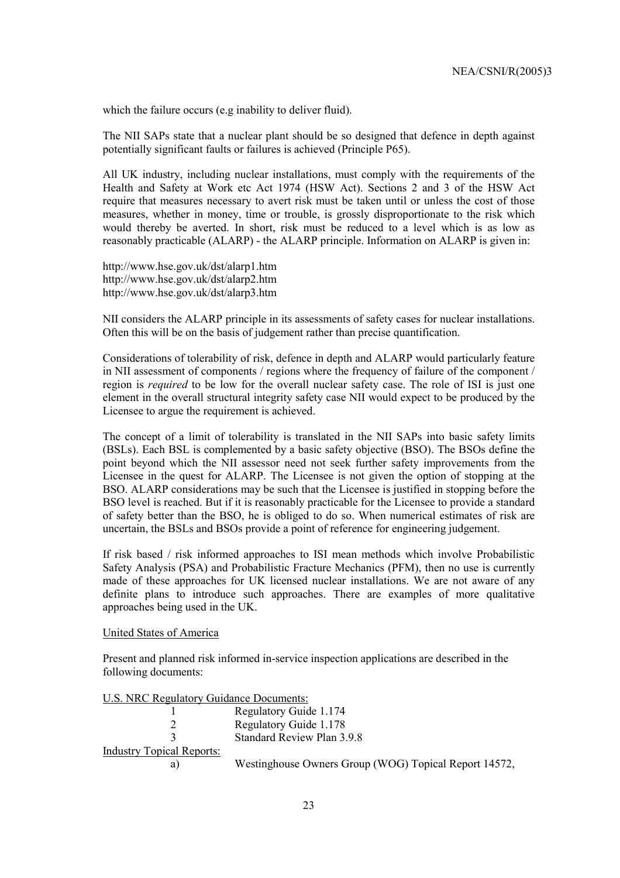which the failure occurs (e.g inability to deliver fluid).

The NII SAPs state that a nuclear plant should be so designed that defence in depth against potentially significant faults or failures is achieved (Principle P65).

All UK industry, including nuclear installations, must comply with the requirements of the Health and Safety at Work etc Act 1974 (HSW Act). Sections 2 and 3 of the HSW Act require that measures necessary to avert risk must be taken until or unless the cost of those measures, whether in money, time or trouble, is grossly disproportionate to the risk which would thereby be averted. In short, risk must be reduced to a level which is as low as reasonably practicable (ALARP) - the ALARP principle. Information on ALARP is given in:

http://www.hse.gov.uk/dst/alarp1.htm http://www.hse.gov.uk/dst/alarp2.htm http://www.hse.gov.uk/dst/alarp3.htm

NII considers the ALARP principle in its assessments of safety cases for nuclear installations. Often this will be on the basis of judgement rather than precise quantification.

Considerations of tolerability of risk, defence in depth and ALARP would particularly feature in NII assessment of components / regions where the frequency of failure of the component / region is *required* to be low for the overall nuclear safety case. The role of ISI is just one element in the overall structural integrity safety case NII would expect to be produced by the Licensee to argue the requirement is achieved.

The concept of a limit of tolerability is translated in the NII SAPs into basic safety limits (BSLs). Each BSL is complemented by a basic safety objective (BSO). The BSOs define the point beyond which the NII assessor need not seek further safety improvements from the Licensee in the quest for ALARP. The Licensee is not given the option of stopping at the BSO. ALARP considerations may be such that the Licensee is justified in stopping before the BSO level is reached. But if it is reasonably practicable for the Licensee to provide a standard of safety better than the BSO, he is obliged to do so. When numerical estimates of risk are uncertain, the BSLs and BSOs provide a point of reference for engineering judgement.

If risk based / risk informed approaches to ISI mean methods which involve Probabilistic Safety Analysis (PSA) and Probabilistic Fracture Mechanics (PFM), then no use is currently made of these approaches for UK licensed nuclear installations. We are not aware of any definite plans to introduce such approaches. There are examples of more qualitative approaches being used in the UK.

# United States of America

Present and planned risk informed in-service inspection applications are described in the following documents:

| U.S. NRC Regulatory Guidance Documents: |                                                       |  |
|-----------------------------------------|-------------------------------------------------------|--|
|                                         | Regulatory Guide 1.174                                |  |
|                                         | Regulatory Guide 1.178                                |  |
|                                         | Standard Review Plan 3.9.8                            |  |
| <b>Industry Topical Reports:</b>        |                                                       |  |
| a)                                      | Westinghouse Owners Group (WOG) Topical Report 14572, |  |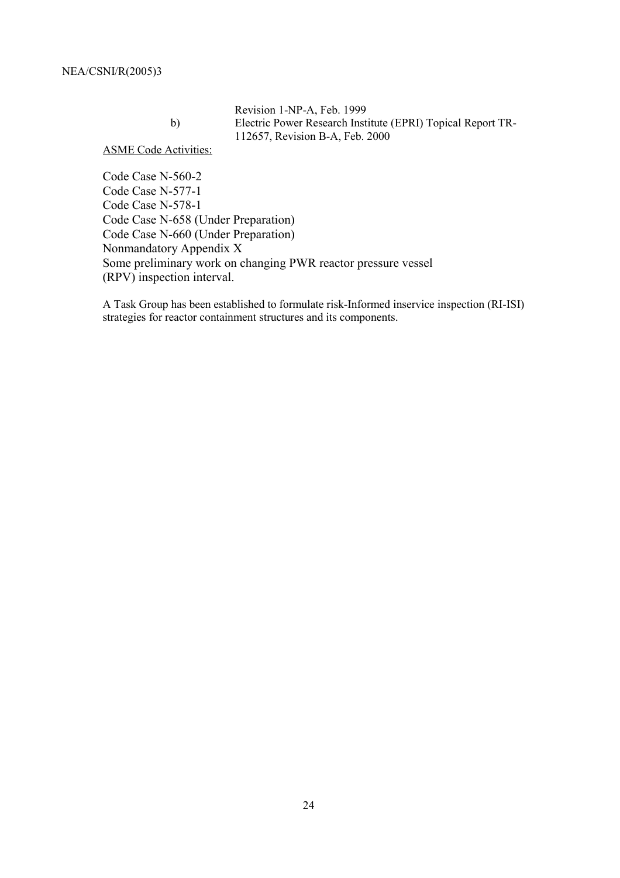Revision 1-NP-A, Feb. 1999 b) Electric Power Research Institute (EPRI) Topical Report TR-112657, Revision B-A, Feb. 2000

ASME Code Activities:

Code Case N-560-2 Code Case N-577-1 Code Case N-578-1 Code Case N-658 (Under Preparation) Code Case N-660 (Under Preparation) Nonmandatory Appendix X Some preliminary work on changing PWR reactor pressure vessel (RPV) inspection interval.

A Task Group has been established to formulate risk-Informed inservice inspection (RI-ISI) strategies for reactor containment structures and its components.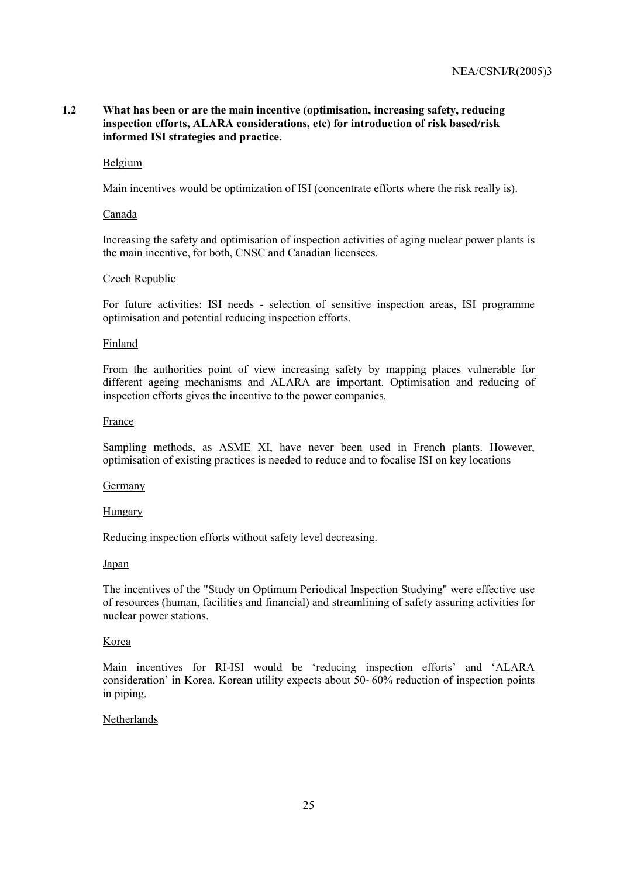# **1.2 What has been or are the main incentive (optimisation, increasing safety, reducing inspection efforts, ALARA considerations, etc) for introduction of risk based/risk informed ISI strategies and practice.**

# Belgium

Main incentives would be optimization of ISI (concentrate efforts where the risk really is).

# Canada

Increasing the safety and optimisation of inspection activities of aging nuclear power plants is the main incentive, for both, CNSC and Canadian licensees.

# Czech Republic

For future activities: ISI needs - selection of sensitive inspection areas, ISI programme optimisation and potential reducing inspection efforts.

#### Finland

From the authorities point of view increasing safety by mapping places vulnerable for different ageing mechanisms and ALARA are important. Optimisation and reducing of inspection efforts gives the incentive to the power companies.

#### France

Sampling methods, as ASME XI, have never been used in French plants. However, optimisation of existing practices is needed to reduce and to focalise ISI on key locations

#### Germany

#### Hungary

Reducing inspection efforts without safety level decreasing.

## Japan

The incentives of the "Study on Optimum Periodical Inspection Studying" were effective use of resources (human, facilities and financial) and streamlining of safety assuring activities for nuclear power stations.

#### Korea

Main incentives for RI-ISI would be 'reducing inspection efforts' and 'ALARA consideration' in Korea. Korean utility expects about 50~60% reduction of inspection points in piping.

# Netherlands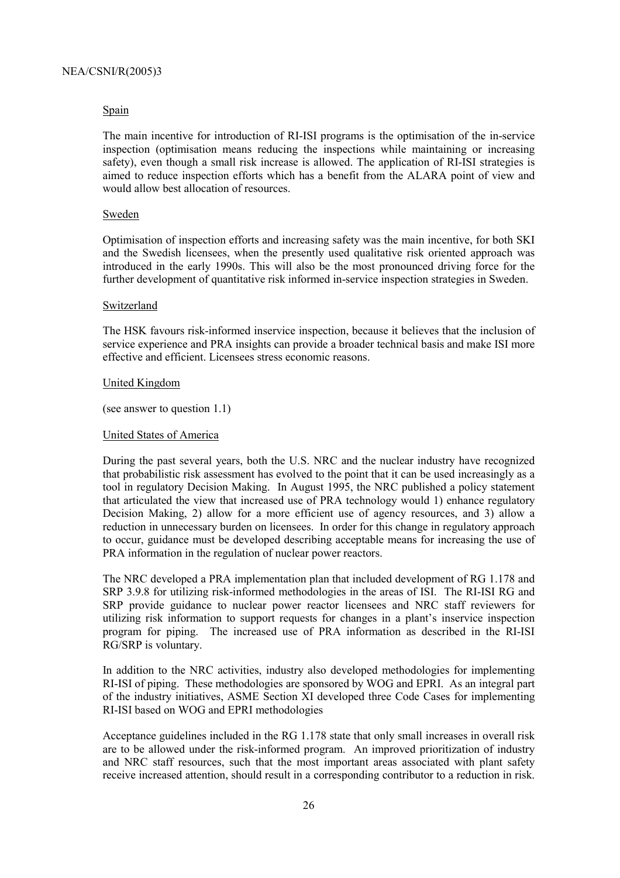# Spain

The main incentive for introduction of RI-ISI programs is the optimisation of the in-service inspection (optimisation means reducing the inspections while maintaining or increasing safety), even though a small risk increase is allowed. The application of RI-ISI strategies is aimed to reduce inspection efforts which has a benefit from the ALARA point of view and would allow best allocation of resources.

# Sweden

Optimisation of inspection efforts and increasing safety was the main incentive, for both SKI and the Swedish licensees, when the presently used qualitative risk oriented approach was introduced in the early 1990s. This will also be the most pronounced driving force for the further development of quantitative risk informed in-service inspection strategies in Sweden.

# Switzerland

The HSK favours risk-informed inservice inspection, because it believes that the inclusion of service experience and PRA insights can provide a broader technical basis and make ISI more effective and efficient. Licensees stress economic reasons.

# United Kingdom

(see answer to question 1.1)

# United States of America

During the past several years, both the U.S. NRC and the nuclear industry have recognized that probabilistic risk assessment has evolved to the point that it can be used increasingly as a tool in regulatory Decision Making. In August 1995, the NRC published a policy statement that articulated the view that increased use of PRA technology would 1) enhance regulatory Decision Making, 2) allow for a more efficient use of agency resources, and 3) allow a reduction in unnecessary burden on licensees. In order for this change in regulatory approach to occur, guidance must be developed describing acceptable means for increasing the use of PRA information in the regulation of nuclear power reactors.

The NRC developed a PRA implementation plan that included development of RG 1.178 and SRP 3.9.8 for utilizing risk-informed methodologies in the areas of ISI. The RI-ISI RG and SRP provide guidance to nuclear power reactor licensees and NRC staff reviewers for utilizing risk information to support requests for changes in a plant's inservice inspection program for piping. The increased use of PRA information as described in the RI-ISI RG/SRP is voluntary.

In addition to the NRC activities, industry also developed methodologies for implementing RI-ISI of piping. These methodologies are sponsored by WOG and EPRI. As an integral part of the industry initiatives, ASME Section XI developed three Code Cases for implementing RI-ISI based on WOG and EPRI methodologies

Acceptance guidelines included in the RG 1.178 state that only small increases in overall risk are to be allowed under the risk-informed program. An improved prioritization of industry and NRC staff resources, such that the most important areas associated with plant safety receive increased attention, should result in a corresponding contributor to a reduction in risk.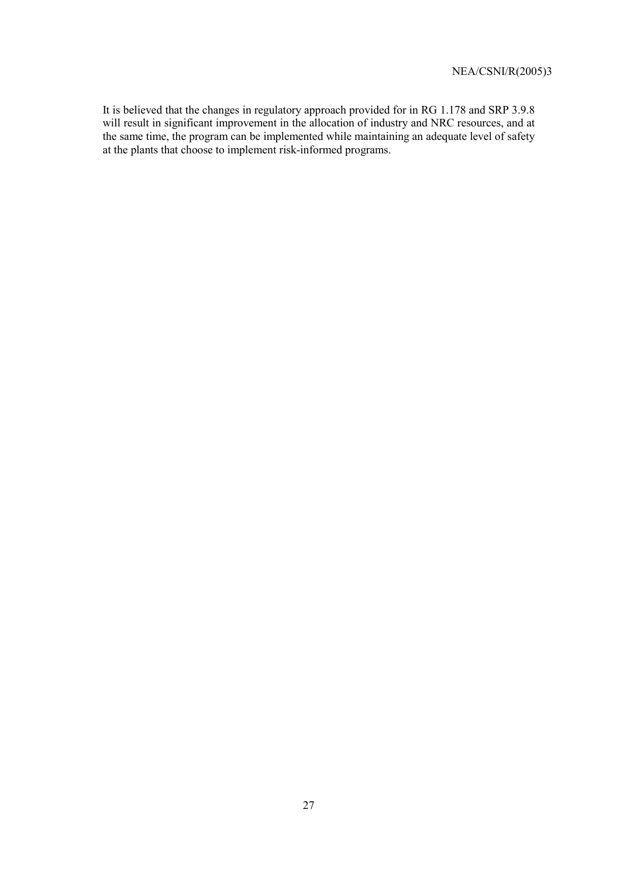It is believed that the changes in regulatory approach provided for in RG 1.178 and SRP 3.9.8 will result in significant improvement in the allocation of industry and NRC resources, and at the same time, the program can be implemented while maintaining an adequate level of safety at the plants that choose to implement risk-informed programs.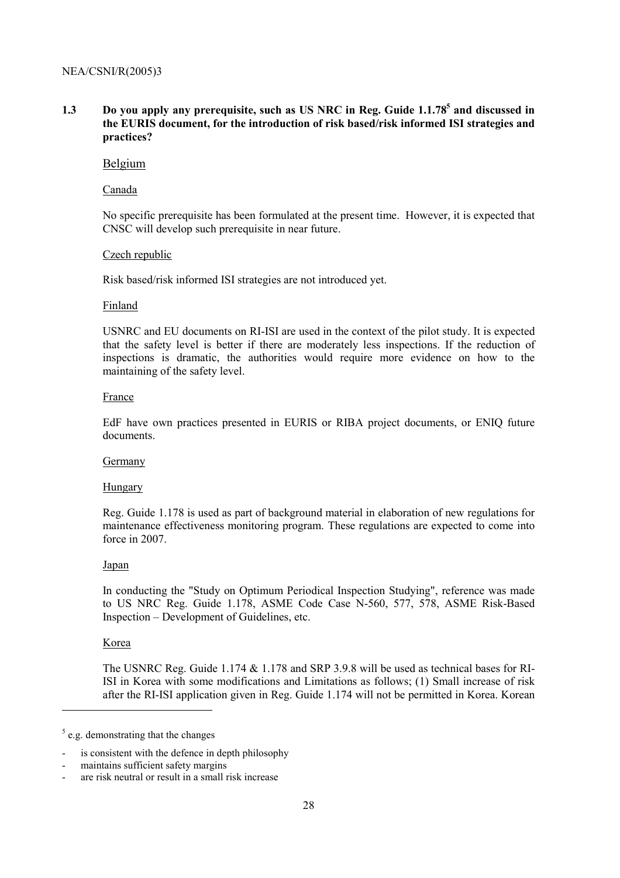1.3 Do you apply any prerequisite, such as US NRC in Reg. Guide 1.1.78<sup>5</sup> and discussed in **the EURIS document, for the introduction of risk based/risk informed ISI strategies and practices?** 

# Belgium

#### Canada

No specific prerequisite has been formulated at the present time. However, it is expected that CNSC will develop such prerequisite in near future.

#### Czech republic

Risk based/risk informed ISI strategies are not introduced yet.

# Finland

USNRC and EU documents on RI-ISI are used in the context of the pilot study. It is expected that the safety level is better if there are moderately less inspections. If the reduction of inspections is dramatic, the authorities would require more evidence on how to the maintaining of the safety level.

#### France

EdF have own practices presented in EURIS or RIBA project documents, or ENIQ future documents.

#### **Germany**

#### **Hungary**

Reg. Guide 1.178 is used as part of background material in elaboration of new regulations for maintenance effectiveness monitoring program. These regulations are expected to come into force in 2007.

#### Japan

In conducting the "Study on Optimum Periodical Inspection Studying", reference was made to US NRC Reg. Guide 1.178, ASME Code Case N-560, 577, 578, ASME Risk-Based Inspection – Development of Guidelines, etc.

# Korea

 $\overline{a}$ 

The USNRC Reg. Guide 1.174 & 1.178 and SRP 3.9.8 will be used as technical bases for RI-ISI in Korea with some modifications and Limitations as follows; (1) Small increase of risk after the RI-ISI application given in Reg. Guide 1.174 will not be permitted in Korea. Korean

<sup>&</sup>lt;sup>5</sup> e.g. demonstrating that the changes

is consistent with the defence in depth philosophy

maintains sufficient safety margins

are risk neutral or result in a small risk increase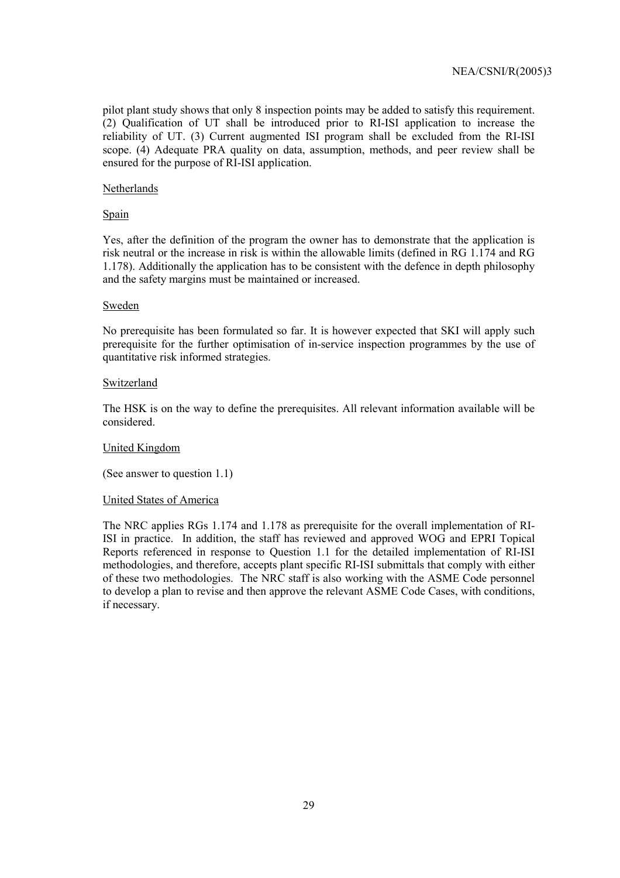pilot plant study shows that only 8 inspection points may be added to satisfy this requirement. (2) Qualification of UT shall be introduced prior to RI-ISI application to increase the reliability of UT. (3) Current augmented ISI program shall be excluded from the RI-ISI scope. (4) Adequate PRA quality on data, assumption, methods, and peer review shall be ensured for the purpose of RI-ISI application.

# Netherlands

# Spain

Yes, after the definition of the program the owner has to demonstrate that the application is risk neutral or the increase in risk is within the allowable limits (defined in RG 1.174 and RG 1.178). Additionally the application has to be consistent with the defence in depth philosophy and the safety margins must be maintained or increased.

# Sweden

No prerequisite has been formulated so far. It is however expected that SKI will apply such prerequisite for the further optimisation of in-service inspection programmes by the use of quantitative risk informed strategies.

#### Switzerland

The HSK is on the way to define the prerequisites. All relevant information available will be considered.

#### United Kingdom

(See answer to question 1.1)

#### United States of America

The NRC applies RGs 1.174 and 1.178 as prerequisite for the overall implementation of RI-ISI in practice. In addition, the staff has reviewed and approved WOG and EPRI Topical Reports referenced in response to Question 1.1 for the detailed implementation of RI-ISI methodologies, and therefore, accepts plant specific RI-ISI submittals that comply with either of these two methodologies. The NRC staff is also working with the ASME Code personnel to develop a plan to revise and then approve the relevant ASME Code Cases, with conditions, if necessary.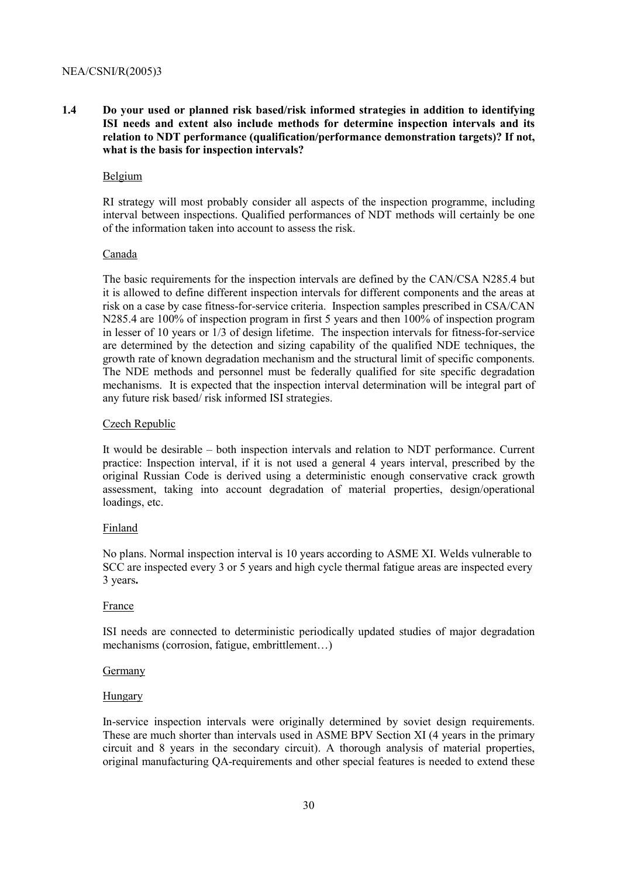# **1.4 Do your used or planned risk based/risk informed strategies in addition to identifying ISI needs and extent also include methods for determine inspection intervals and its relation to NDT performance (qualification/performance demonstration targets)? If not, what is the basis for inspection intervals?**

# Belgium

RI strategy will most probably consider all aspects of the inspection programme, including interval between inspections. Qualified performances of NDT methods will certainly be one of the information taken into account to assess the risk.

# Canada

The basic requirements for the inspection intervals are defined by the CAN/CSA N285.4 but it is allowed to define different inspection intervals for different components and the areas at risk on a case by case fitness-for-service criteria. Inspection samples prescribed in CSA/CAN N285.4 are 100% of inspection program in first 5 years and then 100% of inspection program in lesser of 10 years or 1/3 of design lifetime. The inspection intervals for fitness-for-service are determined by the detection and sizing capability of the qualified NDE techniques, the growth rate of known degradation mechanism and the structural limit of specific components. The NDE methods and personnel must be federally qualified for site specific degradation mechanisms. It is expected that the inspection interval determination will be integral part of any future risk based/ risk informed ISI strategies.

# Czech Republic

It would be desirable – both inspection intervals and relation to NDT performance. Current practice: Inspection interval, if it is not used a general 4 years interval, prescribed by the original Russian Code is derived using a deterministic enough conservative crack growth assessment, taking into account degradation of material properties, design/operational loadings, etc.

# Finland

No plans. Normal inspection interval is 10 years according to ASME XI. Welds vulnerable to SCC are inspected every 3 or 5 years and high cycle thermal fatigue areas are inspected every 3 years**.** 

# France

ISI needs are connected to deterministic periodically updated studies of major degradation mechanisms (corrosion, fatigue, embrittlement…)

# Germany

#### Hungary

In-service inspection intervals were originally determined by soviet design requirements. These are much shorter than intervals used in ASME BPV Section XI (4 years in the primary circuit and 8 years in the secondary circuit). A thorough analysis of material properties, original manufacturing QA-requirements and other special features is needed to extend these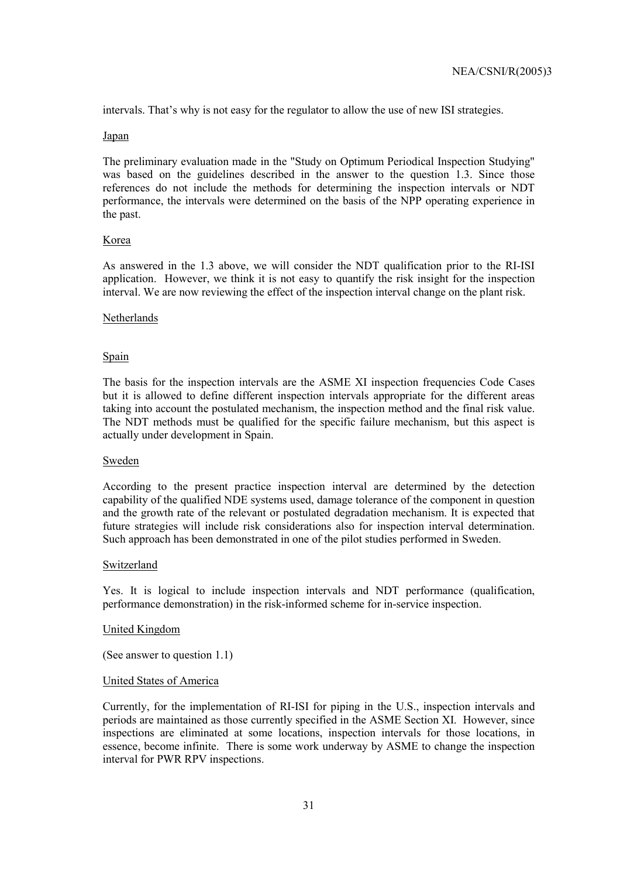intervals. That's why is not easy for the regulator to allow the use of new ISI strategies.

# Japan

The preliminary evaluation made in the "Study on Optimum Periodical Inspection Studying" was based on the guidelines described in the answer to the question 1.3. Since those references do not include the methods for determining the inspection intervals or NDT performance, the intervals were determined on the basis of the NPP operating experience in the past.

# Korea

As answered in the 1.3 above, we will consider the NDT qualification prior to the RI-ISI application. However, we think it is not easy to quantify the risk insight for the inspection interval. We are now reviewing the effect of the inspection interval change on the plant risk.

# Netherlands

# Spain

The basis for the inspection intervals are the ASME XI inspection frequencies Code Cases but it is allowed to define different inspection intervals appropriate for the different areas taking into account the postulated mechanism, the inspection method and the final risk value. The NDT methods must be qualified for the specific failure mechanism, but this aspect is actually under development in Spain.

#### Sweden

According to the present practice inspection interval are determined by the detection capability of the qualified NDE systems used, damage tolerance of the component in question and the growth rate of the relevant or postulated degradation mechanism. It is expected that future strategies will include risk considerations also for inspection interval determination. Such approach has been demonstrated in one of the pilot studies performed in Sweden.

#### Switzerland

Yes. It is logical to include inspection intervals and NDT performance (qualification, performance demonstration) in the risk-informed scheme for in-service inspection.

# United Kingdom

(See answer to question 1.1)

#### United States of America

Currently, for the implementation of RI-ISI for piping in the U.S., inspection intervals and periods are maintained as those currently specified in the ASME Section XI. However, since inspections are eliminated at some locations, inspection intervals for those locations, in essence, become infinite. There is some work underway by ASME to change the inspection interval for PWR RPV inspections.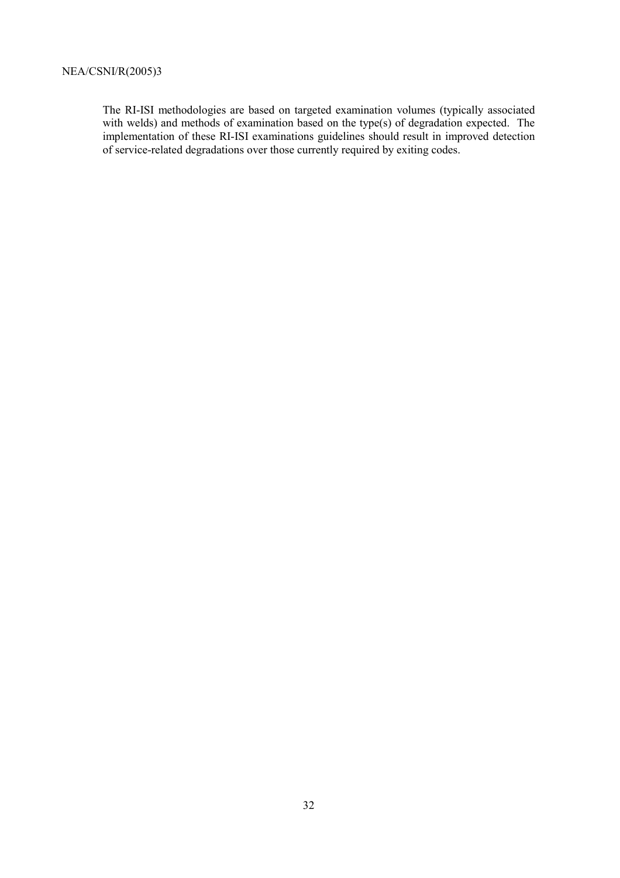The RI-ISI methodologies are based on targeted examination volumes (typically associated with welds) and methods of examination based on the type(s) of degradation expected. The implementation of these RI-ISI examinations guidelines should result in improved detection of service-related degradations over those currently required by exiting codes.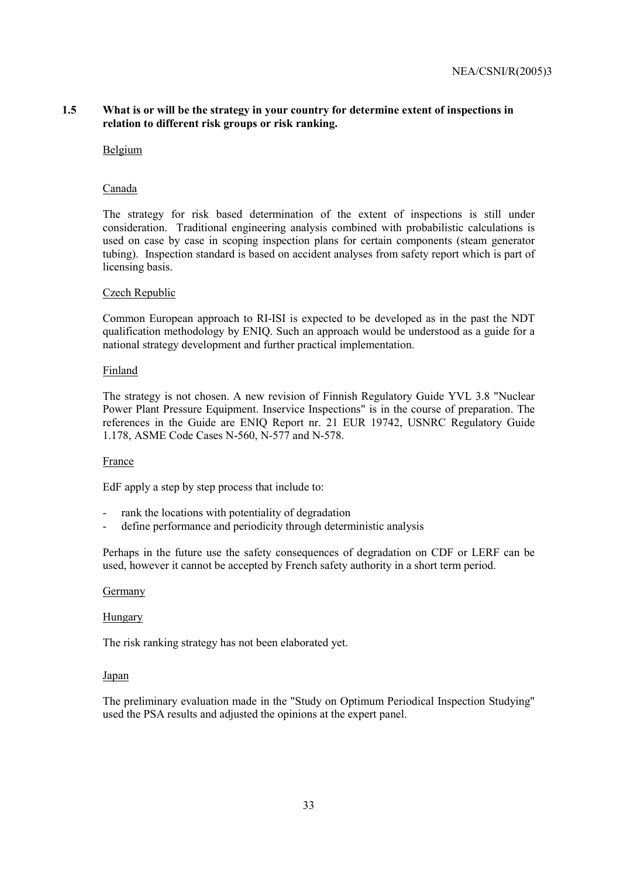# **1.5 What is or will be the strategy in your country for determine extent of inspections in relation to different risk groups or risk ranking.**

# Belgium

# Canada

The strategy for risk based determination of the extent of inspections is still under consideration. Traditional engineering analysis combined with probabilistic calculations is used on case by case in scoping inspection plans for certain components (steam generator tubing). Inspection standard is based on accident analyses from safety report which is part of licensing basis.

# Czech Republic

Common European approach to RI-ISI is expected to be developed as in the past the NDT qualification methodology by ENIQ. Such an approach would be understood as a guide for a national strategy development and further practical implementation.

# Finland

The strategy is not chosen. A new revision of Finnish Regulatory Guide YVL 3.8 "Nuclear Power Plant Pressure Equipment. Inservice Inspections" is in the course of preparation. The references in the Guide are ENIQ Report nr. 21 EUR 19742, USNRC Regulatory Guide 1.178, ASME Code Cases N-560, N-577 and N-578.

# France

EdF apply a step by step process that include to:

- rank the locations with potentiality of degradation
- define performance and periodicity through deterministic analysis

Perhaps in the future use the safety consequences of degradation on CDF or LERF can be used, however it cannot be accepted by French safety authority in a short term period.

#### Germany

#### Hungary

The risk ranking strategy has not been elaborated yet.

#### **Japan**

The preliminary evaluation made in the "Study on Optimum Periodical Inspection Studying" used the PSA results and adjusted the opinions at the expert panel.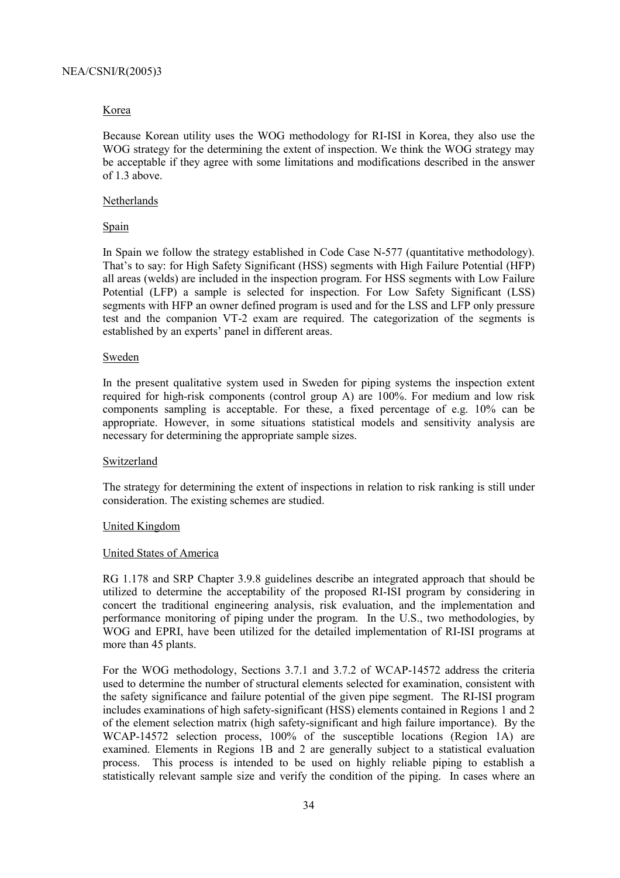# Korea

Because Korean utility uses the WOG methodology for RI-ISI in Korea, they also use the WOG strategy for the determining the extent of inspection. We think the WOG strategy may be acceptable if they agree with some limitations and modifications described in the answer of 1.3 above.

# Netherlands

# Spain

In Spain we follow the strategy established in Code Case N-577 (quantitative methodology). That's to say: for High Safety Significant (HSS) segments with High Failure Potential (HFP) all areas (welds) are included in the inspection program. For HSS segments with Low Failure Potential (LFP) a sample is selected for inspection. For Low Safety Significant (LSS) segments with HFP an owner defined program is used and for the LSS and LFP only pressure test and the companion VT-2 exam are required. The categorization of the segments is established by an experts' panel in different areas.

#### Sweden

In the present qualitative system used in Sweden for piping systems the inspection extent required for high-risk components (control group A) are 100%. For medium and low risk components sampling is acceptable. For these, a fixed percentage of e.g. 10% can be appropriate. However, in some situations statistical models and sensitivity analysis are necessary for determining the appropriate sample sizes.

# Switzerland

The strategy for determining the extent of inspections in relation to risk ranking is still under consideration. The existing schemes are studied.

#### United Kingdom

#### United States of America

RG 1.178 and SRP Chapter 3.9.8 guidelines describe an integrated approach that should be utilized to determine the acceptability of the proposed RI-ISI program by considering in concert the traditional engineering analysis, risk evaluation, and the implementation and performance monitoring of piping under the program. In the U.S., two methodologies, by WOG and EPRI, have been utilized for the detailed implementation of RI-ISI programs at more than 45 plants.

For the WOG methodology, Sections 3.7.1 and 3.7.2 of WCAP-14572 address the criteria used to determine the number of structural elements selected for examination, consistent with the safety significance and failure potential of the given pipe segment. The RI-ISI program includes examinations of high safety-significant (HSS) elements contained in Regions 1 and 2 of the element selection matrix (high safety-significant and high failure importance). By the WCAP-14572 selection process, 100% of the susceptible locations (Region 1A) are examined. Elements in Regions 1B and 2 are generally subject to a statistical evaluation process. This process is intended to be used on highly reliable piping to establish a statistically relevant sample size and verify the condition of the piping. In cases where an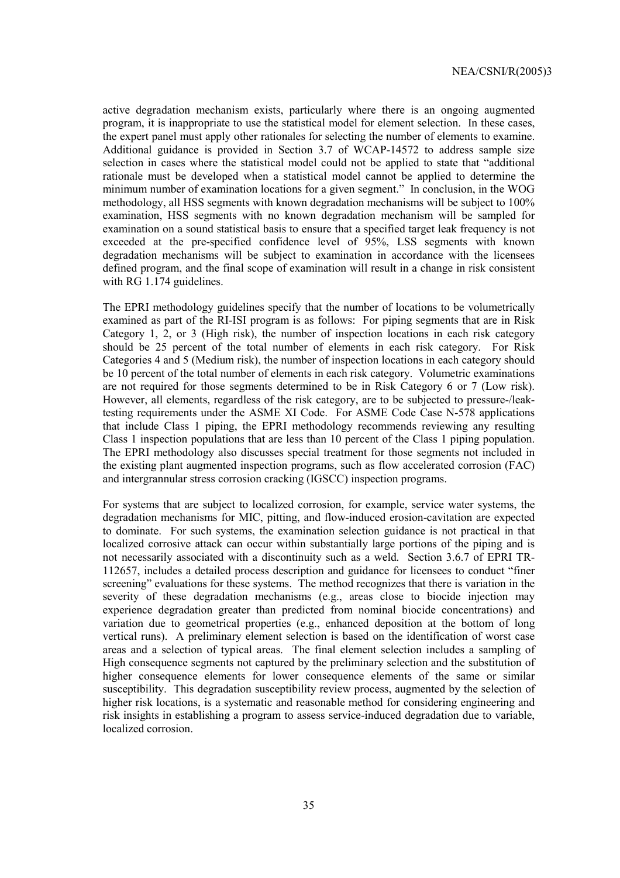active degradation mechanism exists, particularly where there is an ongoing augmented program, it is inappropriate to use the statistical model for element selection. In these cases, the expert panel must apply other rationales for selecting the number of elements to examine. Additional guidance is provided in Section 3.7 of WCAP-14572 to address sample size selection in cases where the statistical model could not be applied to state that "additional rationale must be developed when a statistical model cannot be applied to determine the minimum number of examination locations for a given segment." In conclusion, in the WOG methodology, all HSS segments with known degradation mechanisms will be subject to 100% examination, HSS segments with no known degradation mechanism will be sampled for examination on a sound statistical basis to ensure that a specified target leak frequency is not exceeded at the pre-specified confidence level of 95%, LSS segments with known degradation mechanisms will be subject to examination in accordance with the licensees defined program, and the final scope of examination will result in a change in risk consistent with RG 1.174 guidelines.

The EPRI methodology guidelines specify that the number of locations to be volumetrically examined as part of the RI-ISI program is as follows: For piping segments that are in Risk Category 1, 2, or 3 (High risk), the number of inspection locations in each risk category should be 25 percent of the total number of elements in each risk category. For Risk Categories 4 and 5 (Medium risk), the number of inspection locations in each category should be 10 percent of the total number of elements in each risk category. Volumetric examinations are not required for those segments determined to be in Risk Category 6 or 7 (Low risk). However, all elements, regardless of the risk category, are to be subjected to pressure-/leaktesting requirements under the ASME XI Code. For ASME Code Case N-578 applications that include Class 1 piping, the EPRI methodology recommends reviewing any resulting Class 1 inspection populations that are less than 10 percent of the Class 1 piping population. The EPRI methodology also discusses special treatment for those segments not included in the existing plant augmented inspection programs, such as flow accelerated corrosion (FAC) and intergrannular stress corrosion cracking (IGSCC) inspection programs.

For systems that are subject to localized corrosion, for example, service water systems, the degradation mechanisms for MIC, pitting, and flow-induced erosion-cavitation are expected to dominate. For such systems, the examination selection guidance is not practical in that localized corrosive attack can occur within substantially large portions of the piping and is not necessarily associated with a discontinuity such as a weld. Section 3.6.7 of EPRI TR-112657, includes a detailed process description and guidance for licensees to conduct "finer screening" evaluations for these systems. The method recognizes that there is variation in the severity of these degradation mechanisms (e.g., areas close to biocide injection may experience degradation greater than predicted from nominal biocide concentrations) and variation due to geometrical properties (e.g., enhanced deposition at the bottom of long vertical runs). A preliminary element selection is based on the identification of worst case areas and a selection of typical areas. The final element selection includes a sampling of High consequence segments not captured by the preliminary selection and the substitution of higher consequence elements for lower consequence elements of the same or similar susceptibility. This degradation susceptibility review process, augmented by the selection of higher risk locations, is a systematic and reasonable method for considering engineering and risk insights in establishing a program to assess service-induced degradation due to variable, localized corrosion.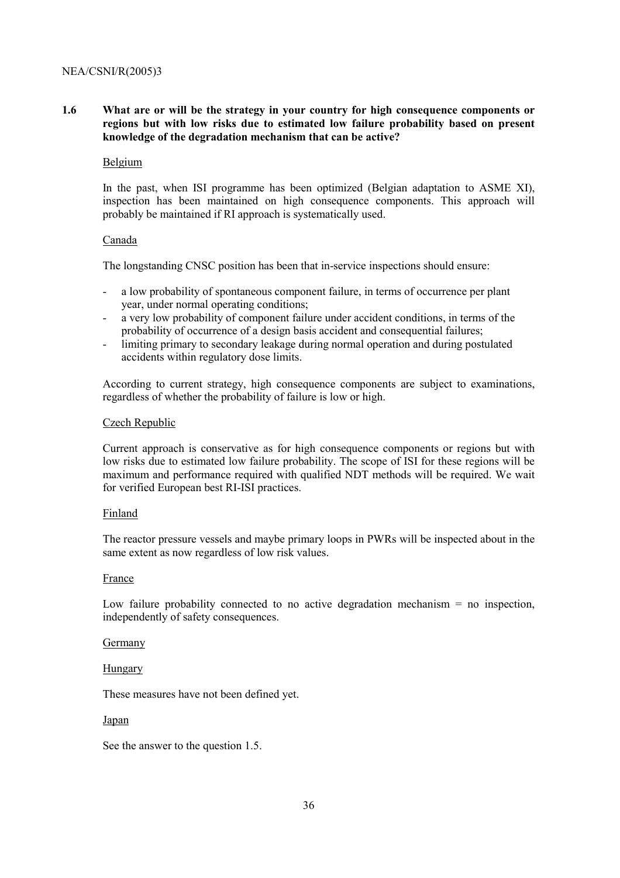**1.6 What are or will be the strategy in your country for high consequence components or regions but with low risks due to estimated low failure probability based on present knowledge of the degradation mechanism that can be active?** 

# Belgium

In the past, when ISI programme has been optimized (Belgian adaptation to ASME XI), inspection has been maintained on high consequence components. This approach will probably be maintained if RI approach is systematically used.

# Canada

The longstanding CNSC position has been that in-service inspections should ensure:

- a low probability of spontaneous component failure, in terms of occurrence per plant year, under normal operating conditions;
- a very low probability of component failure under accident conditions, in terms of the probability of occurrence of a design basis accident and consequential failures;
- limiting primary to secondary leakage during normal operation and during postulated accidents within regulatory dose limits.

According to current strategy, high consequence components are subject to examinations, regardless of whether the probability of failure is low or high.

# Czech Republic

Current approach is conservative as for high consequence components or regions but with low risks due to estimated low failure probability. The scope of ISI for these regions will be maximum and performance required with qualified NDT methods will be required. We wait for verified European best RI-ISI practices.

# Finland

The reactor pressure vessels and maybe primary loops in PWRs will be inspected about in the same extent as now regardless of low risk values.

# France

Low failure probability connected to no active degradation mechanism  $=$  no inspection, independently of safety consequences.

#### Germany

#### Hungary

These measures have not been defined yet.

#### Japan

See the answer to the question 1.5.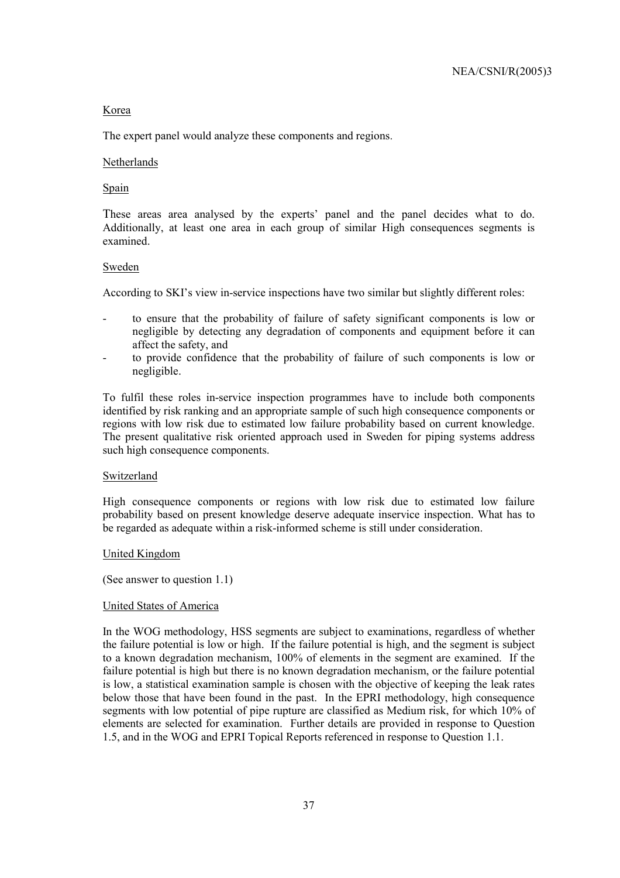## Korea

The expert panel would analyze these components and regions.

## Netherlands

### Spain

These areas area analysed by the experts' panel and the panel decides what to do. Additionally, at least one area in each group of similar High consequences segments is examined.

## **Sweden**

According to SKI's view in-service inspections have two similar but slightly different roles:

- to ensure that the probability of failure of safety significant components is low or negligible by detecting any degradation of components and equipment before it can affect the safety, and
- to provide confidence that the probability of failure of such components is low or negligible.

To fulfil these roles in-service inspection programmes have to include both components identified by risk ranking and an appropriate sample of such high consequence components or regions with low risk due to estimated low failure probability based on current knowledge. The present qualitative risk oriented approach used in Sweden for piping systems address such high consequence components.

## Switzerland

High consequence components or regions with low risk due to estimated low failure probability based on present knowledge deserve adequate inservice inspection. What has to be regarded as adequate within a risk-informed scheme is still under consideration.

### United Kingdom

(See answer to question 1.1)

## United States of America

In the WOG methodology, HSS segments are subject to examinations, regardless of whether the failure potential is low or high. If the failure potential is high, and the segment is subject to a known degradation mechanism, 100% of elements in the segment are examined. If the failure potential is high but there is no known degradation mechanism, or the failure potential is low, a statistical examination sample is chosen with the objective of keeping the leak rates below those that have been found in the past. In the EPRI methodology, high consequence segments with low potential of pipe rupture are classified as Medium risk, for which 10% of elements are selected for examination. Further details are provided in response to Question 1.5, and in the WOG and EPRI Topical Reports referenced in response to Question 1.1.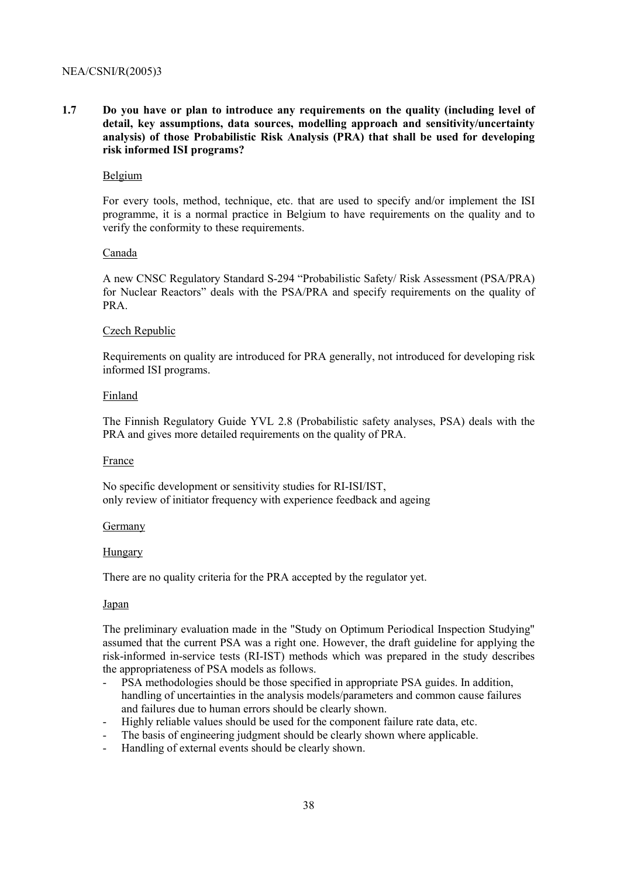## NEA/CSNI/R(2005)3

**1.7 Do you have or plan to introduce any requirements on the quality (including level of detail, key assumptions, data sources, modelling approach and sensitivity/uncertainty analysis) of those Probabilistic Risk Analysis (PRA) that shall be used for developing risk informed ISI programs?** 

## Belgium

For every tools, method, technique, etc. that are used to specify and/or implement the ISI programme, it is a normal practice in Belgium to have requirements on the quality and to verify the conformity to these requirements.

## Canada

A new CNSC Regulatory Standard S-294 "Probabilistic Safety/ Risk Assessment (PSA/PRA) for Nuclear Reactors" deals with the PSA/PRA and specify requirements on the quality of PRA.

## Czech Republic

Requirements on quality are introduced for PRA generally, not introduced for developing risk informed ISI programs.

### Finland

The Finnish Regulatory Guide YVL 2.8 (Probabilistic safety analyses, PSA) deals with the PRA and gives more detailed requirements on the quality of PRA.

### France

No specific development or sensitivity studies for RI-ISI/IST, only review of initiator frequency with experience feedback and ageing

### Germany

### **Hungary**

There are no quality criteria for the PRA accepted by the regulator yet.

### Japan

The preliminary evaluation made in the "Study on Optimum Periodical Inspection Studying" assumed that the current PSA was a right one. However, the draft guideline for applying the risk-informed in-service tests (RI-IST) methods which was prepared in the study describes the appropriateness of PSA models as follows.

- PSA methodologies should be those specified in appropriate PSA guides. In addition, handling of uncertainties in the analysis models/parameters and common cause failures and failures due to human errors should be clearly shown.
- Highly reliable values should be used for the component failure rate data, etc.
- The basis of engineering judgment should be clearly shown where applicable.
- Handling of external events should be clearly shown.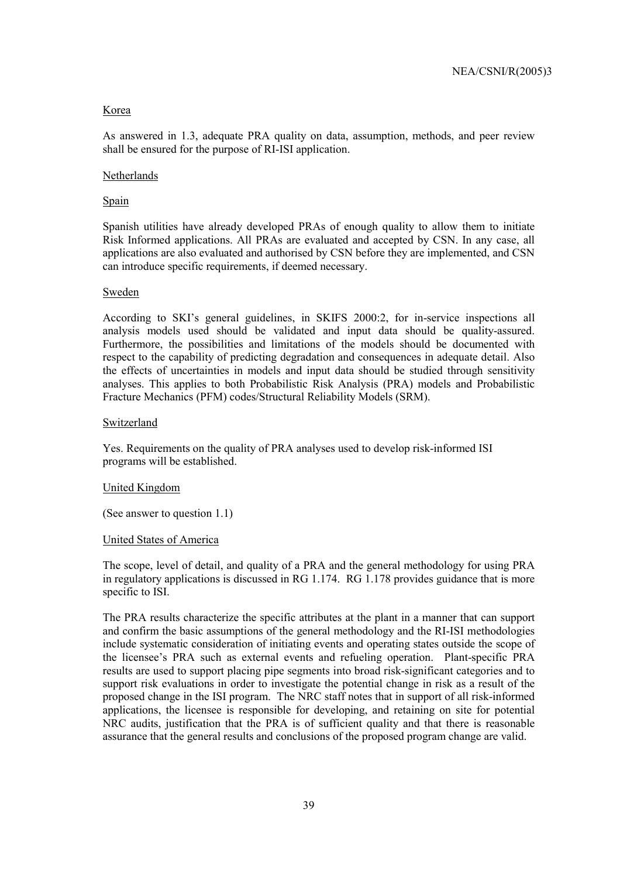## Korea

As answered in 1.3, adequate PRA quality on data, assumption, methods, and peer review shall be ensured for the purpose of RI-ISI application.

## Netherlands

### Spain

Spanish utilities have already developed PRAs of enough quality to allow them to initiate Risk Informed applications. All PRAs are evaluated and accepted by CSN. In any case, all applications are also evaluated and authorised by CSN before they are implemented, and CSN can introduce specific requirements, if deemed necessary.

### Sweden

According to SKI's general guidelines, in SKIFS 2000:2, for in-service inspections all analysis models used should be validated and input data should be quality-assured. Furthermore, the possibilities and limitations of the models should be documented with respect to the capability of predicting degradation and consequences in adequate detail. Also the effects of uncertainties in models and input data should be studied through sensitivity analyses. This applies to both Probabilistic Risk Analysis (PRA) models and Probabilistic Fracture Mechanics (PFM) codes/Structural Reliability Models (SRM).

## **Switzerland**

Yes. Requirements on the quality of PRA analyses used to develop risk-informed ISI programs will be established.

### United Kingdom

(See answer to question 1.1)

### United States of America

The scope, level of detail, and quality of a PRA and the general methodology for using PRA in regulatory applications is discussed in RG 1.174. RG 1.178 provides guidance that is more specific to ISI.

The PRA results characterize the specific attributes at the plant in a manner that can support and confirm the basic assumptions of the general methodology and the RI-ISI methodologies include systematic consideration of initiating events and operating states outside the scope of the licensee's PRA such as external events and refueling operation. Plant-specific PRA results are used to support placing pipe segments into broad risk-significant categories and to support risk evaluations in order to investigate the potential change in risk as a result of the proposed change in the ISI program. The NRC staff notes that in support of all risk-informed applications, the licensee is responsible for developing, and retaining on site for potential NRC audits, justification that the PRA is of sufficient quality and that there is reasonable assurance that the general results and conclusions of the proposed program change are valid.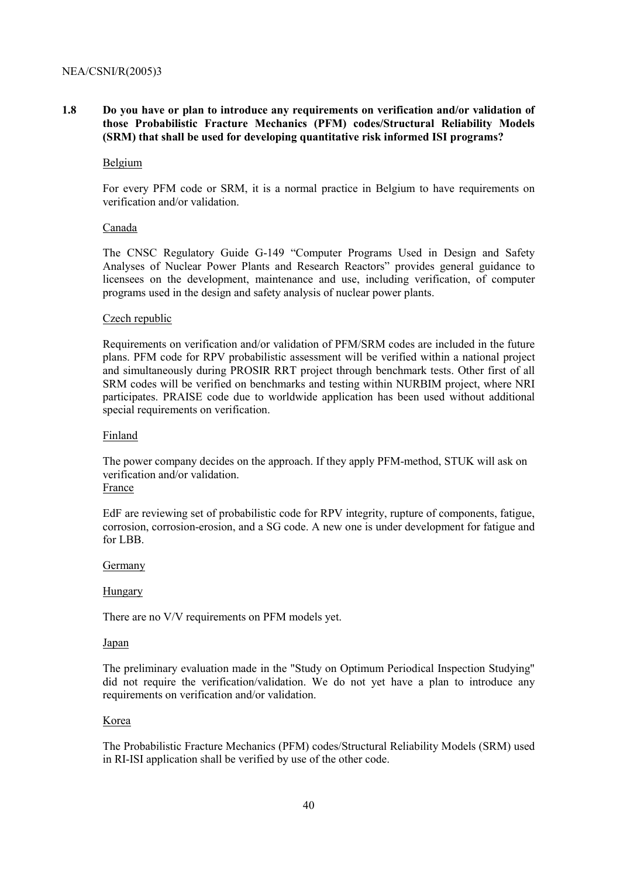# **1.8 Do you have or plan to introduce any requirements on verification and/or validation of those Probabilistic Fracture Mechanics (PFM) codes/Structural Reliability Models (SRM) that shall be used for developing quantitative risk informed ISI programs?**

## Belgium

For every PFM code or SRM, it is a normal practice in Belgium to have requirements on verification and/or validation.

### Canada

The CNSC Regulatory Guide G-149 "Computer Programs Used in Design and Safety Analyses of Nuclear Power Plants and Research Reactors" provides general guidance to licensees on the development, maintenance and use, including verification, of computer programs used in the design and safety analysis of nuclear power plants.

### Czech republic

Requirements on verification and/or validation of PFM/SRM codes are included in the future plans. PFM code for RPV probabilistic assessment will be verified within a national project and simultaneously during PROSIR RRT project through benchmark tests. Other first of all SRM codes will be verified on benchmarks and testing within NURBIM project, where NRI participates. PRAISE code due to worldwide application has been used without additional special requirements on verification.

### Finland

The power company decides on the approach. If they apply PFM-method, STUK will ask on verification and/or validation.

## France

EdF are reviewing set of probabilistic code for RPV integrity, rupture of components, fatigue, corrosion, corrosion-erosion, and a SG code. A new one is under development for fatigue and for LBB.

### Germany

### Hungary

There are no V/V requirements on PFM models yet.

### Japan

The preliminary evaluation made in the "Study on Optimum Periodical Inspection Studying" did not require the verification/validation. We do not yet have a plan to introduce any requirements on verification and/or validation.

## Korea

The Probabilistic Fracture Mechanics (PFM) codes/Structural Reliability Models (SRM) used in RI-ISI application shall be verified by use of the other code.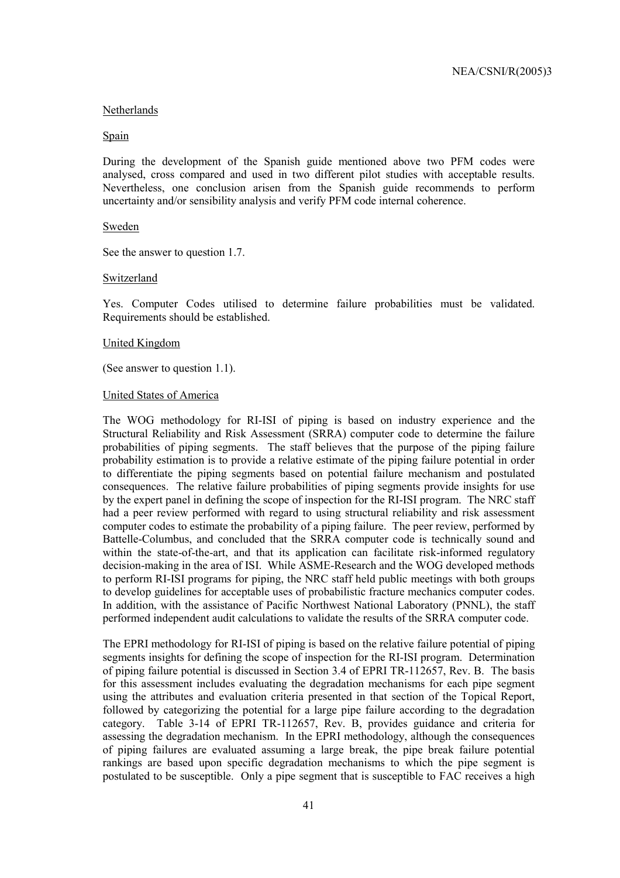#### Netherlands

### Spain

During the development of the Spanish guide mentioned above two PFM codes were analysed, cross compared and used in two different pilot studies with acceptable results. Nevertheless, one conclusion arisen from the Spanish guide recommends to perform uncertainty and/or sensibility analysis and verify PFM code internal coherence.

### Sweden

See the answer to question 1.7.

#### Switzerland

Yes. Computer Codes utilised to determine failure probabilities must be validated. Requirements should be established.

#### United Kingdom

(See answer to question 1.1).

### United States of America

The WOG methodology for RI-ISI of piping is based on industry experience and the Structural Reliability and Risk Assessment (SRRA) computer code to determine the failure probabilities of piping segments. The staff believes that the purpose of the piping failure probability estimation is to provide a relative estimate of the piping failure potential in order to differentiate the piping segments based on potential failure mechanism and postulated consequences. The relative failure probabilities of piping segments provide insights for use by the expert panel in defining the scope of inspection for the RI-ISI program. The NRC staff had a peer review performed with regard to using structural reliability and risk assessment computer codes to estimate the probability of a piping failure. The peer review, performed by Battelle-Columbus, and concluded that the SRRA computer code is technically sound and within the state-of-the-art, and that its application can facilitate risk-informed regulatory decision-making in the area of ISI. While ASME-Research and the WOG developed methods to perform RI-ISI programs for piping, the NRC staff held public meetings with both groups to develop guidelines for acceptable uses of probabilistic fracture mechanics computer codes. In addition, with the assistance of Pacific Northwest National Laboratory (PNNL), the staff performed independent audit calculations to validate the results of the SRRA computer code.

The EPRI methodology for RI-ISI of piping is based on the relative failure potential of piping segments insights for defining the scope of inspection for the RI-ISI program. Determination of piping failure potential is discussed in Section 3.4 of EPRI TR-112657, Rev. B. The basis for this assessment includes evaluating the degradation mechanisms for each pipe segment using the attributes and evaluation criteria presented in that section of the Topical Report, followed by categorizing the potential for a large pipe failure according to the degradation category. Table 3-14 of EPRI TR-112657, Rev. B, provides guidance and criteria for assessing the degradation mechanism. In the EPRI methodology, although the consequences of piping failures are evaluated assuming a large break, the pipe break failure potential rankings are based upon specific degradation mechanisms to which the pipe segment is postulated to be susceptible. Only a pipe segment that is susceptible to FAC receives a high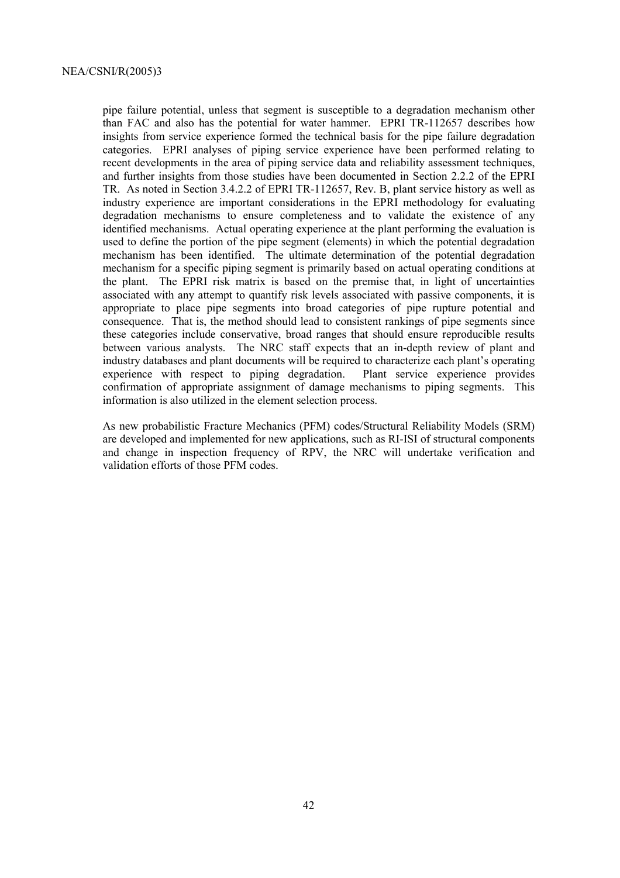pipe failure potential, unless that segment is susceptible to a degradation mechanism other than FAC and also has the potential for water hammer. EPRI TR-112657 describes how insights from service experience formed the technical basis for the pipe failure degradation categories. EPRI analyses of piping service experience have been performed relating to recent developments in the area of piping service data and reliability assessment techniques, and further insights from those studies have been documented in Section 2.2.2 of the EPRI TR. As noted in Section 3.4.2.2 of EPRI TR-112657, Rev. B, plant service history as well as industry experience are important considerations in the EPRI methodology for evaluating degradation mechanisms to ensure completeness and to validate the existence of any identified mechanisms. Actual operating experience at the plant performing the evaluation is used to define the portion of the pipe segment (elements) in which the potential degradation mechanism has been identified. The ultimate determination of the potential degradation mechanism for a specific piping segment is primarily based on actual operating conditions at the plant. The EPRI risk matrix is based on the premise that, in light of uncertainties associated with any attempt to quantify risk levels associated with passive components, it is appropriate to place pipe segments into broad categories of pipe rupture potential and consequence. That is, the method should lead to consistent rankings of pipe segments since these categories include conservative, broad ranges that should ensure reproducible results between various analysts. The NRC staff expects that an in-depth review of plant and industry databases and plant documents will be required to characterize each plant's operating experience with respect to piping degradation. Plant service experience provides confirmation of appropriate assignment of damage mechanisms to piping segments. This information is also utilized in the element selection process.

As new probabilistic Fracture Mechanics (PFM) codes/Structural Reliability Models (SRM) are developed and implemented for new applications, such as RI-ISI of structural components and change in inspection frequency of RPV, the NRC will undertake verification and validation efforts of those PFM codes.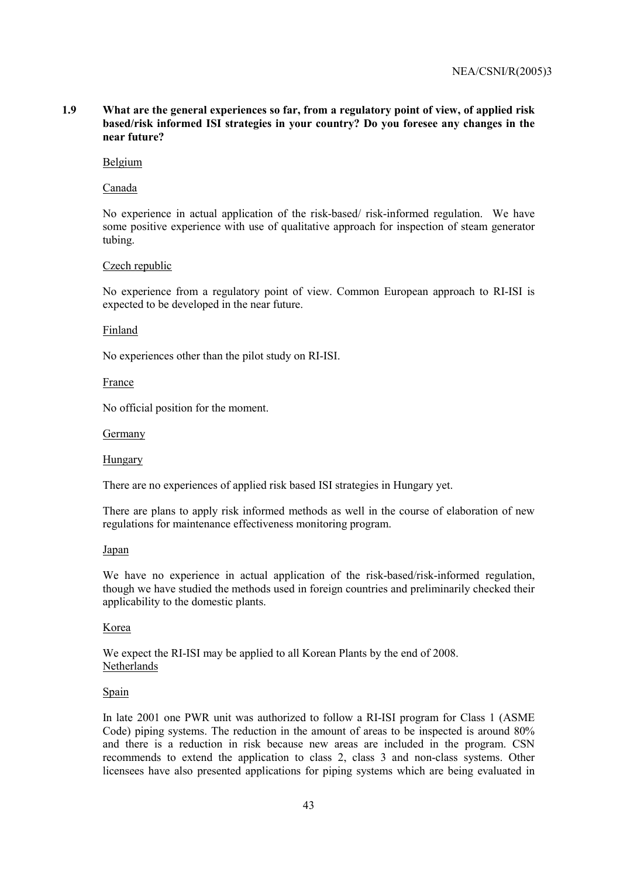# **1.9 What are the general experiences so far, from a regulatory point of view, of applied risk based/risk informed ISI strategies in your country? Do you foresee any changes in the near future?**

## Belgium

## Canada

No experience in actual application of the risk-based/ risk-informed regulation. We have some positive experience with use of qualitative approach for inspection of steam generator tubing.

## Czech republic

No experience from a regulatory point of view. Common European approach to RI-ISI is expected to be developed in the near future.

### Finland

No experiences other than the pilot study on RI-ISI.

## France

No official position for the moment.

### Germany

### Hungary

There are no experiences of applied risk based ISI strategies in Hungary yet.

There are plans to apply risk informed methods as well in the course of elaboration of new regulations for maintenance effectiveness monitoring program.

### Japan

We have no experience in actual application of the risk-based/risk-informed regulation, though we have studied the methods used in foreign countries and preliminarily checked their applicability to the domestic plants.

## Korea

We expect the RI-ISI may be applied to all Korean Plants by the end of 2008. **Netherlands** 

## Spain

In late 2001 one PWR unit was authorized to follow a RI-ISI program for Class 1 (ASME Code) piping systems. The reduction in the amount of areas to be inspected is around 80% and there is a reduction in risk because new areas are included in the program. CSN recommends to extend the application to class 2, class 3 and non-class systems. Other licensees have also presented applications for piping systems which are being evaluated in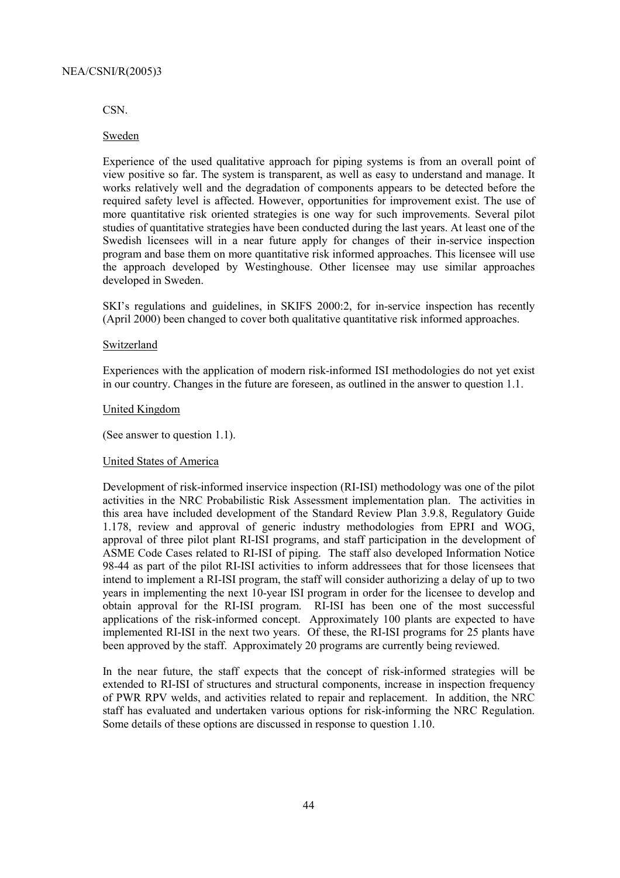CSN.

## Sweden

Experience of the used qualitative approach for piping systems is from an overall point of view positive so far. The system is transparent, as well as easy to understand and manage. It works relatively well and the degradation of components appears to be detected before the required safety level is affected. However, opportunities for improvement exist. The use of more quantitative risk oriented strategies is one way for such improvements. Several pilot studies of quantitative strategies have been conducted during the last years. At least one of the Swedish licensees will in a near future apply for changes of their in-service inspection program and base them on more quantitative risk informed approaches. This licensee will use the approach developed by Westinghouse. Other licensee may use similar approaches developed in Sweden.

SKI's regulations and guidelines, in SKIFS 2000:2, for in-service inspection has recently (April 2000) been changed to cover both qualitative quantitative risk informed approaches.

## Switzerland

Experiences with the application of modern risk-informed ISI methodologies do not yet exist in our country. Changes in the future are foreseen, as outlined in the answer to question 1.1.

### United Kingdom

(See answer to question 1.1).

## United States of America

Development of risk-informed inservice inspection (RI-ISI) methodology was one of the pilot activities in the NRC Probabilistic Risk Assessment implementation plan. The activities in this area have included development of the Standard Review Plan 3.9.8, Regulatory Guide 1.178, review and approval of generic industry methodologies from EPRI and WOG, approval of three pilot plant RI-ISI programs, and staff participation in the development of ASME Code Cases related to RI-ISI of piping. The staff also developed Information Notice 98-44 as part of the pilot RI-ISI activities to inform addressees that for those licensees that intend to implement a RI-ISI program, the staff will consider authorizing a delay of up to two years in implementing the next 10-year ISI program in order for the licensee to develop and obtain approval for the RI-ISI program. RI-ISI has been one of the most successful applications of the risk-informed concept. Approximately 100 plants are expected to have implemented RI-ISI in the next two years. Of these, the RI-ISI programs for 25 plants have been approved by the staff. Approximately 20 programs are currently being reviewed.

In the near future, the staff expects that the concept of risk-informed strategies will be extended to RI-ISI of structures and structural components, increase in inspection frequency of PWR RPV welds, and activities related to repair and replacement. In addition, the NRC staff has evaluated and undertaken various options for risk-informing the NRC Regulation. Some details of these options are discussed in response to question 1.10.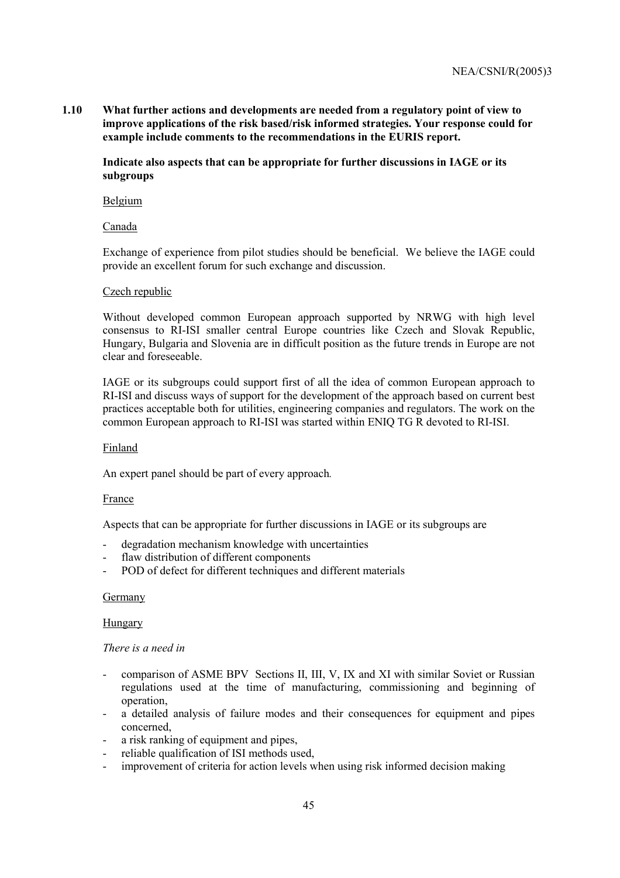**1.10 What further actions and developments are needed from a regulatory point of view to improve applications of the risk based/risk informed strategies. Your response could for example include comments to the recommendations in the EURIS report.** 

**Indicate also aspects that can be appropriate for further discussions in IAGE or its subgroups** 

### Belgium

## Canada

Exchange of experience from pilot studies should be beneficial. We believe the IAGE could provide an excellent forum for such exchange and discussion.

## Czech republic

Without developed common European approach supported by NRWG with high level consensus to RI-ISI smaller central Europe countries like Czech and Slovak Republic, Hungary, Bulgaria and Slovenia are in difficult position as the future trends in Europe are not clear and foreseeable.

IAGE or its subgroups could support first of all the idea of common European approach to RI-ISI and discuss ways of support for the development of the approach based on current best practices acceptable both for utilities, engineering companies and regulators. The work on the common European approach to RI-ISI was started within ENIQ TG R devoted to RI-ISI.

## Finland

An expert panel should be part of every approach*.* 

### France

Aspects that can be appropriate for further discussions in IAGE or its subgroups are

- degradation mechanism knowledge with uncertainties
- flaw distribution of different components
- POD of defect for different techniques and different materials

### Germany

### Hungary

## *There is a need in*

- comparison of ASME BPV Sections II, III, V, IX and XI with similar Soviet or Russian regulations used at the time of manufacturing, commissioning and beginning of operation,
- a detailed analysis of failure modes and their consequences for equipment and pipes concerned,
- a risk ranking of equipment and pipes.
- reliable qualification of ISI methods used,
- improvement of criteria for action levels when using risk informed decision making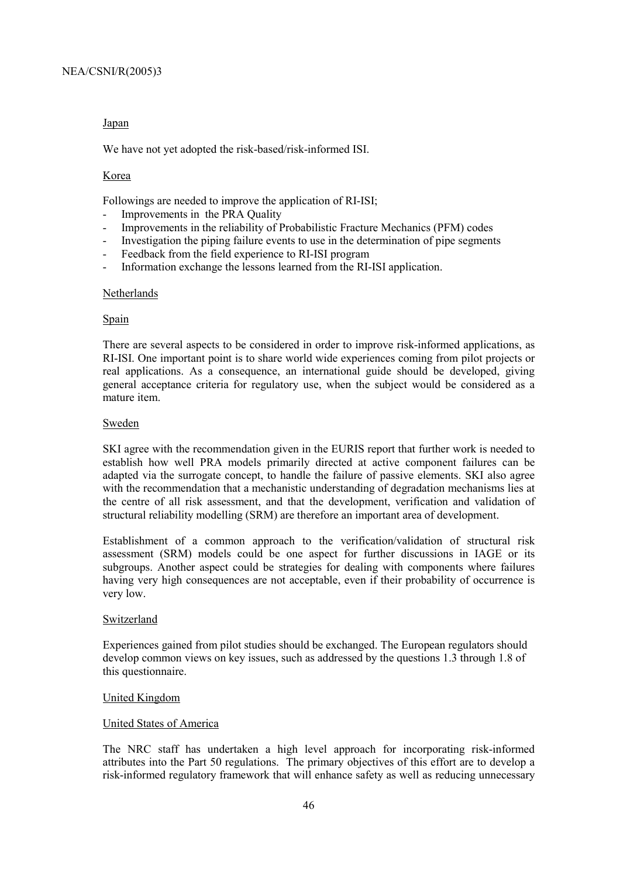## Japan

We have not yet adopted the risk-based/risk-informed ISI.

## Korea

Followings are needed to improve the application of RI-ISI;

- Improvements in the PRA Quality
- Improvements in the reliability of Probabilistic Fracture Mechanics (PFM) codes
- Investigation the piping failure events to use in the determination of pipe segments
- Feedback from the field experience to RI-ISI program
- Information exchange the lessons learned from the RI-ISI application.

### Netherlands

### Spain

There are several aspects to be considered in order to improve risk-informed applications, as RI-ISI. One important point is to share world wide experiences coming from pilot projects or real applications. As a consequence, an international guide should be developed, giving general acceptance criteria for regulatory use, when the subject would be considered as a mature item.

## Sweden

SKI agree with the recommendation given in the EURIS report that further work is needed to establish how well PRA models primarily directed at active component failures can be adapted via the surrogate concept, to handle the failure of passive elements. SKI also agree with the recommendation that a mechanistic understanding of degradation mechanisms lies at the centre of all risk assessment, and that the development, verification and validation of structural reliability modelling (SRM) are therefore an important area of development.

Establishment of a common approach to the verification/validation of structural risk assessment (SRM) models could be one aspect for further discussions in IAGE or its subgroups. Another aspect could be strategies for dealing with components where failures having very high consequences are not acceptable, even if their probability of occurrence is very low.

### Switzerland

Experiences gained from pilot studies should be exchanged. The European regulators should develop common views on key issues, such as addressed by the questions 1.3 through 1.8 of this questionnaire.

### United Kingdom

### United States of America

The NRC staff has undertaken a high level approach for incorporating risk-informed attributes into the Part 50 regulations. The primary objectives of this effort are to develop a risk-informed regulatory framework that will enhance safety as well as reducing unnecessary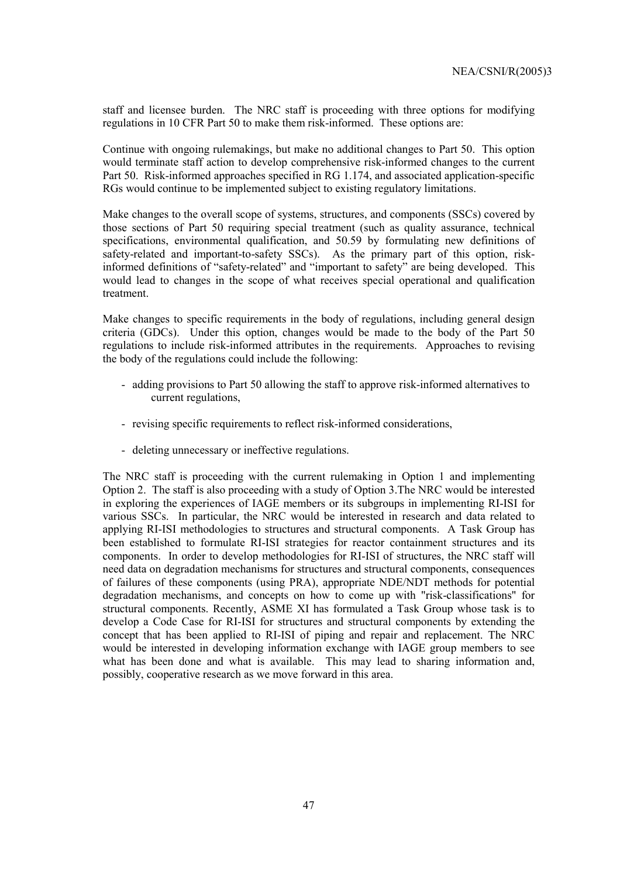staff and licensee burden. The NRC staff is proceeding with three options for modifying regulations in 10 CFR Part 50 to make them risk-informed. These options are:

Continue with ongoing rulemakings, but make no additional changes to Part 50. This option would terminate staff action to develop comprehensive risk-informed changes to the current Part 50. Risk-informed approaches specified in RG 1.174, and associated application-specific RGs would continue to be implemented subject to existing regulatory limitations.

Make changes to the overall scope of systems, structures, and components (SSCs) covered by those sections of Part 50 requiring special treatment (such as quality assurance, technical specifications, environmental qualification, and 50.59 by formulating new definitions of safety-related and important-to-safety SSCs). As the primary part of this option, riskinformed definitions of "safety-related" and "important to safety" are being developed. This would lead to changes in the scope of what receives special operational and qualification treatment.

Make changes to specific requirements in the body of regulations, including general design criteria (GDCs). Under this option, changes would be made to the body of the Part 50 regulations to include risk-informed attributes in the requirements. Approaches to revising the body of the regulations could include the following:

- adding provisions to Part 50 allowing the staff to approve risk-informed alternatives to current regulations,
- revising specific requirements to reflect risk-informed considerations,
- deleting unnecessary or ineffective regulations.

The NRC staff is proceeding with the current rulemaking in Option 1 and implementing Option 2. The staff is also proceeding with a study of Option 3.The NRC would be interested in exploring the experiences of IAGE members or its subgroups in implementing RI-ISI for various SSCs. In particular, the NRC would be interested in research and data related to applying RI-ISI methodologies to structures and structural components. A Task Group has been established to formulate RI-ISI strategies for reactor containment structures and its components. In order to develop methodologies for RI-ISI of structures, the NRC staff will need data on degradation mechanisms for structures and structural components, consequences of failures of these components (using PRA), appropriate NDE/NDT methods for potential degradation mechanisms, and concepts on how to come up with "risk-classifications" for structural components. Recently, ASME XI has formulated a Task Group whose task is to develop a Code Case for RI-ISI for structures and structural components by extending the concept that has been applied to RI-ISI of piping and repair and replacement. The NRC would be interested in developing information exchange with IAGE group members to see what has been done and what is available. This may lead to sharing information and, possibly, cooperative research as we move forward in this area.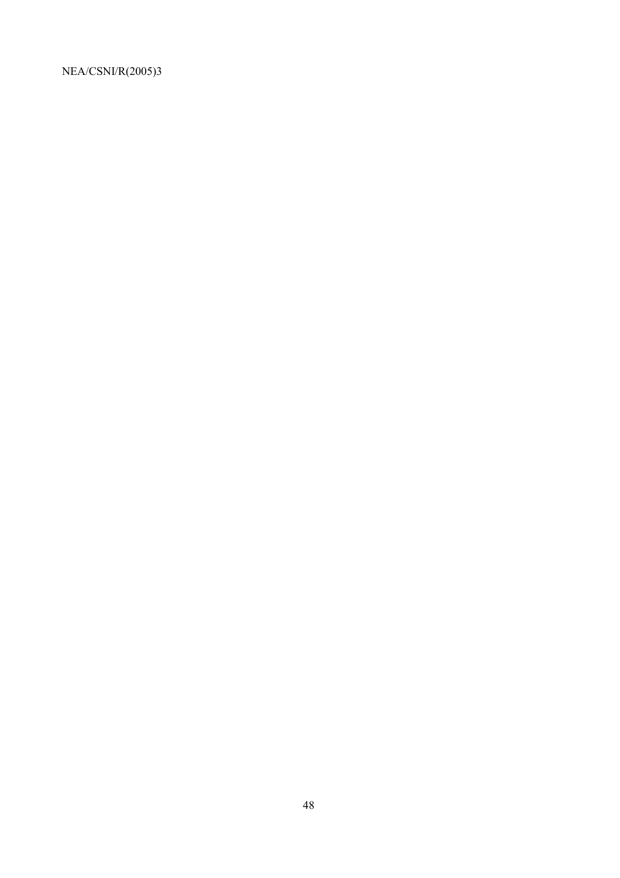NEA/CSNI/R(2005)3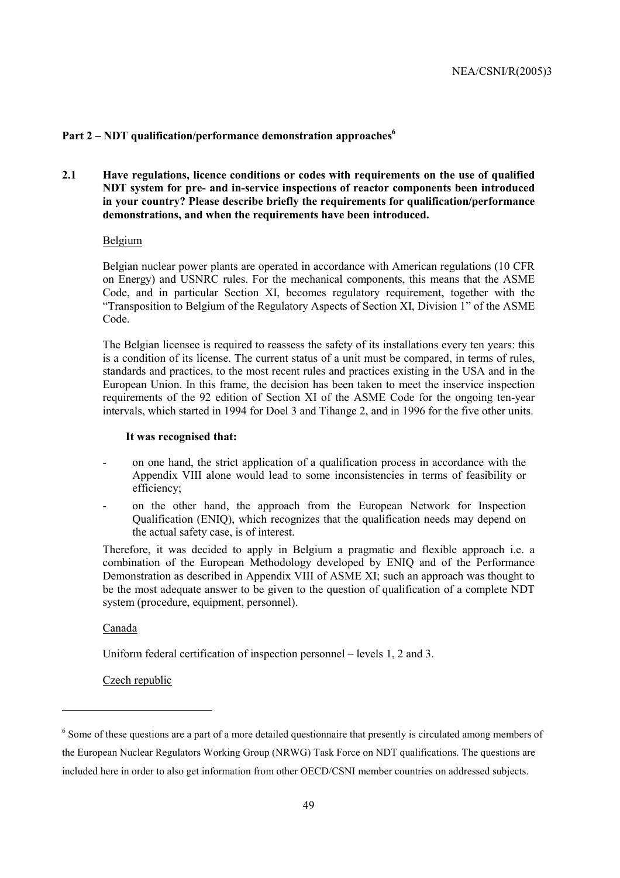# Part 2 – NDT qualification/performance demonstration approaches<sup>6</sup>

**2.1 Have regulations, licence conditions or codes with requirements on the use of qualified NDT system for pre- and in-service inspections of reactor components been introduced in your country? Please describe briefly the requirements for qualification/performance demonstrations, and when the requirements have been introduced.** 

### Belgium

Belgian nuclear power plants are operated in accordance with American regulations (10 CFR on Energy) and USNRC rules. For the mechanical components, this means that the ASME Code, and in particular Section XI, becomes regulatory requirement, together with the "Transposition to Belgium of the Regulatory Aspects of Section XI, Division 1" of the ASME Code.

The Belgian licensee is required to reassess the safety of its installations every ten years: this is a condition of its license. The current status of a unit must be compared, in terms of rules, standards and practices, to the most recent rules and practices existing in the USA and in the European Union. In this frame, the decision has been taken to meet the inservice inspection requirements of the 92 edition of Section XI of the ASME Code for the ongoing ten-year intervals, which started in 1994 for Doel 3 and Tihange 2, and in 1996 for the five other units.

#### **It was recognised that:**

- on one hand, the strict application of a qualification process in accordance with the Appendix VIII alone would lead to some inconsistencies in terms of feasibility or efficiency;
- on the other hand, the approach from the European Network for Inspection Qualification (ENIQ), which recognizes that the qualification needs may depend on the actual safety case, is of interest.

Therefore, it was decided to apply in Belgium a pragmatic and flexible approach i.e. a combination of the European Methodology developed by ENIQ and of the Performance Demonstration as described in Appendix VIII of ASME XI; such an approach was thought to be the most adequate answer to be given to the question of qualification of a complete NDT system (procedure, equipment, personnel).

### Canada

 $\overline{a}$ 

Uniform federal certification of inspection personnel – levels 1, 2 and 3.

Czech republic

<sup>&</sup>lt;sup>6</sup> Some of these questions are a part of a more detailed questionnaire that presently is circulated among members of the European Nuclear Regulators Working Group (NRWG) Task Force on NDT qualifications. The questions are included here in order to also get information from other OECD/CSNI member countries on addressed subjects.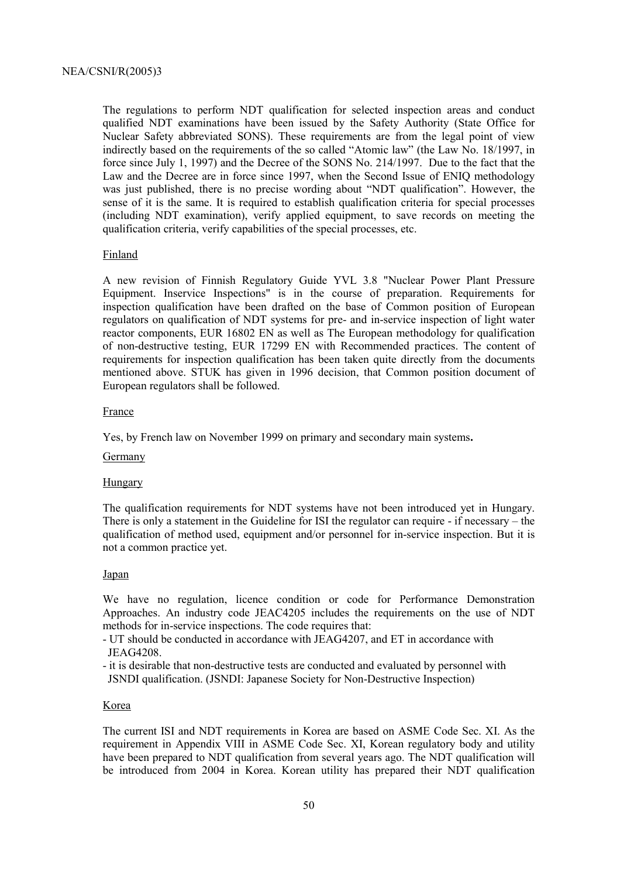The regulations to perform NDT qualification for selected inspection areas and conduct qualified NDT examinations have been issued by the Safety Authority (State Office for Nuclear Safety abbreviated SONS). These requirements are from the legal point of view indirectly based on the requirements of the so called "Atomic law" (the Law No. 18/1997, in force since July 1, 1997) and the Decree of the SONS No. 214/1997. Due to the fact that the Law and the Decree are in force since 1997, when the Second Issue of ENIQ methodology was just published, there is no precise wording about "NDT qualification". However, the sense of it is the same. It is required to establish qualification criteria for special processes (including NDT examination), verify applied equipment, to save records on meeting the qualification criteria, verify capabilities of the special processes, etc.

## Finland

A new revision of Finnish Regulatory Guide YVL 3.8 "Nuclear Power Plant Pressure Equipment. Inservice Inspections" is in the course of preparation. Requirements for inspection qualification have been drafted on the base of Common position of European regulators on qualification of NDT systems for pre- and in-service inspection of light water reactor components, EUR 16802 EN as well as The European methodology for qualification of non-destructive testing, EUR 17299 EN with Recommended practices. The content of requirements for inspection qualification has been taken quite directly from the documents mentioned above. STUK has given in 1996 decision, that Common position document of European regulators shall be followed.

## France

Yes, by French law on November 1999 on primary and secondary main systems**.** 

### Germany

## **Hungary**

The qualification requirements for NDT systems have not been introduced yet in Hungary. There is only a statement in the Guideline for ISI the regulator can require - if necessary – the qualification of method used, equipment and/or personnel for in-service inspection. But it is not a common practice yet.

### Japan

We have no regulation, licence condition or code for Performance Demonstration Approaches. An industry code JEAC4205 includes the requirements on the use of NDT methods for in-service inspections. The code requires that:

- UT should be conducted in accordance with JEAG4207, and ET in accordance with JEAG4208.
- it is desirable that non-destructive tests are conducted and evaluated by personnel with JSNDI qualification. (JSNDI: Japanese Society for Non-Destructive Inspection)

### Korea

The current ISI and NDT requirements in Korea are based on ASME Code Sec. XI. As the requirement in Appendix VIII in ASME Code Sec. XI, Korean regulatory body and utility have been prepared to NDT qualification from several years ago. The NDT qualification will be introduced from 2004 in Korea. Korean utility has prepared their NDT qualification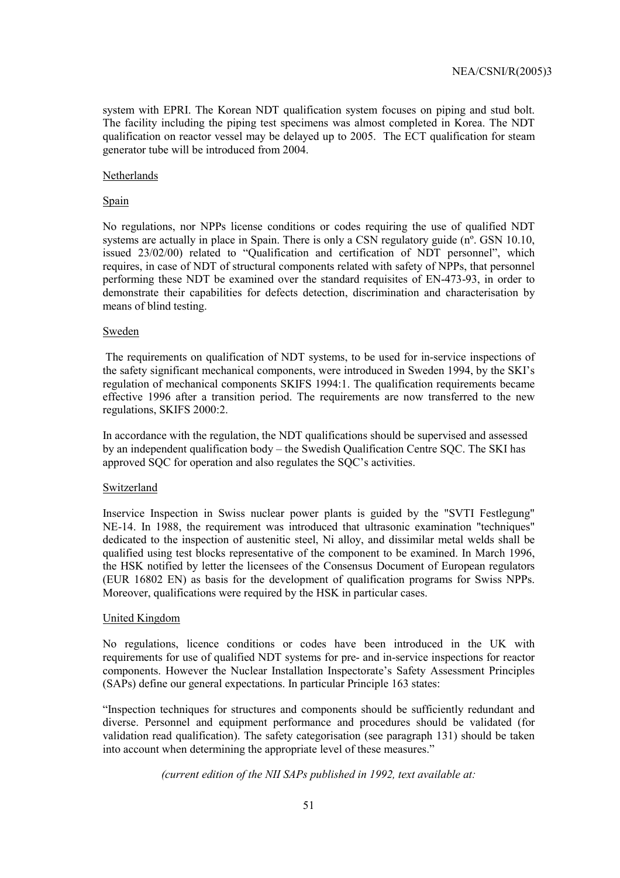system with EPRI. The Korean NDT qualification system focuses on piping and stud bolt. The facility including the piping test specimens was almost completed in Korea. The NDT qualification on reactor vessel may be delayed up to 2005. The ECT qualification for steam generator tube will be introduced from 2004.

### Netherlands

### Spain

No regulations, nor NPPs license conditions or codes requiring the use of qualified NDT systems are actually in place in Spain. There is only a CSN regulatory guide (n<sup>o</sup>. GSN 10.10, issued 23/02/00) related to "Qualification and certification of NDT personnel", which requires, in case of NDT of structural components related with safety of NPPs, that personnel performing these NDT be examined over the standard requisites of EN-473-93, in order to demonstrate their capabilities for defects detection, discrimination and characterisation by means of blind testing.

### Sweden

The requirements on qualification of NDT systems, to be used for in-service inspections of the safety significant mechanical components, were introduced in Sweden 1994, by the SKI's regulation of mechanical components SKIFS 1994:1. The qualification requirements became effective 1996 after a transition period. The requirements are now transferred to the new regulations, SKIFS 2000:2.

In accordance with the regulation, the NDT qualifications should be supervised and assessed by an independent qualification body – the Swedish Qualification Centre SQC. The SKI has approved SQC for operation and also regulates the SQC's activities.

### Switzerland

Inservice Inspection in Swiss nuclear power plants is guided by the "SVTI Festlegung" NE-14. In 1988, the requirement was introduced that ultrasonic examination "techniques" dedicated to the inspection of austenitic steel, Ni alloy, and dissimilar metal welds shall be qualified using test blocks representative of the component to be examined. In March 1996, the HSK notified by letter the licensees of the Consensus Document of European regulators (EUR 16802 EN) as basis for the development of qualification programs for Swiss NPPs. Moreover, qualifications were required by the HSK in particular cases.

### United Kingdom

No regulations, licence conditions or codes have been introduced in the UK with requirements for use of qualified NDT systems for pre- and in-service inspections for reactor components. However the Nuclear Installation Inspectorate's Safety Assessment Principles (SAPs) define our general expectations. In particular Principle 163 states:

"Inspection techniques for structures and components should be sufficiently redundant and diverse. Personnel and equipment performance and procedures should be validated (for validation read qualification). The safety categorisation (see paragraph 131) should be taken into account when determining the appropriate level of these measures."

*(current edition of the NII SAPs published in 1992, text available at:*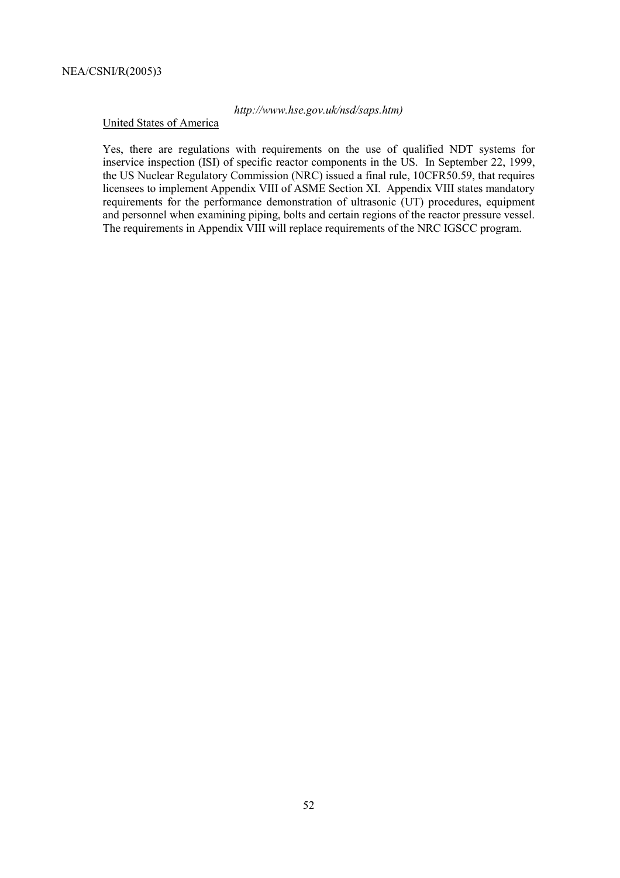## *http://www.hse.gov.uk/nsd/saps.htm)*

# United States of America

Yes, there are regulations with requirements on the use of qualified NDT systems for inservice inspection (ISI) of specific reactor components in the US. In September 22, 1999, the US Nuclear Regulatory Commission (NRC) issued a final rule, 10CFR50.59, that requires licensees to implement Appendix VIII of ASME Section XI. Appendix VIII states mandatory requirements for the performance demonstration of ultrasonic (UT) procedures, equipment and personnel when examining piping, bolts and certain regions of the reactor pressure vessel. The requirements in Appendix VIII will replace requirements of the NRC IGSCC program.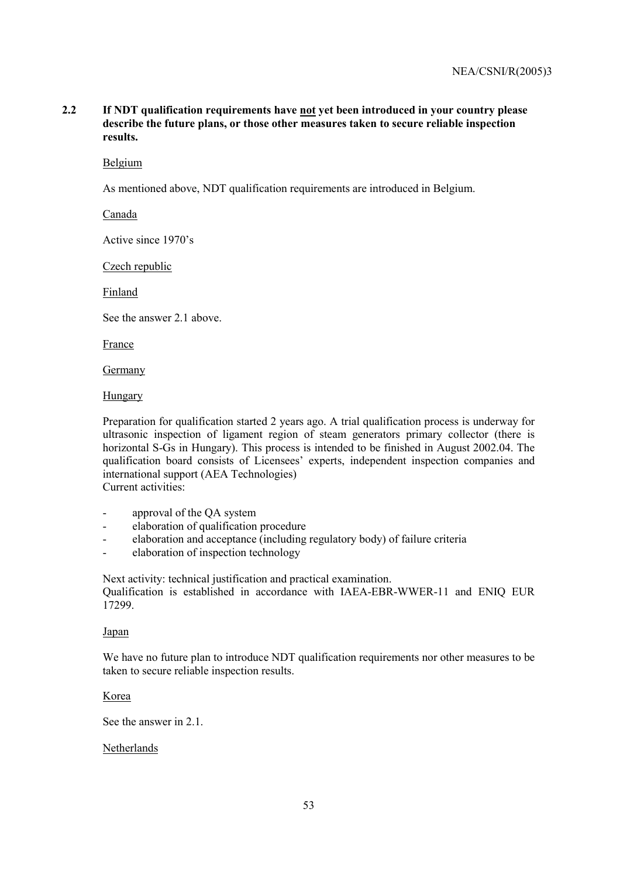**2.2 If NDT qualification requirements have not yet been introduced in your country please describe the future plans, or those other measures taken to secure reliable inspection results.** 

### Belgium

As mentioned above, NDT qualification requirements are introduced in Belgium.

### Canada

Active since 1970's

### Czech republic

Finland

See the answer 2.1 above.

France

Germany

## Hungary

Preparation for qualification started 2 years ago. A trial qualification process is underway for ultrasonic inspection of ligament region of steam generators primary collector (there is horizontal S-Gs in Hungary). This process is intended to be finished in August 2002.04. The qualification board consists of Licensees' experts, independent inspection companies and international support (AEA Technologies)

Current activities:

- approval of the QA system
- elaboration of qualification procedure
- elaboration and acceptance (including regulatory body) of failure criteria
- elaboration of inspection technology

Next activity: technical justification and practical examination. Qualification is established in accordance with IAEA-EBR-WWER-11 and ENIQ EUR 17299.

### Japan

We have no future plan to introduce NDT qualification requirements nor other measures to be taken to secure reliable inspection results.

### Korea

See the answer in 2.1.

### Netherlands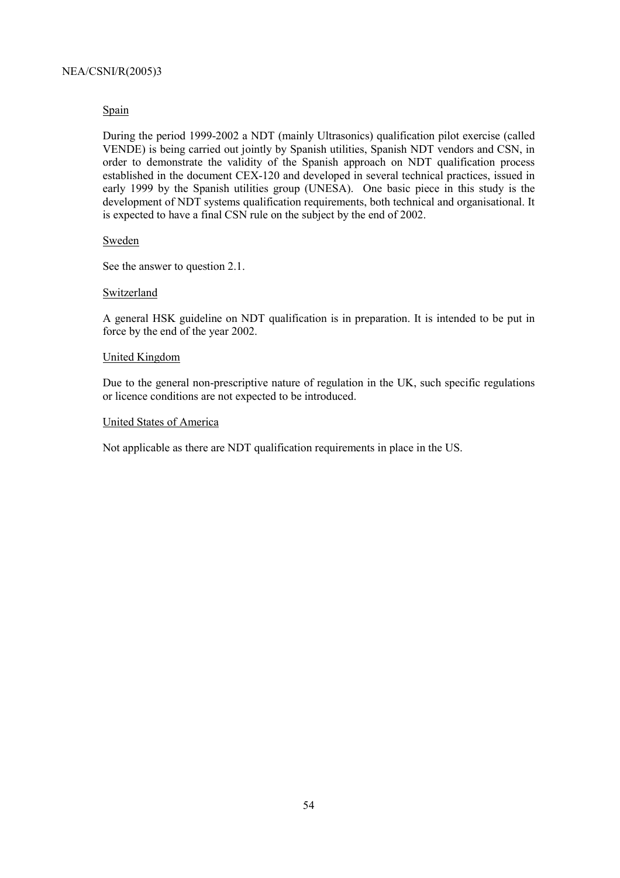# Spain

During the period 1999-2002 a NDT (mainly Ultrasonics) qualification pilot exercise (called VENDE) is being carried out jointly by Spanish utilities, Spanish NDT vendors and CSN, in order to demonstrate the validity of the Spanish approach on NDT qualification process established in the document CEX-120 and developed in several technical practices, issued in early 1999 by the Spanish utilities group (UNESA). One basic piece in this study is the development of NDT systems qualification requirements, both technical and organisational. It is expected to have a final CSN rule on the subject by the end of 2002.

# Sweden

See the answer to question 2.1.

## Switzerland

A general HSK guideline on NDT qualification is in preparation. It is intended to be put in force by the end of the year 2002.

# United Kingdom

Due to the general non-prescriptive nature of regulation in the UK, such specific regulations or licence conditions are not expected to be introduced.

## United States of America

Not applicable as there are NDT qualification requirements in place in the US.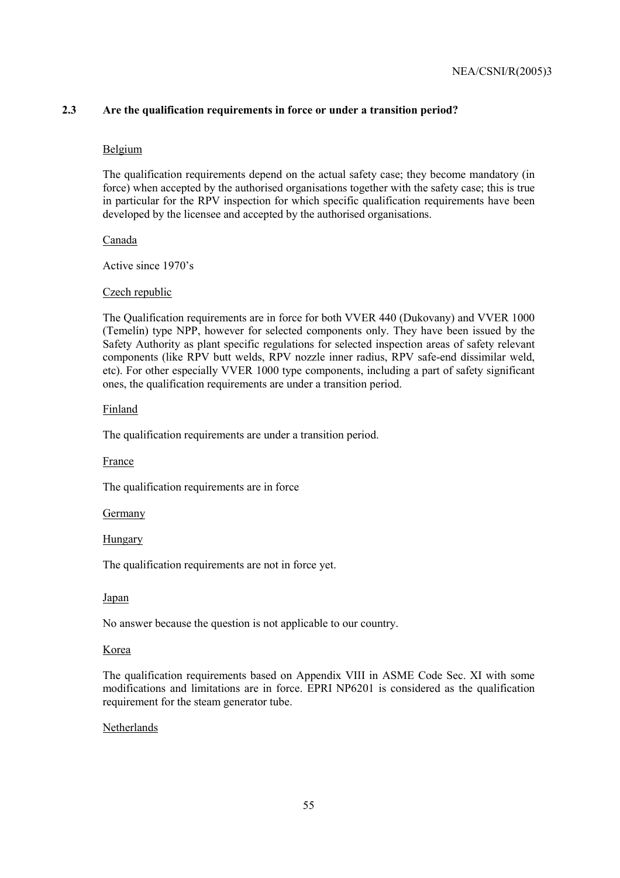# **2.3 Are the qualification requirements in force or under a transition period?**

## Belgium

The qualification requirements depend on the actual safety case; they become mandatory (in force) when accepted by the authorised organisations together with the safety case; this is true in particular for the RPV inspection for which specific qualification requirements have been developed by the licensee and accepted by the authorised organisations.

### Canada

Active since 1970's

## Czech republic

The Qualification requirements are in force for both VVER 440 (Dukovany) and VVER 1000 (Temelín) type NPP, however for selected components only. They have been issued by the Safety Authority as plant specific regulations for selected inspection areas of safety relevant components (like RPV butt welds, RPV nozzle inner radius, RPV safe-end dissimilar weld, etc). For other especially VVER 1000 type components, including a part of safety significant ones, the qualification requirements are under a transition period.

## Finland

The qualification requirements are under a transition period.

### France

The qualification requirements are in force

### **Germany**

### **Hungary**

The qualification requirements are not in force yet.

## Japan

No answer because the question is not applicable to our country.

### Korea

The qualification requirements based on Appendix VIII in ASME Code Sec. XI with some modifications and limitations are in force. EPRI NP6201 is considered as the qualification requirement for the steam generator tube.

## Netherlands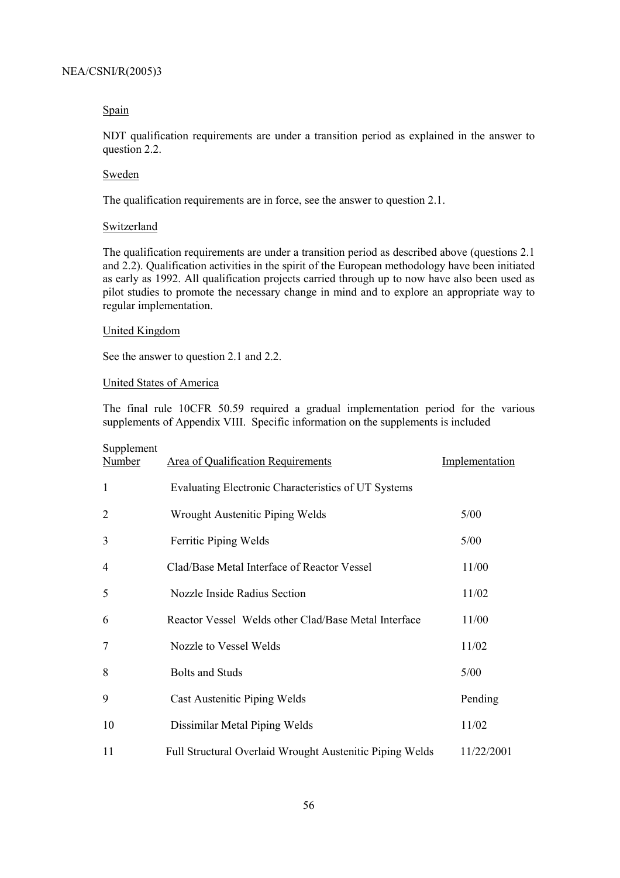## Spain

NDT qualification requirements are under a transition period as explained in the answer to question 2.2.

## Sweden

The qualification requirements are in force, see the answer to question 2.1.

## Switzerland

The qualification requirements are under a transition period as described above (questions 2.1 and 2.2). Qualification activities in the spirit of the European methodology have been initiated as early as 1992. All qualification projects carried through up to now have also been used as pilot studies to promote the necessary change in mind and to explore an appropriate way to regular implementation.

### United Kingdom

See the answer to question 2.1 and 2.2.

## United States of America

The final rule 10CFR 50.59 required a gradual implementation period for the various supplements of Appendix VIII. Specific information on the supplements is included

## Supplement

| $\mathcal{S}$ uppiement<br>Number | <b>Area of Qualification Requirements</b>                | Implementation |
|-----------------------------------|----------------------------------------------------------|----------------|
| 1                                 | Evaluating Electronic Characteristics of UT Systems      |                |
| 2                                 | Wrought Austenitic Piping Welds                          | 5/00           |
| 3                                 | Ferritic Piping Welds                                    | 5/00           |
| $\overline{4}$                    | Clad/Base Metal Interface of Reactor Vessel              | 11/00          |
| 5                                 | Nozzle Inside Radius Section                             | 11/02          |
| 6                                 | Reactor Vessel Welds other Clad/Base Metal Interface     | 11/00          |
| 7                                 | Nozzle to Vessel Welds                                   | 11/02          |
| 8                                 | <b>Bolts and Studs</b>                                   | 5/00           |
| 9                                 | Cast Austenitic Piping Welds                             | Pending        |
| 10                                | Dissimilar Metal Piping Welds                            | 11/02          |
| 11                                | Full Structural Overlaid Wrought Austenitic Piping Welds | 11/22/2001     |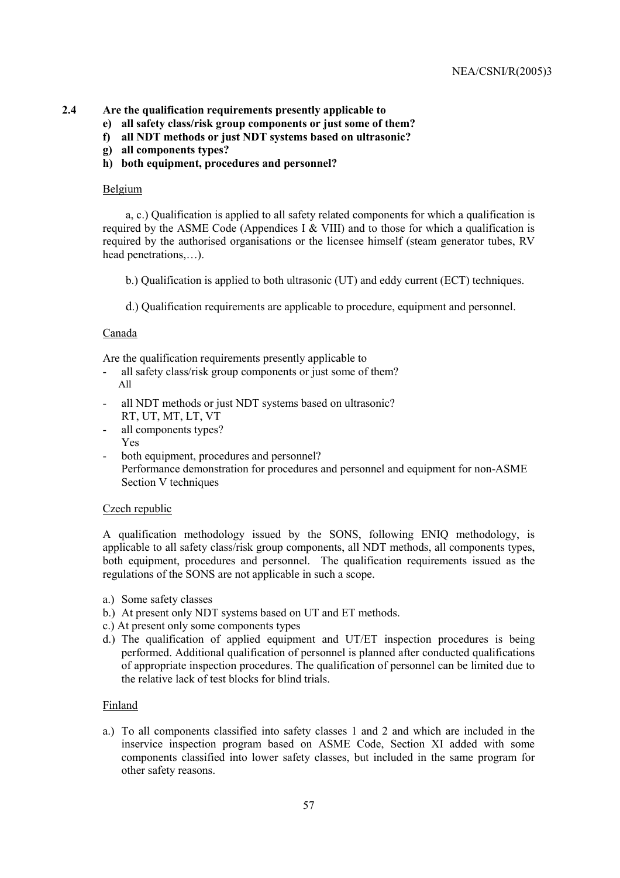# **2.4 Are the qualification requirements presently applicable to**

- **e) all safety class/risk group components or just some of them?**
- **f) all NDT methods or just NDT systems based on ultrasonic?**
- **g) all components types?**
- **h) both equipment, procedures and personnel?**

## Belgium

a, c.) Qualification is applied to all safety related components for which a qualification is required by the ASME Code (Appendices I  $&$  VIII) and to those for which a qualification is required by the authorised organisations or the licensee himself (steam generator tubes, RV head penetrations,…).

- b.) Qualification is applied to both ultrasonic (UT) and eddy current (ECT) techniques.
- d.) Qualification requirements are applicable to procedure, equipment and personnel.

## Canada

Are the qualification requirements presently applicable to

- all safety class/risk group components or just some of them? All
- all NDT methods or just NDT systems based on ultrasonic? RT, UT, MT, LT, VT
- all components types? Yes
- both equipment, procedures and personnel? Performance demonstration for procedures and personnel and equipment for non-ASME Section V techniques

## Czech republic

A qualification methodology issued by the SONS, following ENIQ methodology, is applicable to all safety class/risk group components, all NDT methods, all components types, both equipment, procedures and personnel. The qualification requirements issued as the regulations of the SONS are not applicable in such a scope.

- a.) Some safety classes
- b.) At present only NDT systems based on UT and ET methods.
- c.) At present only some components types
- d.) The qualification of applied equipment and UT/ET inspection procedures is being performed. Additional qualification of personnel is planned after conducted qualifications of appropriate inspection procedures. The qualification of personnel can be limited due to the relative lack of test blocks for blind trials.

## Finland

a.) To all components classified into safety classes 1 and 2 and which are included in the inservice inspection program based on ASME Code, Section XI added with some components classified into lower safety classes, but included in the same program for other safety reasons.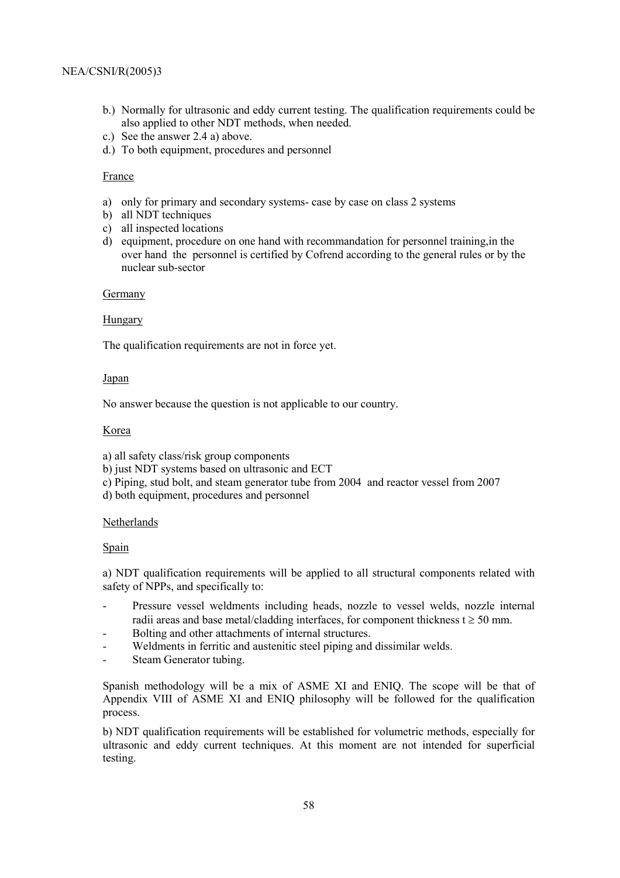- b.) Normally for ultrasonic and eddy current testing. The qualification requirements could be also applied to other NDT methods, when needed.
- c.) See the answer 2.4 a) above.
- d.) To both equipment, procedures and personnel

## France

- a) only for primary and secondary systems- case by case on class 2 systems
- b) all NDT techniques
- c) all inspected locations
- d) equipment, procedure on one hand with recommandation for personnel training,in the over hand the personnel is certified by Cofrend according to the general rules or by the nuclear sub-sector

### Germany

### Hungary

The qualification requirements are not in force yet.

## Japan

No answer because the question is not applicable to our country.

## Korea

a) all safety class/risk group components

- b) just NDT systems based on ultrasonic and ECT
- c) Piping, stud bolt, and steam generator tube from 2004 and reactor vessel from 2007
- d) both equipment, procedures and personnel

## Netherlands

## Spain

a) NDT qualification requirements will be applied to all structural components related with safety of NPPs, and specifically to:

- Pressure vessel weldments including heads, nozzle to vessel welds, nozzle internal radii areas and base metal/cladding interfaces, for component thickness  $t \ge 50$  mm.
- Bolting and other attachments of internal structures.
- Weldments in ferritic and austenitic steel piping and dissimilar welds.
- Steam Generator tubing.

Spanish methodology will be a mix of ASME XI and ENIQ. The scope will be that of Appendix VIII of ASME XI and ENIQ philosophy will be followed for the qualification process.

b) NDT qualification requirements will be established for volumetric methods, especially for ultrasonic and eddy current techniques. At this moment are not intended for superficial testing.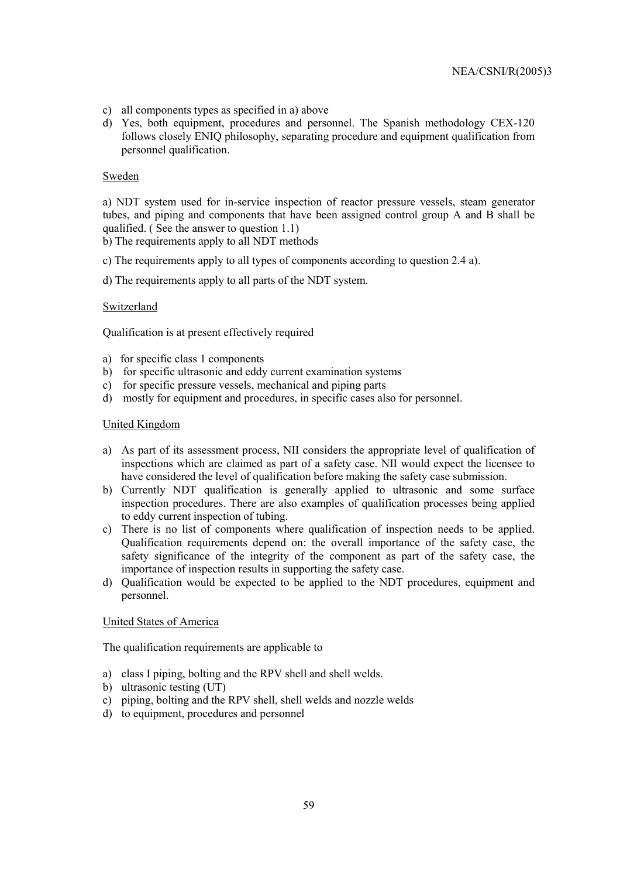- c) all components types as specified in a) above
- d) Yes, both equipment, procedures and personnel. The Spanish methodology CEX-120 follows closely ENIQ philosophy, separating procedure and equipment qualification from personnel qualification.

## Sweden

a) NDT system used for in-service inspection of reactor pressure vessels, steam generator tubes, and piping and components that have been assigned control group A and B shall be qualified. ( See the answer to question 1.1)

b) The requirements apply to all NDT methods

- c) The requirements apply to all types of components according to question 2.4 a).
- d) The requirements apply to all parts of the NDT system.

## Switzerland

Qualification is at present effectively required

- a) for specific class 1 components
- b) for specific ultrasonic and eddy current examination systems
- c) for specific pressure vessels, mechanical and piping parts
- d) mostly for equipment and procedures, in specific cases also for personnel.

# United Kingdom

- a) As part of its assessment process, NII considers the appropriate level of qualification of inspections which are claimed as part of a safety case. NII would expect the licensee to have considered the level of qualification before making the safety case submission.
- b) Currently NDT qualification is generally applied to ultrasonic and some surface inspection procedures. There are also examples of qualification processes being applied to eddy current inspection of tubing.
- c) There is no list of components where qualification of inspection needs to be applied. Qualification requirements depend on: the overall importance of the safety case, the safety significance of the integrity of the component as part of the safety case, the importance of inspection results in supporting the safety case.
- d) Qualification would be expected to be applied to the NDT procedures, equipment and personnel.

# United States of America

The qualification requirements are applicable to

- a) class I piping, bolting and the RPV shell and shell welds.
- b) ultrasonic testing (UT)
- c) piping, bolting and the RPV shell, shell welds and nozzle welds
- d) to equipment, procedures and personnel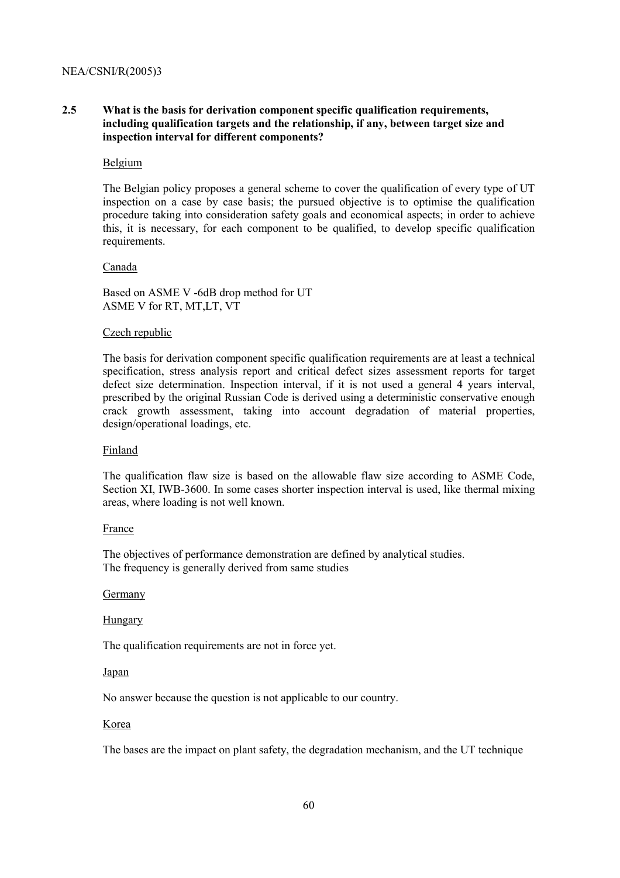# **2.5 What is the basis for derivation component specific qualification requirements, including qualification targets and the relationship, if any, between target size and inspection interval for different components?**

## Belgium

The Belgian policy proposes a general scheme to cover the qualification of every type of UT inspection on a case by case basis; the pursued objective is to optimise the qualification procedure taking into consideration safety goals and economical aspects; in order to achieve this, it is necessary, for each component to be qualified, to develop specific qualification requirements.

## Canada

Based on ASME V -6dB drop method for UT ASME V for RT, MT,LT, VT

## Czech republic

The basis for derivation component specific qualification requirements are at least a technical specification, stress analysis report and critical defect sizes assessment reports for target defect size determination. Inspection interval, if it is not used a general 4 years interval, prescribed by the original Russian Code is derived using a deterministic conservative enough crack growth assessment, taking into account degradation of material properties, design/operational loadings, etc.

### Finland

The qualification flaw size is based on the allowable flaw size according to ASME Code, Section XI, IWB-3600. In some cases shorter inspection interval is used, like thermal mixing areas, where loading is not well known.

### France

The objectives of performance demonstration are defined by analytical studies. The frequency is generally derived from same studies

### Germany

### Hungary

The qualification requirements are not in force yet.

### Japan

No answer because the question is not applicable to our country.

### Korea

The bases are the impact on plant safety, the degradation mechanism, and the UT technique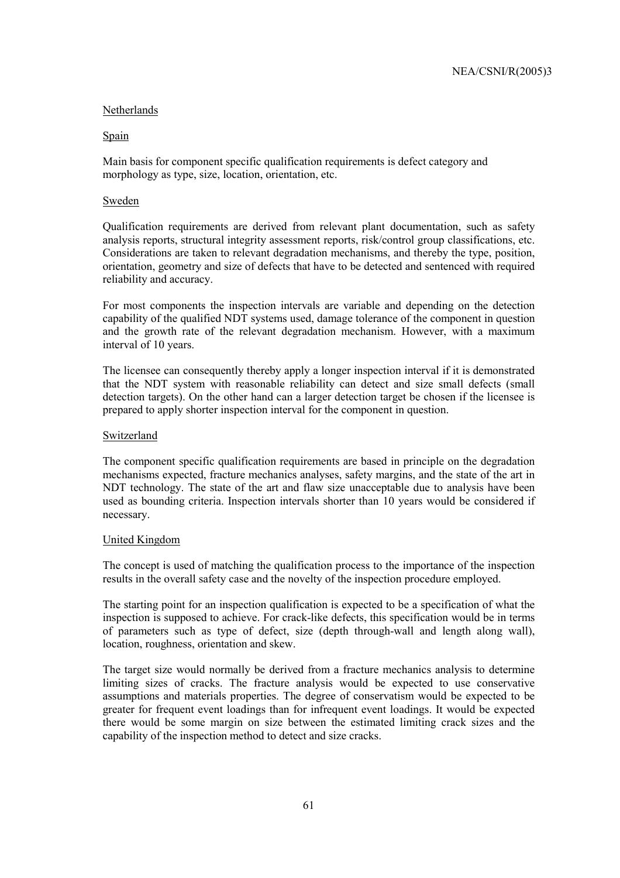## Netherlands

# Spain

Main basis for component specific qualification requirements is defect category and morphology as type, size, location, orientation, etc.

## Sweden

Qualification requirements are derived from relevant plant documentation, such as safety analysis reports, structural integrity assessment reports, risk/control group classifications, etc. Considerations are taken to relevant degradation mechanisms, and thereby the type, position, orientation, geometry and size of defects that have to be detected and sentenced with required reliability and accuracy.

For most components the inspection intervals are variable and depending on the detection capability of the qualified NDT systems used, damage tolerance of the component in question and the growth rate of the relevant degradation mechanism. However, with a maximum interval of 10 years.

The licensee can consequently thereby apply a longer inspection interval if it is demonstrated that the NDT system with reasonable reliability can detect and size small defects (small detection targets). On the other hand can a larger detection target be chosen if the licensee is prepared to apply shorter inspection interval for the component in question.

### Switzerland

The component specific qualification requirements are based in principle on the degradation mechanisms expected, fracture mechanics analyses, safety margins, and the state of the art in NDT technology. The state of the art and flaw size unacceptable due to analysis have been used as bounding criteria. Inspection intervals shorter than 10 years would be considered if necessary.

### United Kingdom

The concept is used of matching the qualification process to the importance of the inspection results in the overall safety case and the novelty of the inspection procedure employed.

The starting point for an inspection qualification is expected to be a specification of what the inspection is supposed to achieve. For crack-like defects, this specification would be in terms of parameters such as type of defect, size (depth through-wall and length along wall), location, roughness, orientation and skew.

The target size would normally be derived from a fracture mechanics analysis to determine limiting sizes of cracks. The fracture analysis would be expected to use conservative assumptions and materials properties. The degree of conservatism would be expected to be greater for frequent event loadings than for infrequent event loadings. It would be expected there would be some margin on size between the estimated limiting crack sizes and the capability of the inspection method to detect and size cracks.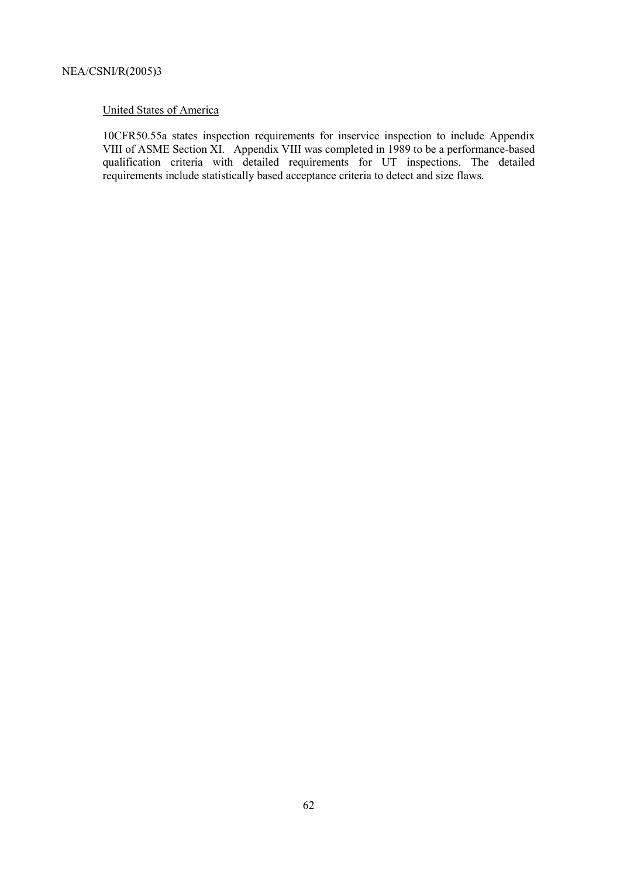# United States of America

10CFR50.55a states inspection requirements for inservice inspection to include Appendix VIII of ASME Section XI. Appendix VIII was completed in 1989 to be a performance-based qualification criteria with detailed requirements for UT inspections. The detailed requirements include statistically based acceptance criteria to detect and size flaws.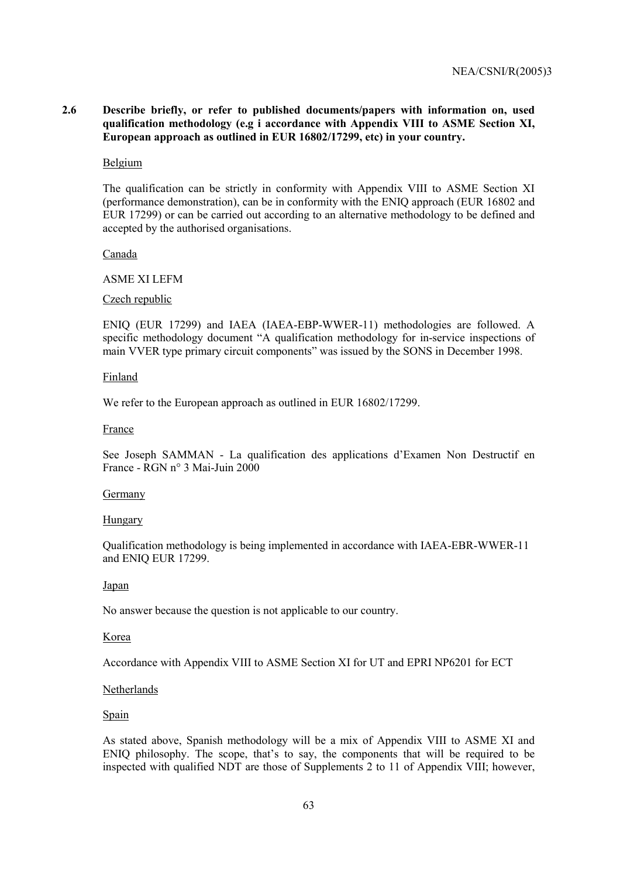# **2.6 Describe briefly, or refer to published documents/papers with information on, used qualification methodology (e.g i accordance with Appendix VIII to ASME Section XI, European approach as outlined in EUR 16802/17299, etc) in your country.**

## Belgium

The qualification can be strictly in conformity with Appendix VIII to ASME Section XI (performance demonstration), can be in conformity with the ENIQ approach (EUR 16802 and EUR 17299) or can be carried out according to an alternative methodology to be defined and accepted by the authorised organisations.

## Canada

ASME XI LEFM

## Czech republic

ENIQ (EUR 17299) and IAEA (IAEA-EBP-WWER-11) methodologies are followed. A specific methodology document "A qualification methodology for in-service inspections of main VVER type primary circuit components" was issued by the SONS in December 1998.

## Finland

We refer to the European approach as outlined in EUR 16802/17299.

## France

See Joseph SAMMAN - La qualification des applications d'Examen Non Destructif en France - RGN n° 3 Mai-Juin 2000

### **Germany**

### Hungary

Qualification methodology is being implemented in accordance with IAEA-EBR-WWER-11 and ENIQ EUR 17299.

### **Japan**

No answer because the question is not applicable to our country.

### Korea

Accordance with Appendix VIII to ASME Section XI for UT and EPRI NP6201 for ECT

## Netherlands

## Spain

As stated above, Spanish methodology will be a mix of Appendix VIII to ASME XI and ENIQ philosophy. The scope, that's to say, the components that will be required to be inspected with qualified NDT are those of Supplements 2 to 11 of Appendix VIII; however,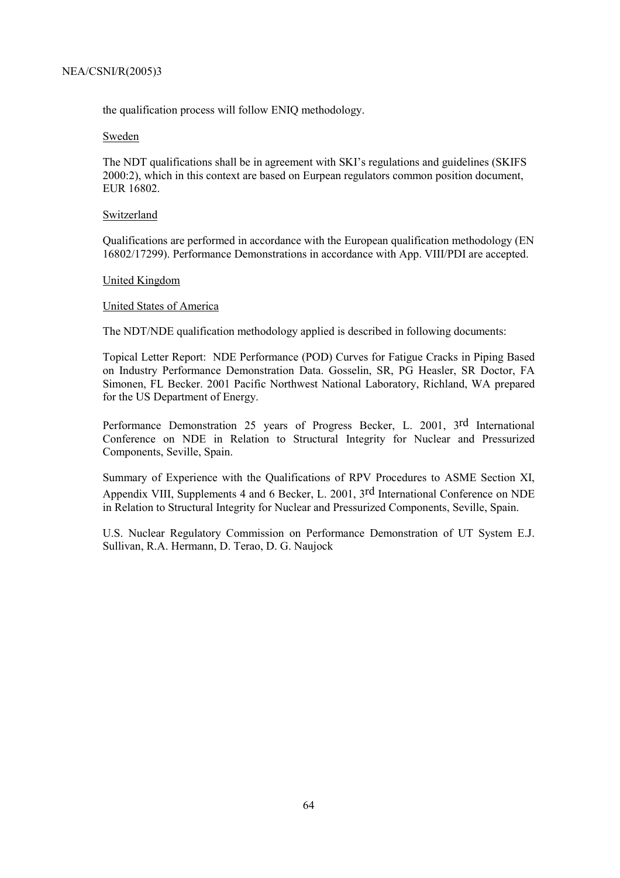## NEA/CSNI/R(2005)3

the qualification process will follow ENIQ methodology.

### Sweden

The NDT qualifications shall be in agreement with SKI's regulations and guidelines (SKIFS 2000:2), which in this context are based on Eurpean regulators common position document, EUR 16802.

### Switzerland

Qualifications are performed in accordance with the European qualification methodology (EN 16802/17299). Performance Demonstrations in accordance with App. VIII/PDI are accepted.

## United Kingdom

## United States of America

The NDT/NDE qualification methodology applied is described in following documents:

Topical Letter Report: NDE Performance (POD) Curves for Fatigue Cracks in Piping Based on Industry Performance Demonstration Data. Gosselin, SR, PG Heasler, SR Doctor, FA Simonen, FL Becker. 2001 Pacific Northwest National Laboratory, Richland, WA prepared for the US Department of Energy.

Performance Demonstration 25 years of Progress Becker, L. 2001, 3rd International Conference on NDE in Relation to Structural Integrity for Nuclear and Pressurized Components, Seville, Spain.

Summary of Experience with the Qualifications of RPV Procedures to ASME Section XI, Appendix VIII, Supplements 4 and 6 Becker, L. 2001, 3<sup>rd</sup> International Conference on NDE in Relation to Structural Integrity for Nuclear and Pressurized Components, Seville, Spain.

U.S. Nuclear Regulatory Commission on Performance Demonstration of UT System E.J. Sullivan, R.A. Hermann, D. Terao, D. G. Naujock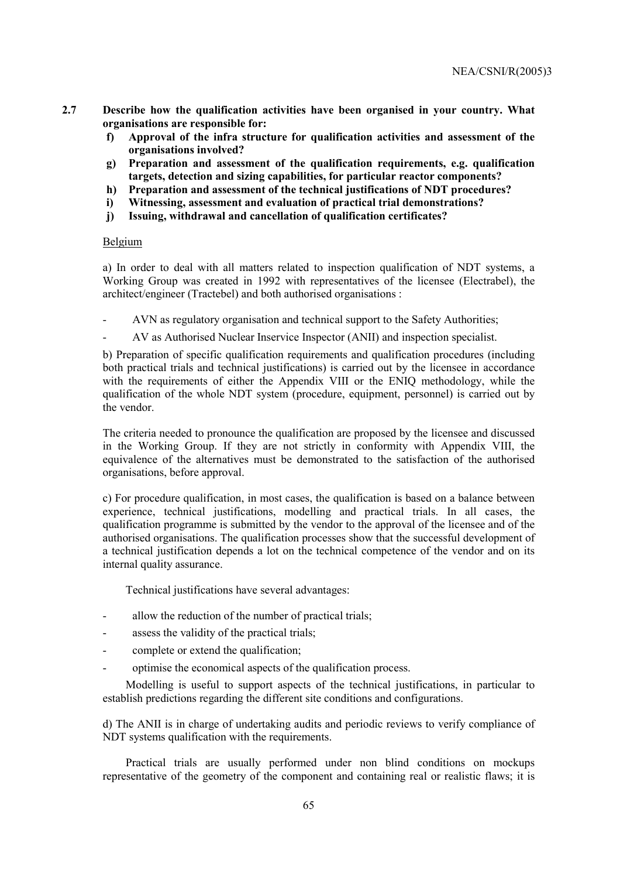- **2.7 Describe how the qualification activities have been organised in your country. What organisations are responsible for:** 
	- **f) Approval of the infra structure for qualification activities and assessment of the organisations involved?**
	- **g) Preparation and assessment of the qualification requirements, e.g. qualification targets, detection and sizing capabilities, for particular reactor components?**
	- **h) Preparation and assessment of the technical justifications of NDT procedures?**
	- **i) Witnessing, assessment and evaluation of practical trial demonstrations?**
	- **j) Issuing, withdrawal and cancellation of qualification certificates?**

#### Belgium

a) In order to deal with all matters related to inspection qualification of NDT systems, a Working Group was created in 1992 with representatives of the licensee (Electrabel), the architect/engineer (Tractebel) and both authorised organisations :

- AVN as regulatory organisation and technical support to the Safety Authorities;
- AV as Authorised Nuclear Inservice Inspector (ANII) and inspection specialist.

b) Preparation of specific qualification requirements and qualification procedures (including both practical trials and technical justifications) is carried out by the licensee in accordance with the requirements of either the Appendix VIII or the ENIQ methodology, while the qualification of the whole NDT system (procedure, equipment, personnel) is carried out by the vendor.

The criteria needed to pronounce the qualification are proposed by the licensee and discussed in the Working Group. If they are not strictly in conformity with Appendix VIII, the equivalence of the alternatives must be demonstrated to the satisfaction of the authorised organisations, before approval.

c) For procedure qualification, in most cases, the qualification is based on a balance between experience, technical justifications, modelling and practical trials. In all cases, the qualification programme is submitted by the vendor to the approval of the licensee and of the authorised organisations. The qualification processes show that the successful development of a technical justification depends a lot on the technical competence of the vendor and on its internal quality assurance.

Technical justifications have several advantages:

- allow the reduction of the number of practical trials;
- assess the validity of the practical trials;
- complete or extend the qualification;
- optimise the economical aspects of the qualification process.

Modelling is useful to support aspects of the technical justifications, in particular to establish predictions regarding the different site conditions and configurations.

d) The ANII is in charge of undertaking audits and periodic reviews to verify compliance of NDT systems qualification with the requirements.

Practical trials are usually performed under non blind conditions on mockups representative of the geometry of the component and containing real or realistic flaws; it is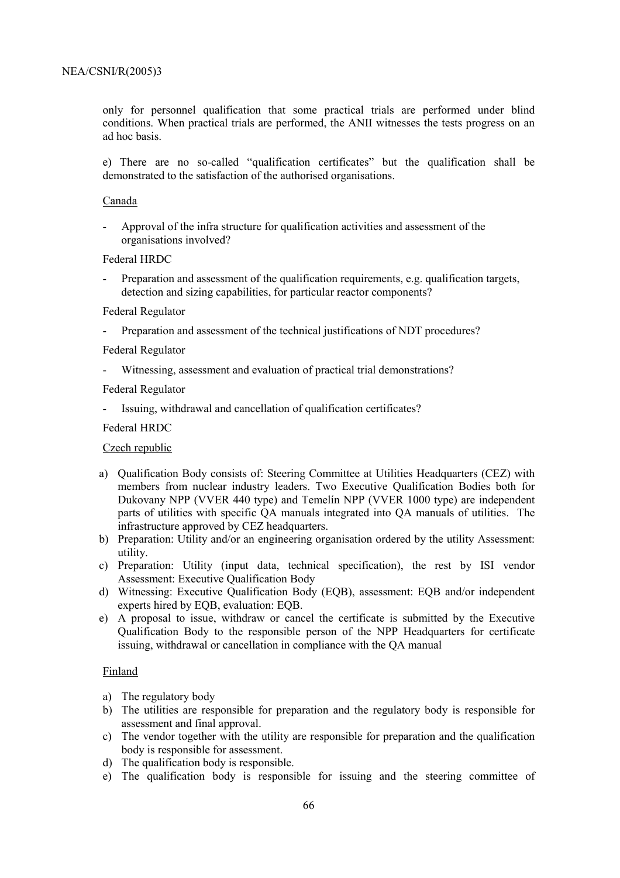only for personnel qualification that some practical trials are performed under blind conditions. When practical trials are performed, the ANII witnesses the tests progress on an ad hoc basis.

e) There are no so-called "qualification certificates" but the qualification shall be demonstrated to the satisfaction of the authorised organisations.

## Canada

- Approval of the infra structure for qualification activities and assessment of the organisations involved?

## Federal HRDC

Preparation and assessment of the qualification requirements, e.g. qualification targets, detection and sizing capabilities, for particular reactor components?

## Federal Regulator

Preparation and assessment of the technical justifications of NDT procedures?

## Federal Regulator

Witnessing, assessment and evaluation of practical trial demonstrations?

## Federal Regulator

Issuing, withdrawal and cancellation of qualification certificates?

## Federal HRDC

## Czech republic

- a) Qualification Body consists of: Steering Committee at Utilities Headquarters (CEZ) with members from nuclear industry leaders. Two Executive Qualification Bodies both for Dukovany NPP (VVER 440 type) and Temelín NPP (VVER 1000 type) are independent parts of utilities with specific QA manuals integrated into QA manuals of utilities. The infrastructure approved by CEZ headquarters.
- b) Preparation: Utility and/or an engineering organisation ordered by the utility Assessment: utility.
- c) Preparation: Utility (input data, technical specification), the rest by ISI vendor Assessment: Executive Qualification Body
- d) Witnessing: Executive Qualification Body (EQB), assessment: EQB and/or independent experts hired by EQB, evaluation: EQB.
- e) A proposal to issue, withdraw or cancel the certificate is submitted by the Executive Qualification Body to the responsible person of the NPP Headquarters for certificate issuing, withdrawal or cancellation in compliance with the QA manual

## Finland

- a) The regulatory body
- b) The utilities are responsible for preparation and the regulatory body is responsible for assessment and final approval.
- c) The vendor together with the utility are responsible for preparation and the qualification body is responsible for assessment.
- d) The qualification body is responsible.
- e) The qualification body is responsible for issuing and the steering committee of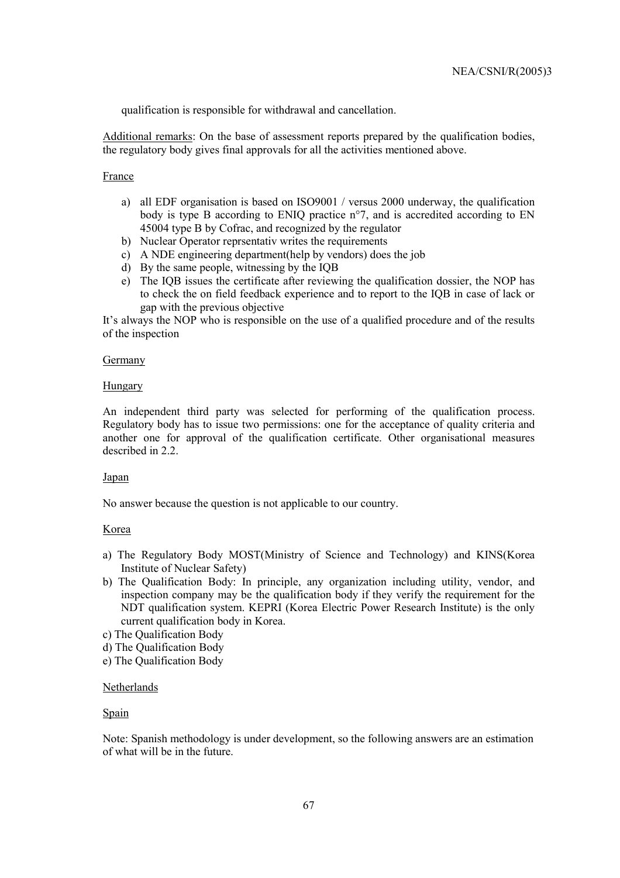qualification is responsible for withdrawal and cancellation.

Additional remarks: On the base of assessment reports prepared by the qualification bodies, the regulatory body gives final approvals for all the activities mentioned above.

### France

- a) all EDF organisation is based on ISO9001 / versus 2000 underway, the qualification body is type B according to ENIQ practice n°7, and is accredited according to EN 45004 type B by Cofrac, and recognized by the regulator
- b) Nuclear Operator reprsentativ writes the requirements
- c) A NDE engineering department(help by vendors) does the job
- d) By the same people, witnessing by the IQB
- e) The IQB issues the certificate after reviewing the qualification dossier, the NOP has to check the on field feedback experience and to report to the IQB in case of lack or gap with the previous objective

It's always the NOP who is responsible on the use of a qualified procedure and of the results of the inspection

## Germany

## Hungary

An independent third party was selected for performing of the qualification process. Regulatory body has to issue two permissions: one for the acceptance of quality criteria and another one for approval of the qualification certificate. Other organisational measures described in 2.2.

## Japan

No answer because the question is not applicable to our country.

## Korea

- a) The Regulatory Body MOST(Ministry of Science and Technology) and KINS(Korea Institute of Nuclear Safety)
- b) The Qualification Body: In principle, any organization including utility, vendor, and inspection company may be the qualification body if they verify the requirement for the NDT qualification system. KEPRI (Korea Electric Power Research Institute) is the only current qualification body in Korea.
- c) The Qualification Body
- d) The Qualification Body
- e) The Qualification Body

### Netherlands

### Spain

Note: Spanish methodology is under development, so the following answers are an estimation of what will be in the future.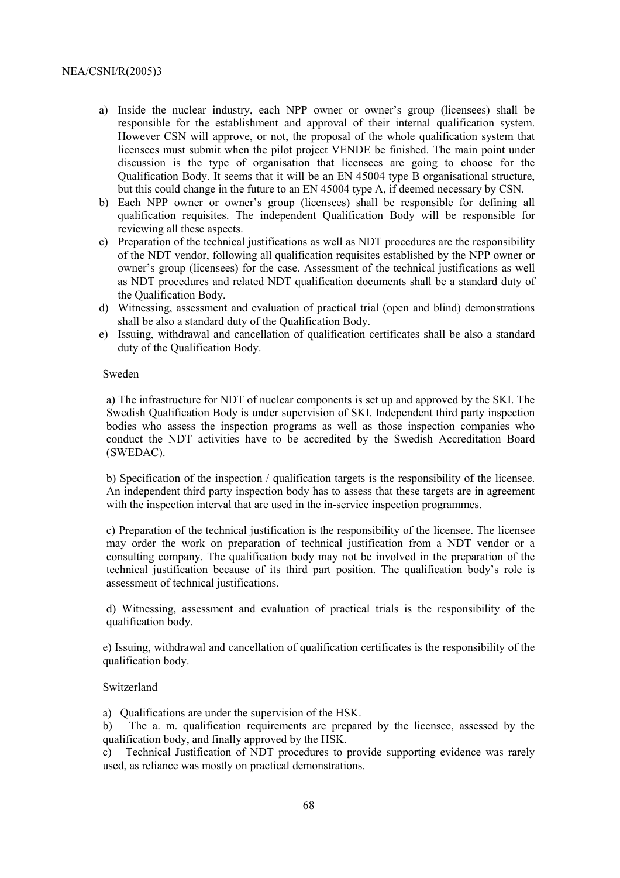- a) Inside the nuclear industry, each NPP owner or owner's group (licensees) shall be responsible for the establishment and approval of their internal qualification system. However CSN will approve, or not, the proposal of the whole qualification system that licensees must submit when the pilot project VENDE be finished. The main point under discussion is the type of organisation that licensees are going to choose for the Qualification Body. It seems that it will be an EN 45004 type B organisational structure, but this could change in the future to an EN 45004 type A, if deemed necessary by CSN.
- b) Each NPP owner or owner's group (licensees) shall be responsible for defining all qualification requisites. The independent Qualification Body will be responsible for reviewing all these aspects.
- c) Preparation of the technical justifications as well as NDT procedures are the responsibility of the NDT vendor, following all qualification requisites established by the NPP owner or owner's group (licensees) for the case. Assessment of the technical justifications as well as NDT procedures and related NDT qualification documents shall be a standard duty of the Qualification Body.
- d) Witnessing, assessment and evaluation of practical trial (open and blind) demonstrations shall be also a standard duty of the Qualification Body.
- e) Issuing, withdrawal and cancellation of qualification certificates shall be also a standard duty of the Qualification Body.

## Sweden

a) The infrastructure for NDT of nuclear components is set up and approved by the SKI. The Swedish Qualification Body is under supervision of SKI. Independent third party inspection bodies who assess the inspection programs as well as those inspection companies who conduct the NDT activities have to be accredited by the Swedish Accreditation Board (SWEDAC).

b) Specification of the inspection / qualification targets is the responsibility of the licensee. An independent third party inspection body has to assess that these targets are in agreement with the inspection interval that are used in the in-service inspection programmes.

c) Preparation of the technical justification is the responsibility of the licensee. The licensee may order the work on preparation of technical justification from a NDT vendor or a consulting company. The qualification body may not be involved in the preparation of the technical justification because of its third part position. The qualification body's role is assessment of technical justifications.

d) Witnessing, assessment and evaluation of practical trials is the responsibility of the qualification body.

e) Issuing, withdrawal and cancellation of qualification certificates is the responsibility of the qualification body.

### Switzerland

a) Qualifications are under the supervision of the HSK.

b) The a. m. qualification requirements are prepared by the licensee, assessed by the qualification body, and finally approved by the HSK.

c) Technical Justification of NDT procedures to provide supporting evidence was rarely used, as reliance was mostly on practical demonstrations.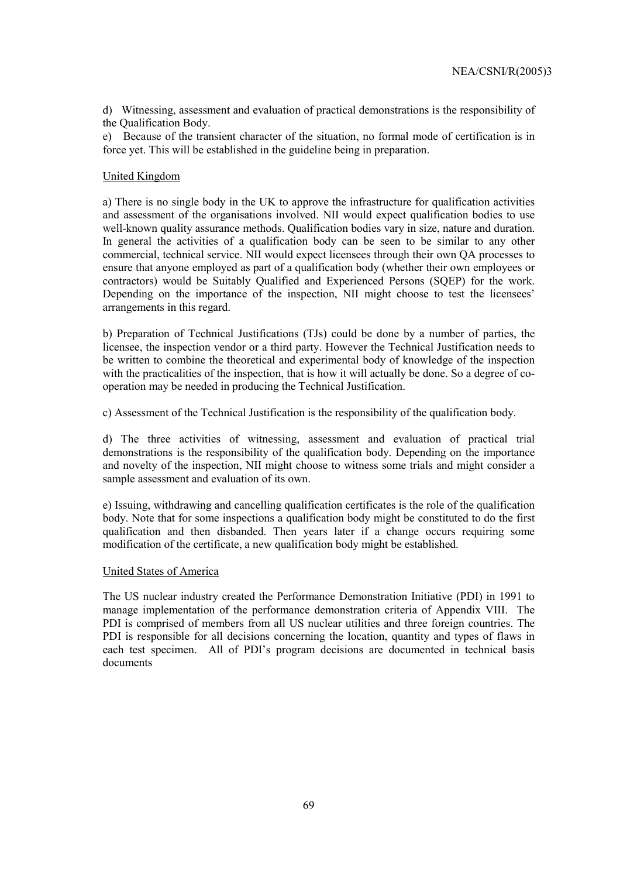d) Witnessing, assessment and evaluation of practical demonstrations is the responsibility of the Qualification Body.

e) Because of the transient character of the situation, no formal mode of certification is in force yet. This will be established in the guideline being in preparation.

## United Kingdom

a) There is no single body in the UK to approve the infrastructure for qualification activities and assessment of the organisations involved. NII would expect qualification bodies to use well-known quality assurance methods. Qualification bodies vary in size, nature and duration. In general the activities of a qualification body can be seen to be similar to any other commercial, technical service. NII would expect licensees through their own QA processes to ensure that anyone employed as part of a qualification body (whether their own employees or contractors) would be Suitably Qualified and Experienced Persons (SQEP) for the work. Depending on the importance of the inspection, NII might choose to test the licensees' arrangements in this regard.

b) Preparation of Technical Justifications (TJs) could be done by a number of parties, the licensee, the inspection vendor or a third party. However the Technical Justification needs to be written to combine the theoretical and experimental body of knowledge of the inspection with the practicalities of the inspection, that is how it will actually be done. So a degree of cooperation may be needed in producing the Technical Justification.

c) Assessment of the Technical Justification is the responsibility of the qualification body.

d) The three activities of witnessing, assessment and evaluation of practical trial demonstrations is the responsibility of the qualification body. Depending on the importance and novelty of the inspection, NII might choose to witness some trials and might consider a sample assessment and evaluation of its own.

e) Issuing, withdrawing and cancelling qualification certificates is the role of the qualification body. Note that for some inspections a qualification body might be constituted to do the first qualification and then disbanded. Then years later if a change occurs requiring some modification of the certificate, a new qualification body might be established.

## United States of America

The US nuclear industry created the Performance Demonstration Initiative (PDI) in 1991 to manage implementation of the performance demonstration criteria of Appendix VIII. The PDI is comprised of members from all US nuclear utilities and three foreign countries. The PDI is responsible for all decisions concerning the location, quantity and types of flaws in each test specimen. All of PDI's program decisions are documented in technical basis documents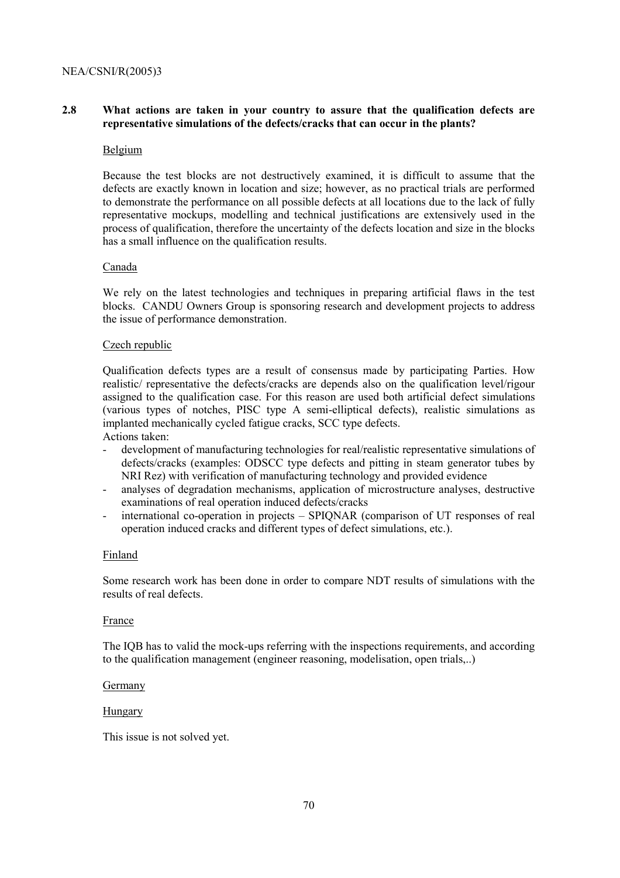# **2.8 What actions are taken in your country to assure that the qualification defects are representative simulations of the defects/cracks that can occur in the plants?**

## Belgium

Because the test blocks are not destructively examined, it is difficult to assume that the defects are exactly known in location and size; however, as no practical trials are performed to demonstrate the performance on all possible defects at all locations due to the lack of fully representative mockups, modelling and technical justifications are extensively used in the process of qualification, therefore the uncertainty of the defects location and size in the blocks has a small influence on the qualification results.

## Canada

We rely on the latest technologies and techniques in preparing artificial flaws in the test blocks. CANDU Owners Group is sponsoring research and development projects to address the issue of performance demonstration.

## Czech republic

Qualification defects types are a result of consensus made by participating Parties. How realistic/ representative the defects/cracks are depends also on the qualification level/rigour assigned to the qualification case. For this reason are used both artificial defect simulations (various types of notches, PISC type A semi-elliptical defects), realistic simulations as implanted mechanically cycled fatigue cracks, SCC type defects. Actions taken:

- development of manufacturing technologies for real/realistic representative simulations of defects/cracks (examples: ODSCC type defects and pitting in steam generator tubes by NRI Rez) with verification of manufacturing technology and provided evidence
- analyses of degradation mechanisms, application of microstructure analyses, destructive examinations of real operation induced defects/cracks
- international co-operation in projects SPIQNAR (comparison of UT responses of real operation induced cracks and different types of defect simulations, etc.).

## Finland

Some research work has been done in order to compare NDT results of simulations with the results of real defects.

### France

The IQB has to valid the mock-ups referring with the inspections requirements, and according to the qualification management (engineer reasoning, modelisation, open trials,..)

### **Germany**

### Hungary

This issue is not solved yet.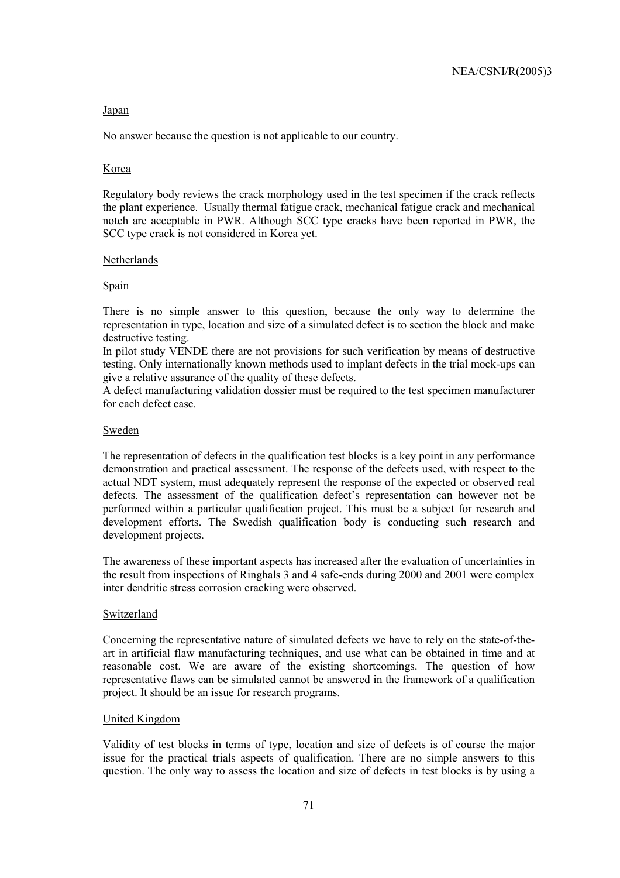## Japan

No answer because the question is not applicable to our country.

## Korea

Regulatory body reviews the crack morphology used in the test specimen if the crack reflects the plant experience. Usually thermal fatigue crack, mechanical fatigue crack and mechanical notch are acceptable in PWR. Although SCC type cracks have been reported in PWR, the SCC type crack is not considered in Korea yet.

## Netherlands

## Spain

There is no simple answer to this question, because the only way to determine the representation in type, location and size of a simulated defect is to section the block and make destructive testing.

In pilot study VENDE there are not provisions for such verification by means of destructive testing. Only internationally known methods used to implant defects in the trial mock-ups can give a relative assurance of the quality of these defects.

A defect manufacturing validation dossier must be required to the test specimen manufacturer for each defect case.

## Sweden

The representation of defects in the qualification test blocks is a key point in any performance demonstration and practical assessment. The response of the defects used, with respect to the actual NDT system, must adequately represent the response of the expected or observed real defects. The assessment of the qualification defect's representation can however not be performed within a particular qualification project. This must be a subject for research and development efforts. The Swedish qualification body is conducting such research and development projects.

The awareness of these important aspects has increased after the evaluation of uncertainties in the result from inspections of Ringhals 3 and 4 safe-ends during 2000 and 2001 were complex inter dendritic stress corrosion cracking were observed.

### Switzerland

Concerning the representative nature of simulated defects we have to rely on the state-of-theart in artificial flaw manufacturing techniques, and use what can be obtained in time and at reasonable cost. We are aware of the existing shortcomings. The question of how representative flaws can be simulated cannot be answered in the framework of a qualification project. It should be an issue for research programs.

### United Kingdom

Validity of test blocks in terms of type, location and size of defects is of course the major issue for the practical trials aspects of qualification. There are no simple answers to this question. The only way to assess the location and size of defects in test blocks is by using a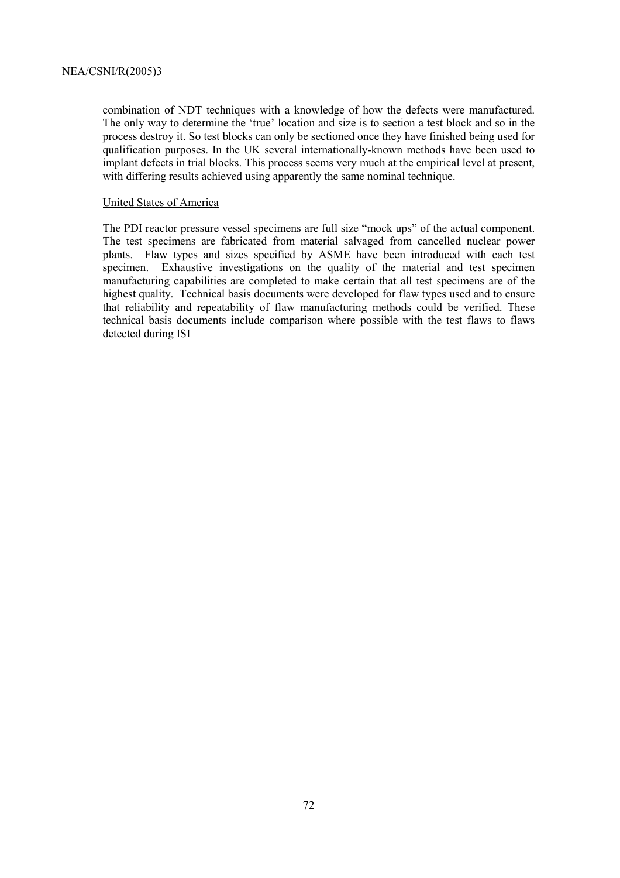combination of NDT techniques with a knowledge of how the defects were manufactured. The only way to determine the 'true' location and size is to section a test block and so in the process destroy it. So test blocks can only be sectioned once they have finished being used for qualification purposes. In the UK several internationally-known methods have been used to implant defects in trial blocks. This process seems very much at the empirical level at present, with differing results achieved using apparently the same nominal technique.

## United States of America

The PDI reactor pressure vessel specimens are full size "mock ups" of the actual component. The test specimens are fabricated from material salvaged from cancelled nuclear power plants. Flaw types and sizes specified by ASME have been introduced with each test specimen. Exhaustive investigations on the quality of the material and test specimen manufacturing capabilities are completed to make certain that all test specimens are of the highest quality. Technical basis documents were developed for flaw types used and to ensure that reliability and repeatability of flaw manufacturing methods could be verified. These technical basis documents include comparison where possible with the test flaws to flaws detected during ISI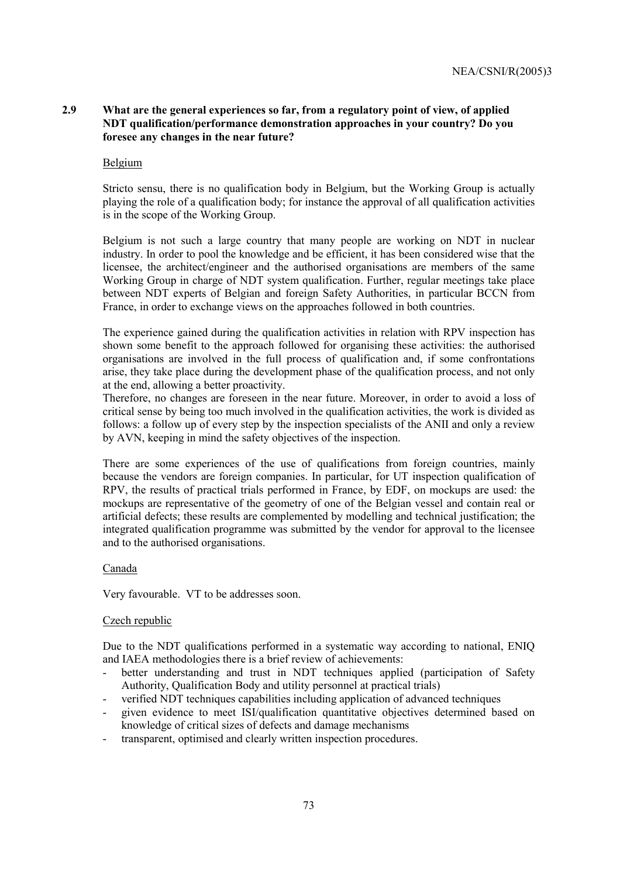# **2.9 What are the general experiences so far, from a regulatory point of view, of applied NDT qualification/performance demonstration approaches in your country? Do you foresee any changes in the near future?**

### Belgium

Stricto sensu, there is no qualification body in Belgium, but the Working Group is actually playing the role of a qualification body; for instance the approval of all qualification activities is in the scope of the Working Group.

Belgium is not such a large country that many people are working on NDT in nuclear industry. In order to pool the knowledge and be efficient, it has been considered wise that the licensee, the architect/engineer and the authorised organisations are members of the same Working Group in charge of NDT system qualification. Further, regular meetings take place between NDT experts of Belgian and foreign Safety Authorities, in particular BCCN from France, in order to exchange views on the approaches followed in both countries.

The experience gained during the qualification activities in relation with RPV inspection has shown some benefit to the approach followed for organising these activities: the authorised organisations are involved in the full process of qualification and, if some confrontations arise, they take place during the development phase of the qualification process, and not only at the end, allowing a better proactivity.

Therefore, no changes are foreseen in the near future. Moreover, in order to avoid a loss of critical sense by being too much involved in the qualification activities, the work is divided as follows: a follow up of every step by the inspection specialists of the ANII and only a review by AVN, keeping in mind the safety objectives of the inspection.

There are some experiences of the use of qualifications from foreign countries, mainly because the vendors are foreign companies. In particular, for UT inspection qualification of RPV, the results of practical trials performed in France, by EDF, on mockups are used: the mockups are representative of the geometry of one of the Belgian vessel and contain real or artificial defects; these results are complemented by modelling and technical justification; the integrated qualification programme was submitted by the vendor for approval to the licensee and to the authorised organisations.

#### Canada

Very favourable. VT to be addresses soon.

### Czech republic

Due to the NDT qualifications performed in a systematic way according to national, ENIQ and IAEA methodologies there is a brief review of achievements:

- better understanding and trust in NDT techniques applied (participation of Safety Authority, Qualification Body and utility personnel at practical trials)
- verified NDT techniques capabilities including application of advanced techniques
- given evidence to meet ISI/qualification quantitative objectives determined based on knowledge of critical sizes of defects and damage mechanisms
- transparent, optimised and clearly written inspection procedures.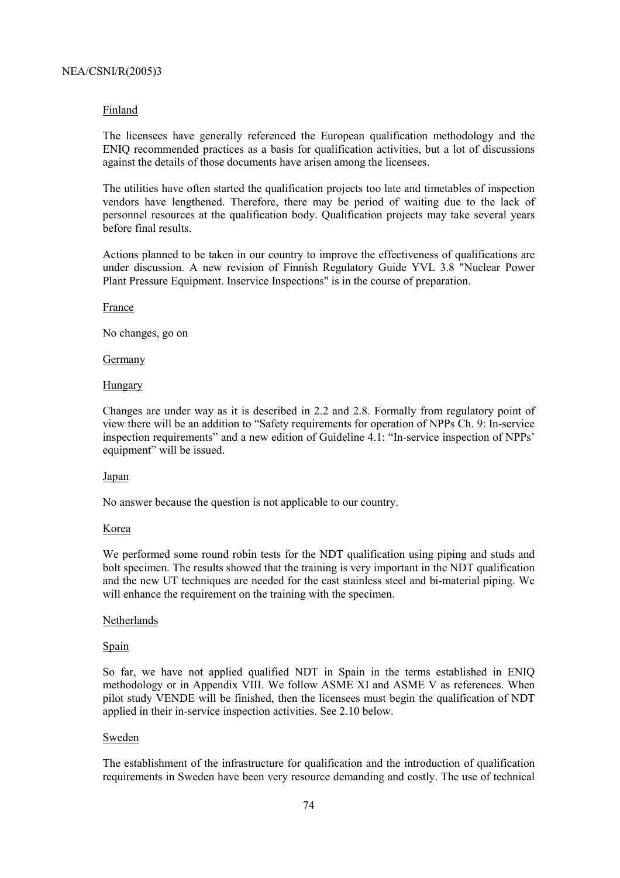## Finland

The licensees have generally referenced the European qualification methodology and the ENIQ recommended practices as a basis for qualification activities, but a lot of discussions against the details of those documents have arisen among the licensees.

The utilities have often started the qualification projects too late and timetables of inspection vendors have lengthened. Therefore, there may be period of waiting due to the lack of personnel resources at the qualification body. Qualification projects may take several years before final results.

Actions planned to be taken in our country to improve the effectiveness of qualifications are under discussion. A new revision of Finnish Regulatory Guide YVL 3.8 "Nuclear Power Plant Pressure Equipment. Inservice Inspections" is in the course of preparation.

#### France

No changes, go on

### Germany

### Hungary

Changes are under way as it is described in 2.2 and 2.8. Formally from regulatory point of view there will be an addition to "Safety requirements for operation of NPPs Ch. 9: In-service inspection requirements" and a new edition of Guideline 4.1: "In-service inspection of NPPs' equipment" will be issued.

#### Japan

No answer because the question is not applicable to our country.

# Korea

We performed some round robin tests for the NDT qualification using piping and studs and bolt specimen. The results showed that the training is very important in the NDT qualification and the new UT techniques are needed for the cast stainless steel and bi-material piping. We will enhance the requirement on the training with the specimen.

#### Netherlands

#### Spain

So far, we have not applied qualified NDT in Spain in the terms established in ENIQ methodology or in Appendix VIII. We follow ASME XI and ASME V as references. When pilot study VENDE will be finished, then the licensees must begin the qualification of NDT applied in their in-service inspection activities. See 2.10 below.

#### Sweden

The establishment of the infrastructure for qualification and the introduction of qualification requirements in Sweden have been very resource demanding and costly. The use of technical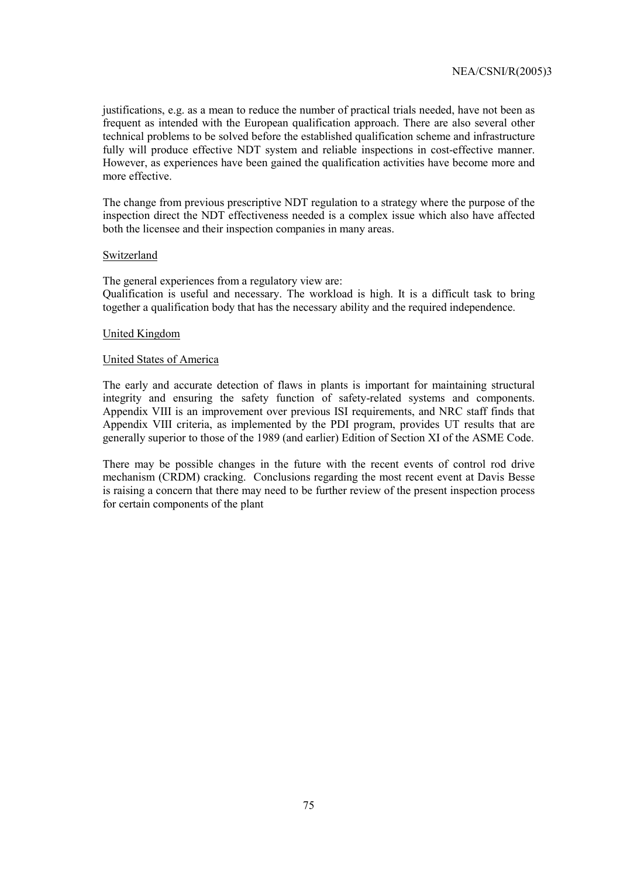justifications, e.g. as a mean to reduce the number of practical trials needed, have not been as frequent as intended with the European qualification approach. There are also several other technical problems to be solved before the established qualification scheme and infrastructure fully will produce effective NDT system and reliable inspections in cost-effective manner. However, as experiences have been gained the qualification activities have become more and more effective.

The change from previous prescriptive NDT regulation to a strategy where the purpose of the inspection direct the NDT effectiveness needed is a complex issue which also have affected both the licensee and their inspection companies in many areas.

#### Switzerland

The general experiences from a regulatory view are:

Qualification is useful and necessary. The workload is high. It is a difficult task to bring together a qualification body that has the necessary ability and the required independence.

#### United Kingdom

#### United States of America

The early and accurate detection of flaws in plants is important for maintaining structural integrity and ensuring the safety function of safety-related systems and components. Appendix VIII is an improvement over previous ISI requirements, and NRC staff finds that Appendix VIII criteria, as implemented by the PDI program, provides UT results that are generally superior to those of the 1989 (and earlier) Edition of Section XI of the ASME Code.

There may be possible changes in the future with the recent events of control rod drive mechanism (CRDM) cracking. Conclusions regarding the most recent event at Davis Besse is raising a concern that there may need to be further review of the present inspection process for certain components of the plant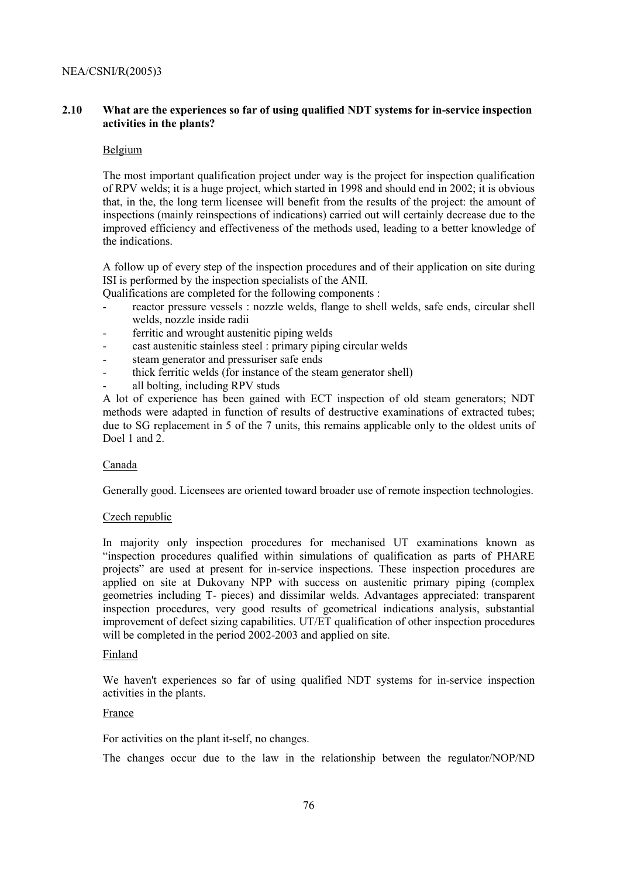# **2.10 What are the experiences so far of using qualified NDT systems for in-service inspection activities in the plants?**

### Belgium

The most important qualification project under way is the project for inspection qualification of RPV welds; it is a huge project, which started in 1998 and should end in 2002; it is obvious that, in the, the long term licensee will benefit from the results of the project: the amount of inspections (mainly reinspections of indications) carried out will certainly decrease due to the improved efficiency and effectiveness of the methods used, leading to a better knowledge of the indications.

A follow up of every step of the inspection procedures and of their application on site during ISI is performed by the inspection specialists of the ANII.

Qualifications are completed for the following components :

- reactor pressure vessels : nozzle welds, flange to shell welds, safe ends, circular shell welds, nozzle inside radii
- ferritic and wrought austenitic piping welds
- cast austenitic stainless steel : primary piping circular welds
- steam generator and pressuriser safe ends
- thick ferritic welds (for instance of the steam generator shell)
- all bolting, including RPV studs

A lot of experience has been gained with ECT inspection of old steam generators; NDT methods were adapted in function of results of destructive examinations of extracted tubes; due to SG replacement in 5 of the 7 units, this remains applicable only to the oldest units of Doel 1 and 2.

### Canada

Generally good. Licensees are oriented toward broader use of remote inspection technologies.

# Czech republic

In majority only inspection procedures for mechanised UT examinations known as "inspection procedures qualified within simulations of qualification as parts of PHARE projects" are used at present for in-service inspections. These inspection procedures are applied on site at Dukovany NPP with success on austenitic primary piping (complex geometries including T- pieces) and dissimilar welds. Advantages appreciated: transparent inspection procedures, very good results of geometrical indications analysis, substantial improvement of defect sizing capabilities. UT/ET qualification of other inspection procedures will be completed in the period 2002-2003 and applied on site.

#### Finland

We haven't experiences so far of using qualified NDT systems for in-service inspection activities in the plants.

### France

For activities on the plant it-self, no changes.

The changes occur due to the law in the relationship between the regulator/NOP/ND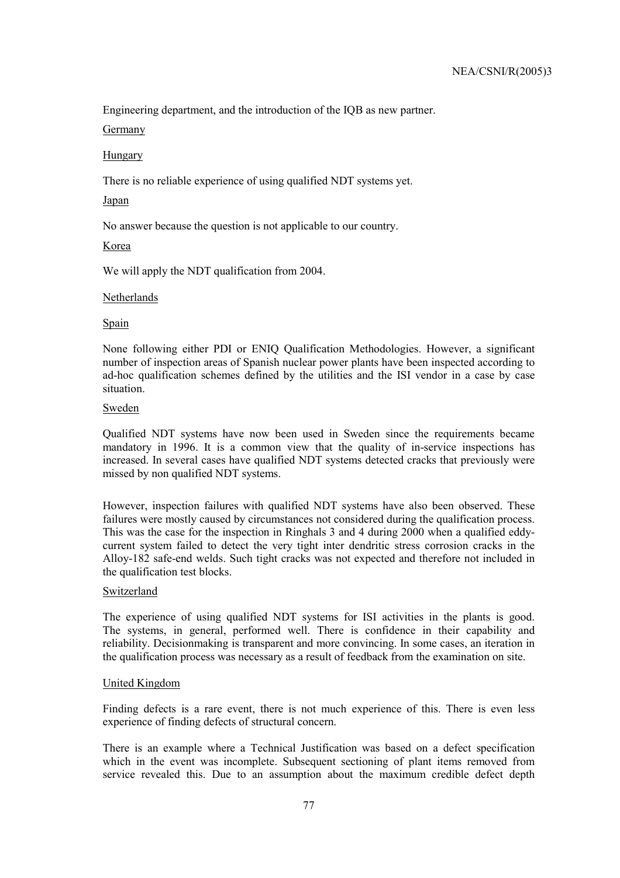Engineering department, and the introduction of the IQB as new partner.

Germany

# Hungary

There is no reliable experience of using qualified NDT systems yet.

# Japan

No answer because the question is not applicable to our country.

# Korea

We will apply the NDT qualification from 2004.

# Netherlands

# Spain

None following either PDI or ENIQ Qualification Methodologies. However, a significant number of inspection areas of Spanish nuclear power plants have been inspected according to ad-hoc qualification schemes defined by the utilities and the ISI vendor in a case by case situation.

# Sweden

Qualified NDT systems have now been used in Sweden since the requirements became mandatory in 1996. It is a common view that the quality of in-service inspections has increased. In several cases have qualified NDT systems detected cracks that previously were missed by non qualified NDT systems.

However, inspection failures with qualified NDT systems have also been observed. These failures were mostly caused by circumstances not considered during the qualification process. This was the case for the inspection in Ringhals 3 and 4 during 2000 when a qualified eddycurrent system failed to detect the very tight inter dendritic stress corrosion cracks in the Alloy-182 safe-end welds. Such tight cracks was not expected and therefore not included in the qualification test blocks.

# Switzerland

The experience of using qualified NDT systems for ISI activities in the plants is good. The systems, in general, performed well. There is confidence in their capability and reliability. Decisionmaking is transparent and more convincing. In some cases, an iteration in the qualification process was necessary as a result of feedback from the examination on site.

# United Kingdom

Finding defects is a rare event, there is not much experience of this. There is even less experience of finding defects of structural concern.

There is an example where a Technical Justification was based on a defect specification which in the event was incomplete. Subsequent sectioning of plant items removed from service revealed this. Due to an assumption about the maximum credible defect depth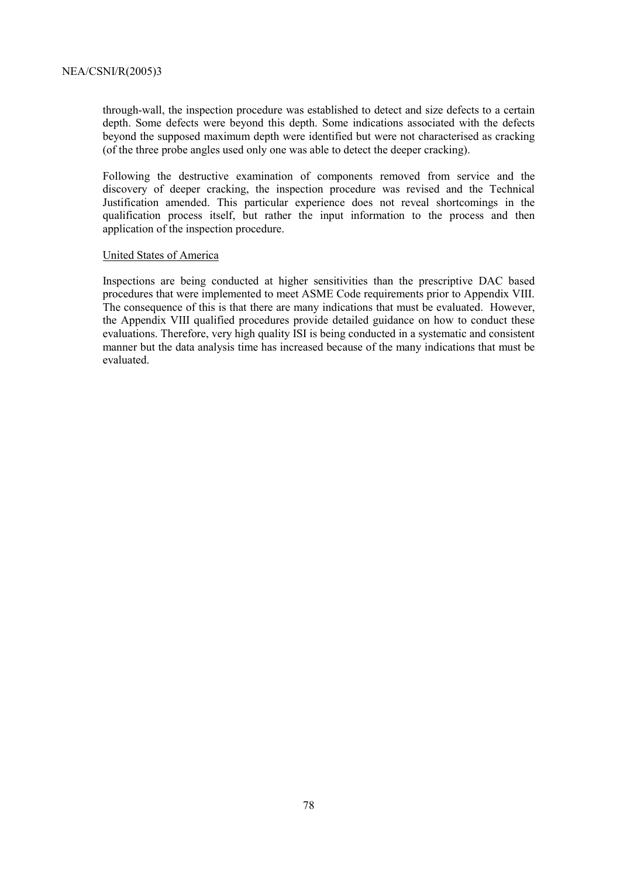through-wall, the inspection procedure was established to detect and size defects to a certain depth. Some defects were beyond this depth. Some indications associated with the defects beyond the supposed maximum depth were identified but were not characterised as cracking (of the three probe angles used only one was able to detect the deeper cracking).

Following the destructive examination of components removed from service and the discovery of deeper cracking, the inspection procedure was revised and the Technical Justification amended. This particular experience does not reveal shortcomings in the qualification process itself, but rather the input information to the process and then application of the inspection procedure.

### United States of America

Inspections are being conducted at higher sensitivities than the prescriptive DAC based procedures that were implemented to meet ASME Code requirements prior to Appendix VIII. The consequence of this is that there are many indications that must be evaluated. However, the Appendix VIII qualified procedures provide detailed guidance on how to conduct these evaluations. Therefore, very high quality ISI is being conducted in a systematic and consistent manner but the data analysis time has increased because of the many indications that must be evaluated.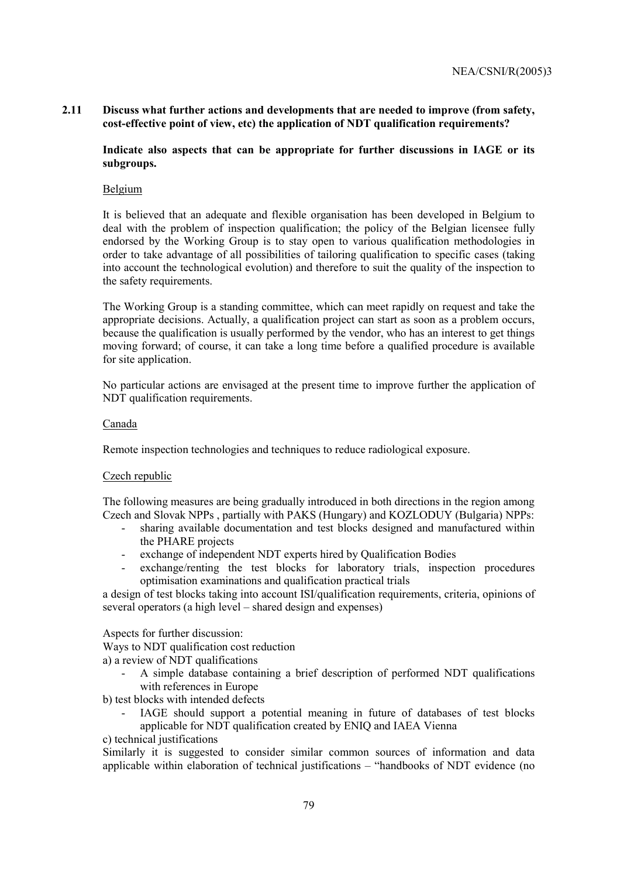# **2.11 Discuss what further actions and developments that are needed to improve (from safety, cost-effective point of view, etc) the application of NDT qualification requirements?**

**Indicate also aspects that can be appropriate for further discussions in IAGE or its subgroups.** 

# Belgium

It is believed that an adequate and flexible organisation has been developed in Belgium to deal with the problem of inspection qualification; the policy of the Belgian licensee fully endorsed by the Working Group is to stay open to various qualification methodologies in order to take advantage of all possibilities of tailoring qualification to specific cases (taking into account the technological evolution) and therefore to suit the quality of the inspection to the safety requirements.

The Working Group is a standing committee, which can meet rapidly on request and take the appropriate decisions. Actually, a qualification project can start as soon as a problem occurs, because the qualification is usually performed by the vendor, who has an interest to get things moving forward; of course, it can take a long time before a qualified procedure is available for site application.

No particular actions are envisaged at the present time to improve further the application of NDT qualification requirements.

### Canada

Remote inspection technologies and techniques to reduce radiological exposure.

# Czech republic

The following measures are being gradually introduced in both directions in the region among Czech and Slovak NPPs , partially with PAKS (Hungary) and KOZLODUY (Bulgaria) NPPs:

- sharing available documentation and test blocks designed and manufactured within the PHARE projects
- exchange of independent NDT experts hired by Qualification Bodies
- exchange/renting the test blocks for laboratory trials, inspection procedures optimisation examinations and qualification practical trials

a design of test blocks taking into account ISI/qualification requirements, criteria, opinions of several operators (a high level – shared design and expenses)

Aspects for further discussion:

Ways to NDT qualification cost reduction

a) a review of NDT qualifications

- A simple database containing a brief description of performed NDT qualifications with references in Europe
- b) test blocks with intended defects
	- IAGE should support a potential meaning in future of databases of test blocks applicable for NDT qualification created by ENIQ and IAEA Vienna

c) technical justifications

Similarly it is suggested to consider similar common sources of information and data applicable within elaboration of technical justifications – "handbooks of NDT evidence (no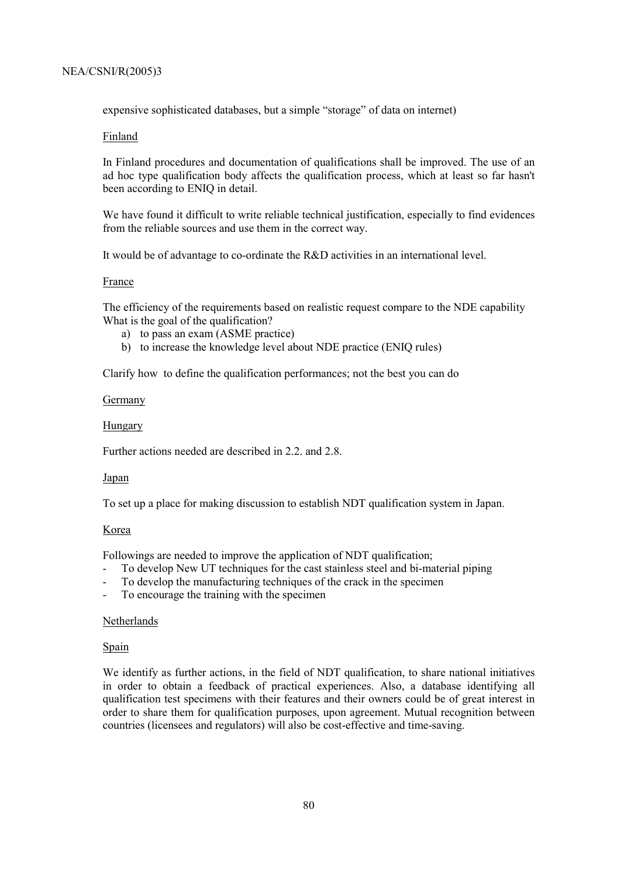expensive sophisticated databases, but a simple "storage" of data on internet)

### Finland

In Finland procedures and documentation of qualifications shall be improved. The use of an ad hoc type qualification body affects the qualification process, which at least so far hasn't been according to ENIQ in detail.

We have found it difficult to write reliable technical justification, especially to find evidences from the reliable sources and use them in the correct way.

It would be of advantage to co-ordinate the R&D activities in an international level.

### France

The efficiency of the requirements based on realistic request compare to the NDE capability What is the goal of the qualification?

- a) to pass an exam (ASME practice)
- b) to increase the knowledge level about NDE practice (ENIQ rules)

Clarify how to define the qualification performances; not the best you can do

### **Germany**

### **Hungary**

Further actions needed are described in 2.2. and 2.8.

#### Japan

To set up a place for making discussion to establish NDT qualification system in Japan.

# Korea

Followings are needed to improve the application of NDT qualification;

- To develop New UT techniques for the cast stainless steel and bi-material piping
- To develop the manufacturing techniques of the crack in the specimen
- To encourage the training with the specimen

### Netherlands

### Spain

We identify as further actions, in the field of NDT qualification, to share national initiatives in order to obtain a feedback of practical experiences. Also, a database identifying all qualification test specimens with their features and their owners could be of great interest in order to share them for qualification purposes, upon agreement. Mutual recognition between countries (licensees and regulators) will also be cost-effective and time-saving.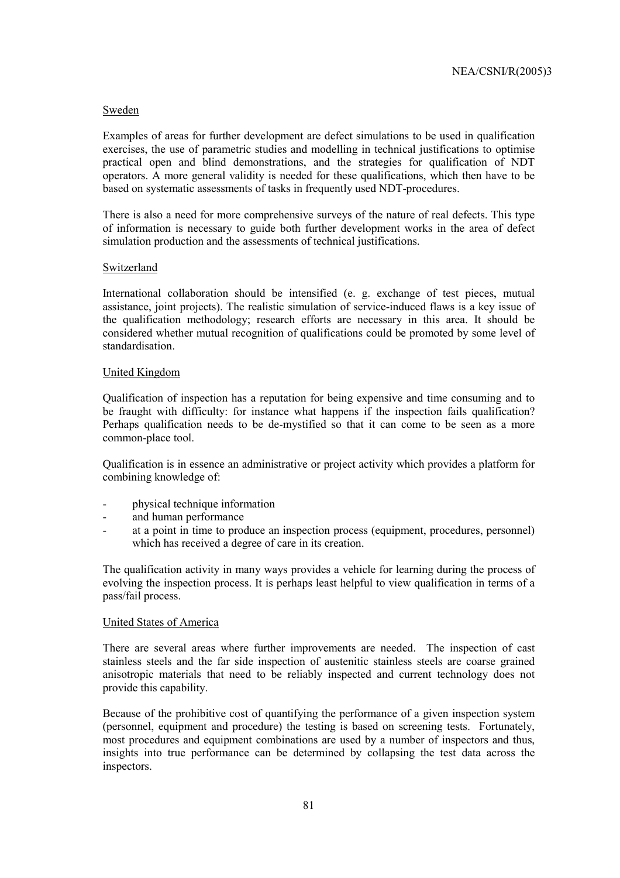### Sweden

Examples of areas for further development are defect simulations to be used in qualification exercises, the use of parametric studies and modelling in technical justifications to optimise practical open and blind demonstrations, and the strategies for qualification of NDT operators. A more general validity is needed for these qualifications, which then have to be based on systematic assessments of tasks in frequently used NDT-procedures.

There is also a need for more comprehensive surveys of the nature of real defects. This type of information is necessary to guide both further development works in the area of defect simulation production and the assessments of technical justifications.

#### Switzerland

International collaboration should be intensified (e. g. exchange of test pieces, mutual assistance, joint projects). The realistic simulation of service-induced flaws is a key issue of the qualification methodology; research efforts are necessary in this area. It should be considered whether mutual recognition of qualifications could be promoted by some level of standardisation.

#### United Kingdom

Qualification of inspection has a reputation for being expensive and time consuming and to be fraught with difficulty: for instance what happens if the inspection fails qualification? Perhaps qualification needs to be de-mystified so that it can come to be seen as a more common-place tool.

Qualification is in essence an administrative or project activity which provides a platform for combining knowledge of:

- physical technique information
- and human performance
- at a point in time to produce an inspection process (equipment, procedures, personnel) which has received a degree of care in its creation.

The qualification activity in many ways provides a vehicle for learning during the process of evolving the inspection process. It is perhaps least helpful to view qualification in terms of a pass/fail process.

#### United States of America

There are several areas where further improvements are needed. The inspection of cast stainless steels and the far side inspection of austenitic stainless steels are coarse grained anisotropic materials that need to be reliably inspected and current technology does not provide this capability.

Because of the prohibitive cost of quantifying the performance of a given inspection system (personnel, equipment and procedure) the testing is based on screening tests. Fortunately, most procedures and equipment combinations are used by a number of inspectors and thus, insights into true performance can be determined by collapsing the test data across the inspectors.